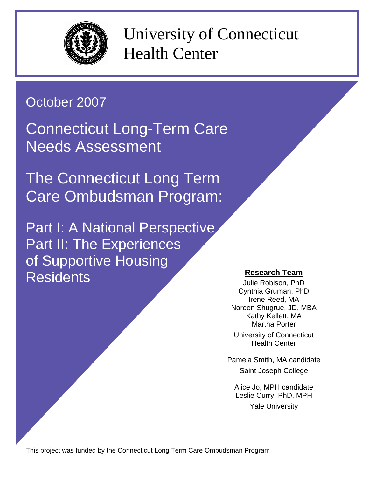

University of Connecticut Health Center

# October 2007

Connecticut Long-Term Care Needs Assessment

The Connecticut Long Term Care Ombudsman Program:

Part I: A National Perspective Part II: The Experiences of Supportive Housing Residents **Research Team**

Julie Robison, PhD Cynthia Gruman, PhD Irene Reed, MA Noreen Shugrue, JD, MBA Kathy Kellett, MA Martha Porter University of Connecticut Health Center

Pamela Smith, MA candidate Saint Joseph College

Alice Jo, MPH candidate Leslie Curry, PhD, MPH Yale University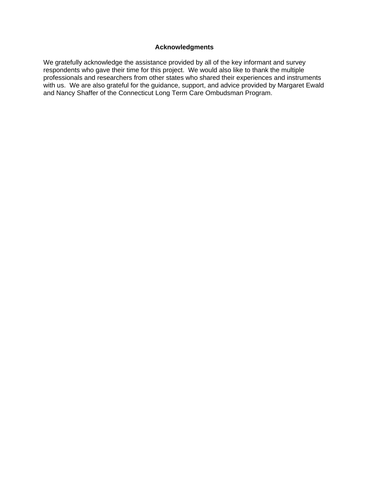#### **Acknowledgments**

We gratefully acknowledge the assistance provided by all of the key informant and survey respondents who gave their time for this project. We would also like to thank the multiple professionals and researchers from other states who shared their experiences and instruments with us. We are also grateful for the guidance, support, and advice provided by Margaret Ewald and Nancy Shaffer of the Connecticut Long Term Care Ombudsman Program.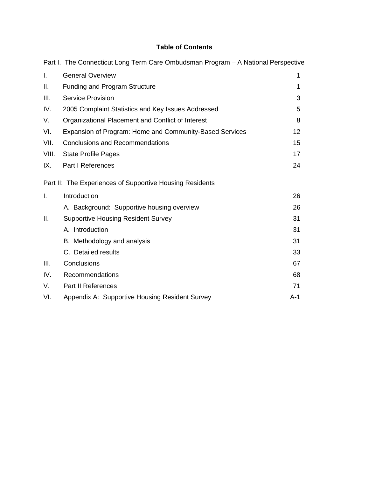### **Table of Contents**

|       | Part I. The Connecticut Long Term Care Ombudsman Program - A National Perspective |     |
|-------|-----------------------------------------------------------------------------------|-----|
| Τ.    | <b>General Overview</b>                                                           | 1   |
| Ш.    | <b>Funding and Program Structure</b>                                              | 1   |
| III.  | <b>Service Provision</b>                                                          | 3   |
| IV.   | 2005 Complaint Statistics and Key Issues Addressed                                | 5   |
| V.    | Organizational Placement and Conflict of Interest                                 | 8   |
| VI.   | Expansion of Program: Home and Community-Based Services                           | 12  |
| VII.  | <b>Conclusions and Recommendations</b>                                            | 15  |
| VIII. | <b>State Profile Pages</b>                                                        | 17  |
| IX.   | <b>Part I References</b>                                                          | 24  |
|       | Part II: The Experiences of Supportive Housing Residents                          |     |
| I.    | Introduction                                                                      | 26  |
|       | A. Background: Supportive housing overview                                        | 26  |
| Ш.    | <b>Supportive Housing Resident Survey</b>                                         | 31  |
|       | A. Introduction                                                                   | 31  |
|       | B. Methodology and analysis                                                       | 31  |
|       | C. Detailed results                                                               | 33  |
| III.  | Conclusions                                                                       | 67  |
| IV.   | Recommendations                                                                   | 68  |
| V.    | <b>Part II References</b>                                                         | 71  |
| VI.   | Appendix A: Supportive Housing Resident Survey                                    | A-1 |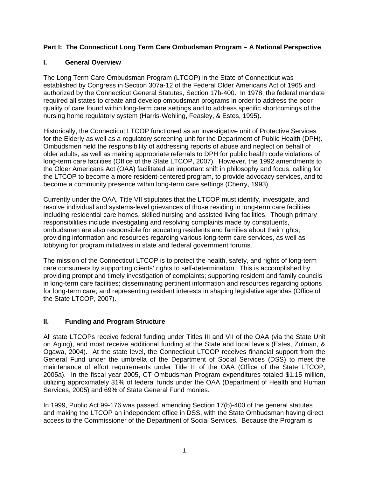#### **Part I: The Connecticut Long Term Care Ombudsman Program – A National Perspective**

#### **I. General Overview**

The Long Term Care Ombudsman Program (LTCOP) in the State of Connecticut was established by Congress in Section 307a-12 of the Federal Older Americans Act of 1965 and authorized by the Connecticut General Statutes, Section 17b-400. In 1978, the federal mandate required all states to create and develop ombudsman programs in order to address the poor quality of care found within long-term care settings and to address specific shortcomings of the nursing home regulatory system (Harris-Wehling, Feasley, & Estes, 1995).

Historically, the Connecticut LTCOP functioned as an investigative unit of Protective Services for the Elderly as well as a regulatory screening unit for the Department of Public Health (DPH). Ombudsmen held the responsibility of addressing reports of abuse and neglect on behalf of older adults, as well as making appropriate referrals to DPH for public health code violations of long-term care facilities (Office of the State LTCOP, 2007). However, the 1992 amendments to the Older Americans Act (OAA) facilitated an important shift in philosophy and focus, calling for the LTCOP to become a more resident-centered program, to provide advocacy services, and to become a community presence within long-term care settings (Cherry, 1993).

Currently under the OAA, Title VII stipulates that the LTCOP must identify, investigate, and resolve individual and systems-level grievances of those residing in long-term care facilities including residential care homes, skilled nursing and assisted living facilities. Though primary responsibilities include investigating and resolving complaints made by constituents, ombudsmen are also responsible for educating residents and families about their rights, providing information and resources regarding various long-term care services, as well as lobbying for program initiatives in state and federal government forums.

The mission of the Connecticut LTCOP is to protect the health, safety, and rights of long-term care consumers by supporting clients' rights to self-determination. This is accomplished by providing prompt and timely investigation of complaints; supporting resident and family councils in long-term care facilities; disseminating pertinent information and resources regarding options for long-term care; and representing resident interests in shaping legislative agendas (Office of the State LTCOP, 2007).

#### **II. Funding and Program Structure**

All state LTCOPs receive federal funding under Titles III and VII of the OAA (via the State Unit on Aging), and most receive additional funding at the State and local levels (Estes, Zulman, & Ogawa, 2004). At the state level, the Connecticut LTCOP receives financial support from the General Fund under the umbrella of the Department of Social Services (DSS) to meet the maintenance of effort requirements under Title III of the OAA (Office of the State LTCOP, 2005a). In the fiscal year 2005, CT Ombudsman Program expenditures totaled \$1.15 million, utilizing approximately 31% of federal funds under the OAA (Department of Health and Human Services, 2005) and 69% of State General Fund monies.

In 1999, Public Act 99-176 was passed, amending Section 17(b)-400 of the general statutes and making the LTCOP an independent office in DSS, with the State Ombudsman having direct access to the Commissioner of the Department of Social Services. Because the Program is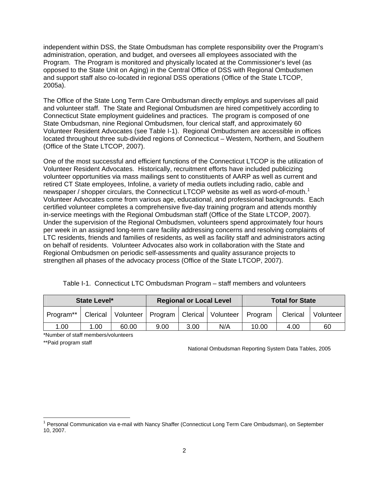independent within DSS, the State Ombudsman has complete responsibility over the Program's administration, operation, and budget, and oversees all employees associated with the Program. The Program is monitored and physically located at the Commissioner's level (as opposed to the State Unit on Aging) in the Central Office of DSS with Regional Ombudsmen and support staff also co-located in regional DSS operations (Office of the State LTCOP, 2005a).

The Office of the State Long Term Care Ombudsman directly employs and supervises all paid and volunteer staff. The State and Regional Ombudsmen are hired competitively according to Connecticut State employment guidelines and practices. The program is composed of one State Ombudsman, nine Regional Ombudsmen, four clerical staff, and approximately 60 Volunteer Resident Advocates (see Table I-1). Regional Ombudsmen are accessible in offices located throughout three sub-divided regions of Connecticut – Western, Northern, and Southern (Office of the State LTCOP, 2007).

One of the most successful and efficient functions of the Connecticut LTCOP is the utilization of Volunteer Resident Advocates. Historically, recruitment efforts have included publicizing volunteer opportunities via mass mailings sent to constituents of AARP as well as current and retired CT State employees, Infoline, a variety of media outlets including radio, cable and newspaper / shopper circulars, the Connecticut LTCOP website as well as word-of-mouth.<sup>[1](#page-4-0)</sup> Volunteer Advocates come from various age, educational, and professional backgrounds. Each certified volunteer completes a comprehensive five-day training program and attends monthly in-service meetings with the Regional Ombudsman staff (Office of the State LTCOP, 2007). Under the supervision of the Regional Ombudsmen, volunteers spend approximately four hours per week in an assigned long-term care facility addressing concerns and resolving complaints of LTC residents, friends and families of residents, as well as facility staff and administrators acting on behalf of residents. Volunteer Advocates also work in collaboration with the State and Regional Ombudsmen on periodic self-assessments and quality assurance projects to strengthen all phases of the advocacy process (Office of the State LTCOP, 2007).

| <b>State Level*</b> |      |                                                                 | <b>Regional or Local Level</b> |      | <b>Total for State</b> |       |          |           |
|---------------------|------|-----------------------------------------------------------------|--------------------------------|------|------------------------|-------|----------|-----------|
| Program**           |      | Clerical   Volunteer   Program   Clerical   Volunteer   Program |                                |      |                        |       | Clerical | Volunteer |
| 1.00                | 1.00 | 60.00                                                           | 9.00                           | 3.00 | N/A                    | 10.00 | 4.00     | 60        |

|  | Table I-1. Connecticut LTC Ombudsman Program - staff members and volunteers |  |  |  |
|--|-----------------------------------------------------------------------------|--|--|--|
|--|-----------------------------------------------------------------------------|--|--|--|

\*Number of staff members/volunteers

\*\*Paid program staff

 $\overline{a}$ 

National Ombudsman Reporting System Data Tables, 2005

<span id="page-4-0"></span><sup>&</sup>lt;sup>1</sup> Personal Communication via e-mail with Nancy Shaffer (Connecticut Long Term Care Ombudsman), on September 10, 2007.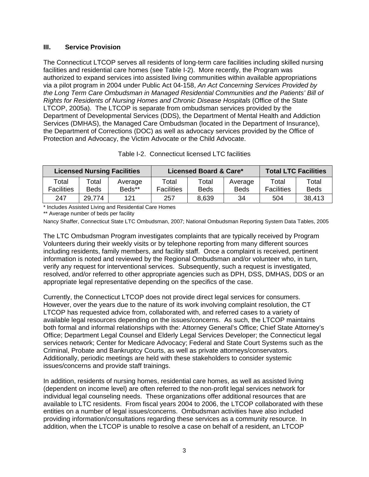#### **III. Service Provision**

The Connecticut LTCOP serves all residents of long-term care facilities including skilled nursing facilities and residential care homes (see Table I-2). More recently, the Program was authorized to expand services into assisted living communities within available appropriations via a pilot program in 2004 under Public Act 04-158, *An Act Concerning Services Provided by the Long Term Care Ombudsman in Managed Residential Communities and the Patients' Bill of Rights for Residents of Nursing Homes and Chronic Disease Hospitals* (Office of the State LTCOP, 2005a). The LTCOP is separate from ombudsman services provided by the Department of Developmental Services (DDS), the Department of Mental Health and Addiction Services (DMHAS), the Managed Care Ombudsman (located in the Department of Insurance), the Department of Corrections (DOC) as well as advocacy services provided by the Office of Protection and Advocacy, the Victim Advocate or the Child Advocate.

| <b>Licensed Nursing Facilities</b> |               |                   |                            | Licensed Board & Care* | <b>Total LTC Facilities</b> |                            |               |
|------------------------------------|---------------|-------------------|----------------------------|------------------------|-----------------------------|----------------------------|---------------|
| Total<br><b>Facilities</b>         | Total<br>Beds | Average<br>Beds** | Total<br><b>Facilities</b> | Total<br>Beds          | Average<br><b>Beds</b>      | Total<br><b>Facilities</b> | Total<br>Beds |
| 247                                | 29.774        | 121               | 257                        | 8,639                  | 34                          | 504                        | 38,413        |

#### Table I-2. Connecticut licensed LTC facilities

\* Includes Assisted Living and Residential Care Homes

\*\* Average number of beds per facility

Nancy Shaffer, Connecticut State LTC Ombudsman, 2007; National Ombudsman Reporting System Data Tables, 2005

The LTC Ombudsman Program investigates complaints that are typically received by Program Volunteers during their weekly visits or by telephone reporting from many different sources including residents, family members, and facility staff. Once a complaint is received, pertinent information is noted and reviewed by the Regional Ombudsman and/or volunteer who, in turn, verify any request for interventional services. Subsequently, such a request is investigated, resolved, and/or referred to other appropriate agencies such as DPH, DSS, DMHAS, DDS or an appropriate legal representative depending on the specifics of the case.

Currently, the Connecticut LTCOP does not provide direct legal services for consumers. However, over the years due to the nature of its work involving complaint resolution, the CT LTCOP has requested advice from, collaborated with, and referred cases to a variety of available legal resources depending on the issues/concerns. As such, the LTCOP maintains both formal and informal relationships with the: Attorney General's Office; Chief State Attorney's Office; Department Legal Counsel and Elderly Legal Services Developer; the Connecticut legal services network; Center for Medicare Advocacy; Federal and State Court Systems such as the Criminal, Probate and Bankruptcy Courts, as well as private attorneys/conservators. Additionally, periodic meetings are held with these stakeholders to consider systemic issues/concerns and provide staff trainings.

In addition, residents of nursing homes, residential care homes, as well as assisted living (dependent on income level) are often referred to the non-profit legal services network for individual legal counseling needs. These organizations offer additional resources that are available to LTC residents. From fiscal years 2004 to 2006, the LTCOP collaborated with these entities on a number of legal issues/concerns. Ombudsman activities have also included providing information/consultations regarding these services as a community resource. In addition, when the LTCOP is unable to resolve a case on behalf of a resident, an LTCOP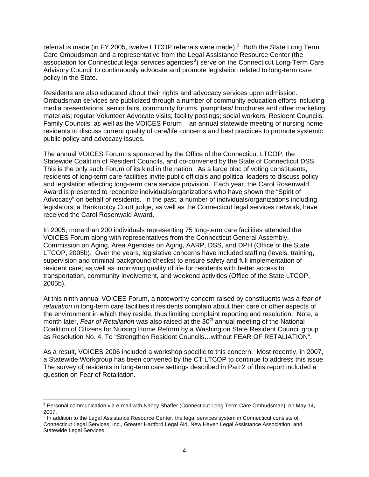referral is made (in FY [2](#page-6-0)005, twelve LTCOP referrals were made).<sup>2</sup> Both the State Long Term Care Ombudsman and a representative from the Legal Assistance Resource Center (the association for Connecticut legal services agencies<sup>[3](#page-6-1)</sup>) serve on the Connecticut Long-Term Care Advisory Council to continuously advocate and promote legislation related to long-term care policy in the State.

Residents are also educated about their rights and advocacy services upon admission. Ombudsman services are publicized through a number of community education efforts including media presentations, senior fairs, community forums, pamphlets/ brochures and other marketing materials; regular Volunteer Advocate visits; facility postings; social workers; Resident Councils; Family Councils; as well as the VOICES Forum – an annual statewide meeting of nursing home residents to discuss current quality of care/life concerns and best practices to promote systemic public policy and advocacy issues.

The annual VOICES Forum is sponsored by the Office of the Connecticut LTCOP, the Statewide Coalition of Resident Councils, and co-convened by the State of Connecticut DSS. This is the only such Forum of its kind in the nation. As a large bloc of voting constituents, residents of long-term care facilities invite public officials and political leaders to discuss policy and legislation affecting long-term care service provision. Each year, the Carol Rosenwald Award is presented to recognize individuals/organizations who have shown the "Spirit of Advocacy" on behalf of residents. In the past, a number of individuals/organizations including legislators, a Bankruptcy Court judge, as well as the Connecticut legal services network, have received the Carol Rosenwald Award.

In 2005, more than 200 individuals representing 75 long-term care facilities attended the VOICES Forum along with representatives from the Connecticut General Assembly, Commission on Aging, Area Agencies on Aging, AARP, DSS, and DPH (Office of the State LTCOP, 2005b). Over the years, legislative concerns have included staffing (levels, training, supervision and criminal background checks) to ensure safety and full implementation of resident care; as well as improving quality of life for residents with better access to transportation, community involvement, and weekend activities (Office of the State LTCOP, 2005b).

At this ninth annual VOICES Forum, a noteworthy concern raised by constituents was a *fear of retaliation* in long-term care facilities if residents complain about their care or other aspects of the environment in which they reside, thus limiting complaint reporting and resolution. Note, a month later, *Fear of Retaliation* was also raised at the 30<sup>th</sup> annual meeting of the National Coalition of Citizens for Nursing Home Reform by a Washington State Resident Council group as Resolution No. 4, To "Strengthen Resident Councils…without FEAR OF RETALIATION".

As a result, VOICES 2006 included a workshop specific to this concern. Most recently, in 2007, a Statewide Workgroup has been convened by the CT LTCOP to continue to address this issue. The survey of residents in long-term care settings described in Part 2 of this report included a question on Fear of Retaliation.

<span id="page-6-0"></span> 2 Personal communication via e-mail with Nancy Shaffer (Connecticut Long Term Care Ombudsman), on May 14, 2007.

<span id="page-6-1"></span> $3$  In addition to the Legal Assistance Resource Center, the legal services system in Connecticut consists of Connecticut Legal Services, Inc., Greater Hartford Legal Aid, New Haven Legal Assistance Association, and Statewide Legal Services.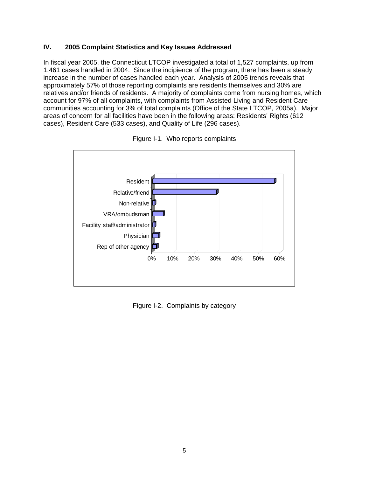#### **IV. 2005 Complaint Statistics and Key Issues Addressed**

In fiscal year 2005, the Connecticut LTCOP investigated a total of 1,527 complaints, up from 1,461 cases handled in 2004. Since the incipience of the program, there has been a steady increase in the number of cases handled each year. Analysis of 2005 trends reveals that approximately 57% of those reporting complaints are residents themselves and 30% are relatives and/or friends of residents. A majority of complaints come from nursing homes, which account for 97% of all complaints, with complaints from Assisted Living and Resident Care communities accounting for 3% of total complaints (Office of the State LTCOP, 2005a). Major areas of concern for all facilities have been in the following areas: Residents' Rights (612 cases), Resident Care (533 cases), and Quality of Life (296 cases).





Figure I-2. Complaints by category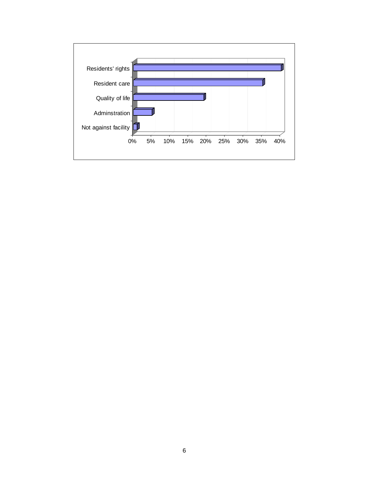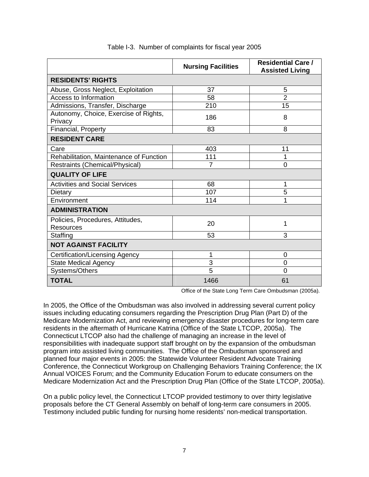|                                                      | <b>Nursing Facilities</b> | <b>Residential Care /</b><br><b>Assisted Living</b> |
|------------------------------------------------------|---------------------------|-----------------------------------------------------|
| <b>RESIDENTS' RIGHTS</b>                             |                           |                                                     |
| Abuse, Gross Neglect, Exploitation                   | 37                        | 5                                                   |
| <b>Access to Information</b>                         | 58                        | $\overline{2}$                                      |
| Admissions, Transfer, Discharge                      | 210                       | 15                                                  |
| Autonomy, Choice, Exercise of Rights,<br>Privacy     | 186                       | 8                                                   |
| Financial, Property                                  | 83                        | 8                                                   |
| <b>RESIDENT CARE</b>                                 |                           |                                                     |
| Care                                                 | 403                       | 11                                                  |
| Rehabilitation, Maintenance of Function              | 111                       | 1                                                   |
| Restraints (Chemical/Physical)                       | $\overline{7}$            | $\overline{0}$                                      |
| <b>QUALITY OF LIFE</b>                               |                           |                                                     |
| <b>Activities and Social Services</b>                | 68                        | 1                                                   |
| Dietary                                              | 107                       | 5                                                   |
| Environment                                          | 114                       | 1                                                   |
| <b>ADMINISTRATION</b>                                |                           |                                                     |
| Policies, Procedures, Attitudes,<br><b>Resources</b> | 20                        | 1                                                   |
| Staffing                                             | 53                        | 3                                                   |
| <b>NOT AGAINST FACILITY</b>                          |                           |                                                     |
| Certification/Licensing Agency                       | 1                         | 0                                                   |
| <b>State Medical Agency</b>                          | 3                         | $\overline{0}$                                      |
| Systems/Others                                       | $\overline{5}$            | $\overline{0}$                                      |
| <b>TOTAL</b>                                         | 1466                      | 61                                                  |

#### Table I-3. Number of complaints for fiscal year 2005

Office of the State Long Term Care Ombudsman (2005a).

In 2005, the Office of the Ombudsman was also involved in addressing several current policy issues including educating consumers regarding the Prescription Drug Plan (Part D) of the Medicare Modernization Act, and reviewing emergency disaster procedures for long-term care residents in the aftermath of Hurricane Katrina (Office of the State LTCOP, 2005a). The Connecticut LTCOP also had the challenge of managing an increase in the level of responsibilities with inadequate support staff brought on by the expansion of the ombudsman program into assisted living communities. The Office of the Ombudsman sponsored and planned four major events in 2005: the Statewide Volunteer Resident Advocate Training Conference, the Connecticut Workgroup on Challenging Behaviors Training Conference; the IX Annual VOICES Forum; and the Community Education Forum to educate consumers on the Medicare Modernization Act and the Prescription Drug Plan (Office of the State LTCOP, 2005a).

On a public policy level, the Connecticut LTCOP provided testimony to over thirty legislative proposals before the CT General Assembly on behalf of long-term care consumers in 2005. Testimony included public funding for nursing home residents' non-medical transportation.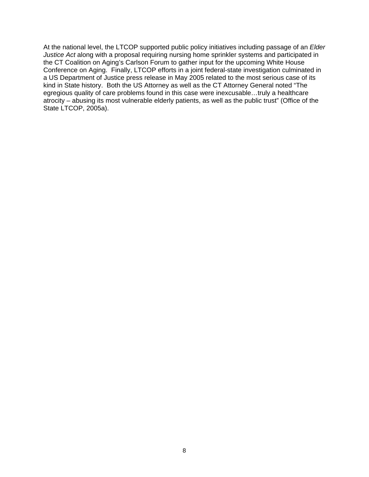<span id="page-10-0"></span>At the national level, the LTCOP supported public policy initiatives including passage of an *Elder Justice Act* along with a proposal requiring nursing home sprinkler systems and participated in the CT Coalition on Aging's Carlson Forum to gather input for the upcoming White House Conference on Aging. Finally, LTCOP efforts in a joint federal-state investigation culminated in a US Department of Justice press release in May 2005 related to the most serious case of its kind in State history. Both the US Attorney as well as the CT Attorney General noted "The egregious quality of care problems found in this case were inexcusable…truly a healthcare atrocity – abusing its most vulnerable elderly patients, as well as the public trust" (Office of the State LTCOP, 2005a).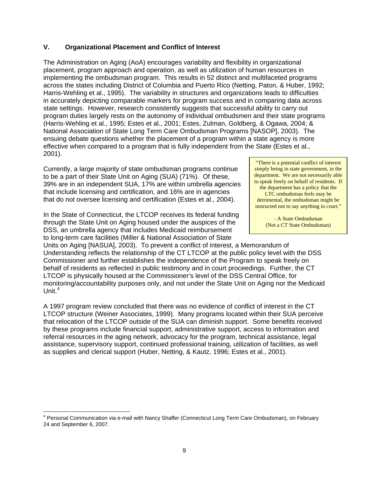#### **V. Organizational Placement and Conflict of Interest**

The Administration on Aging (AoA) encourages variability and flexibility in organizational placement, program approach and operation, as well as utilization of human resources in implementing the ombudsman program. This results in 52 distinct and multifaceted programs across the states including District of Columbia and Puerto Rico (Netting, Paton, & Huber, 1992; Harris-Wehling et al., 1995). The variability in structures and organizations leads to difficulties in accurately depicting comparable markers for program success and in comparing data across state settings. However, research consistently suggests that successful ability to carry out program duties largely rests on the autonomy of individual ombudsmen and their state programs (Harris-Wehling et al., 1995; Estes et al., 2001; Estes, Zulman, Goldberg, & Ogawa, 2004; & National Association of State Long Term Care Ombudsman Programs [NASOP], 2003). The ensuing debate questions whether the placement of a program within a state agency is more effective when compared to a program that is fully independent from the State (Estes et al., 2001).

Currently, a large majority of state ombudsman programs continue to be a part of their State Unit on Aging (SUA) (71%). Of these, 39% are in an independent SUA, 17% are within umbrella agencies that include licensing and certification, and 16% are in agencies that do not oversee licensing and certification (Estes et al., 2004).

In the State of Connecticut, the LTCOP receives its federal funding through the State Unit on Aging housed under the auspices of the DSS, an umbrella agency that includes Medicaid reimbursement to long-term care facilities (Miller & National Association of State

 $\overline{a}$ 

"There is a potential conflict of interest simply being in state government, in the department. We are not necessarily able to speak freely on behalf of residents. If the department has a policy that the LTC ombudsman feels may be detrimental, the ombudsman might be instructed not to say anything in court."

> - A State Ombudsman (Not a CT State Ombudsman)

Units on Aging [NASUA], 2003). To prevent a conflict of interest, a Memorandum of Understanding reflects the relationship of the CT LTCOP at the public policy level with the DSS Commissioner and further establishes the independence of the Program to speak freely on behalf of residents as reflected in public testimony and in court proceedings. Further, the CT LTCOP is physically housed at the Commissioner's level of the DSS Central Office, for monitoring/accountability purposes only, and not under the State Unit on Aging nor the Medicaid Unit. $^4$  $^4$ 

A 1997 program review concluded that there was no evidence of conflict of interest in the CT LTCOP structure (Weiner Associates, 1999). Many programs located within their SUA perceive that relocation of the LTCOP outside of the SUA can diminish support. Some benefits received by these programs include financial support, administrative support, access to information and referral resources in the aging network, advocacy for the program, technical assistance, legal assistance, supervisory support, continued professional training, utilization of facilities, as well as supplies and clerical support (Huber, Netting, & Kautz, 1996; Estes et al., 2001).

<sup>&</sup>lt;sup>4</sup> Personal Communication via e-mail with Nancy Shaffer (Connecticut Long Term Care Ombudsman), on February 24 and September 6, 2007.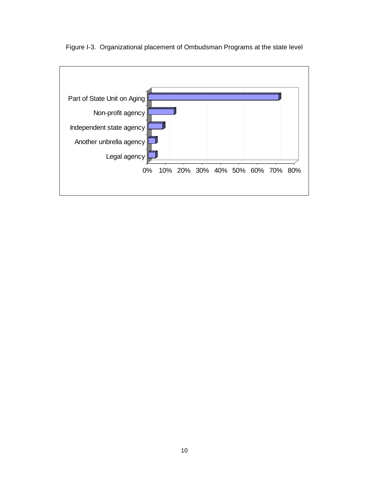

Figure I-3. Organizational placement of Ombudsman Programs at the state level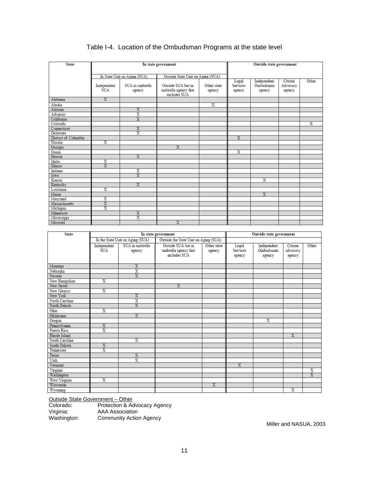| State                |                         |                              | In state government               |                         |                | Outside state government |          |                         |
|----------------------|-------------------------|------------------------------|-----------------------------------|-------------------------|----------------|--------------------------|----------|-------------------------|
|                      |                         |                              |                                   |                         |                |                          |          |                         |
|                      |                         | In State Unit on Aging (SUA) | Outside State Unit on Aging (SUA) |                         |                |                          |          |                         |
|                      |                         |                              |                                   |                         | Legal          | Independent              | Citizen  | Other                   |
|                      | Independent             | SUA in umbrella              | Outside SUA but in                | Other state             | Services       | Ombudsman                | Advocacy |                         |
|                      | SUA                     | agency                       | umbrella agency that              | agency                  | agency         | agency                   | agency   |                         |
|                      |                         |                              | includes SUA                      |                         |                |                          |          |                         |
| Alabama              | $\overline{\mathbf{x}}$ |                              |                                   |                         |                |                          |          |                         |
| Alaska               |                         |                              |                                   | $\overline{\mathrm{x}}$ |                |                          |          |                         |
| Arizona              |                         | $\overline{\text{X}}$        |                                   |                         |                |                          |          |                         |
| Arkansas             |                         | $\overline{\mathrm{x}}$      |                                   |                         |                |                          |          |                         |
| California           |                         | $\overline{\mathbf{x}}$      |                                   |                         |                |                          |          |                         |
| Colorado             |                         |                              |                                   |                         |                |                          |          | $\overline{\mathrm{x}}$ |
| Connecticut          |                         | $\overline{\mathbf{x}}$      |                                   |                         |                |                          |          |                         |
| Delaware             |                         | $\overline{\mathrm{x}}$      |                                   |                         |                |                          |          |                         |
| District of Columbia |                         |                              |                                   |                         | $\overline{X}$ |                          |          |                         |
| Florida              | $\overline{\mathrm{x}}$ |                              |                                   |                         |                |                          |          |                         |
| Georgia              |                         |                              | $\overline{\mathbf{X}}$           |                         |                |                          |          |                         |
| Guam                 |                         |                              |                                   |                         | X              |                          |          |                         |
| Hawaii               |                         | $\overline{\mathrm{x}}$      |                                   |                         |                |                          |          |                         |
| Idaho                | $\overline{\textbf{x}}$ |                              |                                   |                         |                |                          |          |                         |
| Illinois             | $\overline{\mathbf{x}}$ |                              |                                   |                         |                |                          |          |                         |
| Indiana              |                         | X                            |                                   |                         |                |                          |          |                         |
| Iowa                 |                         | X                            |                                   |                         |                |                          |          |                         |
| Kansas               |                         |                              |                                   |                         |                | $\overline{\mathbf{x}}$  |          |                         |
| Kentucky             |                         | $\overline{\mathrm{X}}$      |                                   |                         |                |                          |          |                         |
| Louisiana            | $\overline{\mathrm{x}}$ |                              |                                   |                         |                |                          |          |                         |
| Maine                |                         |                              |                                   |                         |                | $\overline{\mathbf{x}}$  |          |                         |
| Marvland             | X                       |                              |                                   |                         |                |                          |          |                         |
| Massachusetts        | $\overline{\mathbf{X}}$ |                              |                                   |                         |                |                          |          |                         |
| Michigan             | $\overline{\mathrm{x}}$ |                              |                                   |                         |                |                          |          |                         |
| Minnesota            |                         | X                            |                                   |                         |                |                          |          |                         |
| Mississippi          |                         | $\overline{\mathrm{x}}$      |                                   |                         |                |                          |          |                         |
| Missouri             |                         |                              | $\overline{\mathbf{x}}$           |                         |                |                          |          |                         |

### Table I-4. Location of the Ombudsman Programs at the state level

| State<br>In state government |                         |                                  |                                       |                         |                         | Outside state government |                         |                         |
|------------------------------|-------------------------|----------------------------------|---------------------------------------|-------------------------|-------------------------|--------------------------|-------------------------|-------------------------|
|                              |                         |                                  |                                       |                         |                         |                          |                         |                         |
|                              |                         | In the State Unit on Aging (SUA) | Outside the State Unit on Aging (SUA) |                         |                         |                          |                         |                         |
|                              | Independent             | SUA in umbrella                  | Outside SUA but in                    | Other state             | Legal                   | Independent              | Citizen                 | Other                   |
|                              | SUA                     | agency                           | umbrella agency that                  | agency                  | Services                | Ombudsman                | advocacy                |                         |
|                              |                         |                                  | includes SUA                          |                         | agency                  | agency                   | agency                  |                         |
|                              |                         |                                  |                                       |                         |                         |                          |                         |                         |
| Montana                      |                         | $\overline{\mathbf{x}}$          |                                       |                         |                         |                          |                         |                         |
| Nebraska                     |                         | $\overline{\mathrm{x}}$          |                                       |                         |                         |                          |                         |                         |
| Nevada                       |                         | $\overline{\mathbf{X}}$          |                                       |                         |                         |                          |                         |                         |
| New Hampshire                | $\overline{\mathbf{x}}$ |                                  |                                       |                         |                         |                          |                         |                         |
| New Jersey                   |                         |                                  | $\overline{\mathrm{x}}$               |                         |                         |                          |                         |                         |
| New Mexico                   | $\overline{\textbf{x}}$ |                                  |                                       |                         |                         |                          |                         |                         |
| New York                     |                         | $\overline{\mathrm{x}}$          |                                       |                         |                         |                          |                         |                         |
| North Carolina               |                         | X                                |                                       |                         |                         |                          |                         |                         |
| North Dakota                 |                         | $\overline{\mathrm{X}}$          |                                       |                         |                         |                          |                         |                         |
| Ohio                         | $\overline{\mathrm{x}}$ |                                  |                                       |                         |                         |                          |                         |                         |
| Oklahoma                     |                         | $\overline{\mathbf{x}}$          |                                       |                         |                         |                          |                         |                         |
| Oregon                       |                         |                                  |                                       |                         |                         | $\overline{\mathbf{X}}$  |                         |                         |
| Pennsylvania                 | X                       |                                  |                                       |                         |                         |                          |                         |                         |
| Puerto Rico                  | $\overline{\mathrm{x}}$ |                                  |                                       |                         |                         |                          |                         |                         |
| Rhode Island                 |                         |                                  |                                       |                         |                         |                          | X                       |                         |
| South Carolina               |                         | $\overline{\mathrm{x}}$          |                                       |                         |                         |                          |                         |                         |
| South Dakota                 | $\overline{\mathbf{x}}$ |                                  |                                       |                         |                         |                          |                         |                         |
| Tennessee                    | $\overline{\mathrm{x}}$ |                                  |                                       |                         |                         |                          |                         |                         |
| Texas                        |                         | $\overline{X}$                   |                                       |                         |                         |                          |                         |                         |
| Utah                         |                         | $\overline{\mathrm{x}}$          |                                       |                         |                         |                          |                         |                         |
| Vermont                      |                         |                                  |                                       |                         | $\overline{\mathbf{X}}$ |                          |                         |                         |
| Virginia                     |                         |                                  |                                       |                         |                         |                          |                         | Х                       |
| Washington                   |                         |                                  |                                       |                         |                         |                          |                         | $\overline{\mathrm{x}}$ |
| West Virginia                | $\overline{\mathrm{x}}$ |                                  |                                       |                         |                         |                          |                         |                         |
| Wisconsin                    |                         |                                  |                                       | $\overline{\mathrm{x}}$ |                         |                          |                         |                         |
| Wyoming                      |                         |                                  |                                       |                         |                         |                          | $\overline{\mathbf{x}}$ |                         |

Outside State Government – Other

Colorado: Protection & Advocacy Agency Virginia: AAA Association

Washington: Community Action Agency

Miller and NASUA, 2003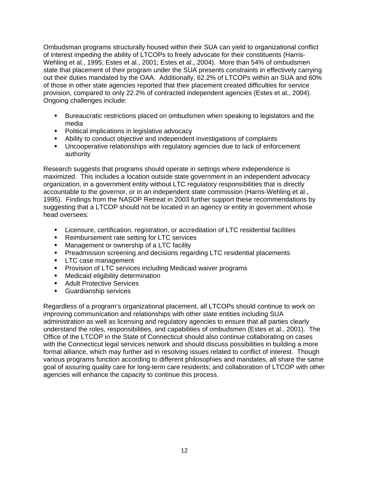Ombudsman programs structurally housed within their SUA can yield to organizational conflict of interest impeding the ability of LTCOPs to freely advocate for their constituents (Harris-Wehling et al., 1995; Estes et al., 2001; Estes et al., 2004). More than 54% of ombudsmen state that placement of their program under the SUA presents constraints in effectively carrying out their duties mandated by the OAA. Additionally, 62.2% of LTCOPs within an SUA and 60% of those in other state agencies reported that their placement created difficulties for service provision, compared to only 22.2% of contracted independent agencies (Estes et al., 2004). Ongoing challenges include:

- Bureaucratic restrictions placed on ombudsmen when speaking to legislators and the media
- Political implications in legislative advocacy
- Ability to conduct objective and independent investigations of complaints
- Uncooperative relationships with regulatory agencies due to lack of enforcement authority

Research suggests that programs should operate in settings where independence is maximized. This includes a location outside state government in an independent advocacy organization, in a government entity without LTC regulatory responsibilities that is directly accountable to the governor, or in an independent state commission (Harris-Wehling et al., 1995). Findings from the NASOP Retreat in 2003 further support these recommendations by suggesting that a LTCOP should not be located in an agency or entity in government whose head oversees:

- Licensure, certification, registration, or accreditation of LTC residential facilities
- **Reimbursement rate setting for LTC services**
- **Management or ownership of a LTC facility**
- **Preadmission screening and decisions regarding LTC residential placements**
- **LTC** case management
- **Provision of LTC services including Medicaid waiver programs**
- **Nedicaid eligibility determination**
- **Adult Protective Services**
- **Guardianship services**

<span id="page-14-0"></span>Regardless of a program's organizational placement, all LTCOPs should continue to work on improving communication and relationships with other state entities including SUA administration as well as licensing and regulatory agencies to ensure that all parties clearly understand the roles, responsibilities, and capabilities of ombudsmen (Estes et al., 2001). The Office of the LTCOP in the State of Connecticut should also continue collaborating on cases with the Connecticut legal services network and should discuss possibilities in building a more formal alliance, which may further aid in resolving issues related to conflict of interest. Though various programs function according to different philosophies and mandates, all share the same goal of assuring quality care for long-term care residents; and collaboration of LTCOP with other agencies will enhance the capacity to continue this process.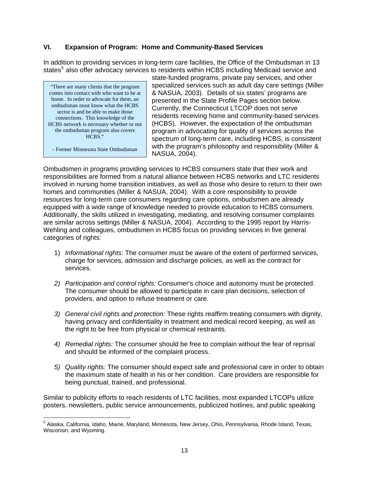#### **VI. Expansion of Program: Home and Community-Based Services**

In addition to providing services in long-term care facilities, the Office of the Ombudsman in 13 states<sup>[5](#page-14-0)</sup> also offer advocacy services to residents within HCBS including Medicaid service and

"There are many clients that the program comes into contact with who want to be at home. In order to advocate for them, an ombudsman must know what the HCBS sector is and be able to make those connections. This knowledge of the HCBS network is necessary whether or not the ombudsman program also covers HCBS."

- Former Minnesota State Ombudsman

state-funded programs, private pay services, and other specialized services such as adult day care settings (Miller & NASUA, 2003). Details of six states' programs are presented in the State Profile Pages section below. Currently, the Connecticut LTCOP does not serve residents receiving home and community-based services (HCBS). However, the expectation of the ombudsman program in advocating for quality of services across the spectrum of long-term care, including HCBS, is consistent with the program's philosophy and responsibility (Miller & NASUA, 2004).

Ombudsmen in programs providing services to HCBS consumers state that their work and responsibilities are formed from a natural alliance between HCBS networks and LTC residents involved in nursing home transition initiatives, as well as those who desire to return to their own homes and communities (Miller & NASUA, 2004). With a core responsibility to provide resources for long-term care consumers regarding care options, ombudsmen are already equipped with a wide range of knowledge needed to provide education to HCBS consumers. Additionally, the skills utilized in investigating, mediating, and resolving consumer complaints are similar across settings (Miller & NASUA, 2004). According to the 1995 report by Harris-Wehling and colleagues, ombudsmen in HCBS focus on providing services in five general categories of rights:

- 1) *Informational rights*: The consumer must be aware of the extent of performed services, charge for services, admission and discharge policies, as well as the contract for services.
- *2) Participation and control rights:* Consumer's choice and autonomy must be protected. The consumer should be allowed to participate in care plan decisions, selection of providers, and option to refuse treatment or care.
- *3) General civil rights and protection:* These rights reaffirm treating consumers with dignity, having privacy and confidentiality in treatment and medical record keeping, as well as the right to be free from physical or chemical restraints.
- *4) Remedial rights:* The consumer should be free to complain without the fear of reprisal and should be informed of the complaint process.
- *5) Quality rights:* The consumer should expect safe and professional care in order to obtain the maximum state of health in his or her condition. Care providers are responsible for being punctual, trained, and professional.

Similar to publicity efforts to reach residents of LTC facilities, most expanded LTCOPs utilize posters, newsletters, public service announcements, publicized hotlines, and public speaking

 5 Alaska, California, Idaho, Maine, Maryland, Minnesota, New Jersey, Ohio, Pennsylvania, Rhode Island, Texas, Wisconsin, and Wyoming.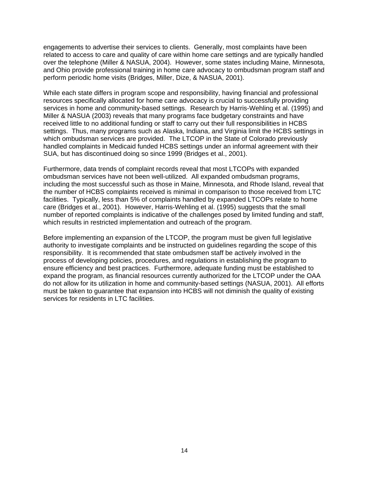engagements to advertise their services to clients. Generally, most complaints have been related to access to care and quality of care within home care settings and are typically handled over the telephone (Miller & NASUA, 2004). However, some states including Maine, Minnesota, and Ohio provide professional training in home care advocacy to ombudsman program staff and perform periodic home visits (Bridges, Miller, Dize, & NASUA, 2001).

While each state differs in program scope and responsibility, having financial and professional resources specifically allocated for home care advocacy is crucial to successfully providing services in home and community-based settings. Research by Harris-Wehling et al. (1995) and Miller & NASUA (2003) reveals that many programs face budgetary constraints and have received little to no additional funding or staff to carry out their full responsibilities in HCBS settings. Thus, many programs such as Alaska, Indiana, and Virginia limit the HCBS settings in which ombudsman services are provided. The LTCOP in the State of Colorado previously handled complaints in Medicaid funded HCBS settings under an informal agreement with their SUA, but has discontinued doing so since 1999 (Bridges et al., 2001).

Furthermore, data trends of complaint records reveal that most LTCOPs with expanded ombudsman services have not been well-utilized. All expanded ombudsman programs, including the most successful such as those in Maine, Minnesota, and Rhode Island, reveal that the number of HCBS complaints received is minimal in comparison to those received from LTC facilities. Typically, less than 5% of complaints handled by expanded LTCOPs relate to home care (Bridges et al., 2001). However, Harris-Wehling et al. (1995) suggests that the small number of reported complaints is indicative of the challenges posed by limited funding and staff, which results in restricted implementation and outreach of the program.

<span id="page-16-0"></span>Before implementing an expansion of the LTCOP, the program must be given full legislative authority to investigate complaints and be instructed on guidelines regarding the scope of this responsibility. It is recommended that state ombudsmen staff be actively involved in the process of developing policies, procedures, and regulations in establishing the program to ensure efficiency and best practices. Furthermore, adequate funding must be established to expand the program, as financial resources currently authorized for the LTCOP under the OAA do not allow for its utilization in home and community-based settings (NASUA, 2001). All efforts must be taken to guarantee that expansion into HCBS will not diminish the quality of existing services for residents in LTC facilities.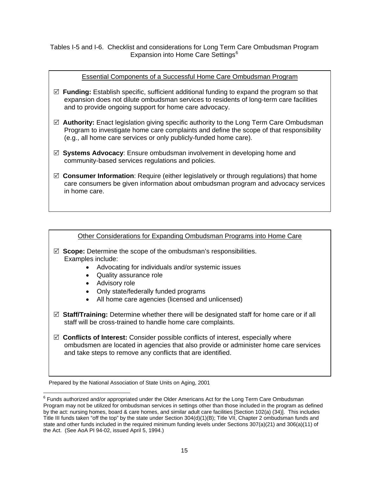Tables I-5 and I-6. Checklist and considerations for Long Term Care Ombudsman Program Expansion into Home Care Settings<sup>[6](#page-16-0)</sup>

#### Essential Components of a Successful Home Care Ombudsman Program

- 5 **Funding:** Establish specific, sufficient additional funding to expand the program so that expansion does not dilute ombudsman services to residents of long-term care facilities and to provide ongoing support for home care advocacy.
- 5 **Authority:** Enact legislation giving specific authority to the Long Term Care Ombudsman Program to investigate home care complaints and define the scope of that responsibility (e.g., all home care services or only publicly-funded home care).
- 5 **Systems Advocacy**: Ensure ombudsman involvement in developing home and community-based services regulations and policies.
- 5 **Consumer Information**: Require (either legislatively or through regulations) that home care consumers be given information about ombudsman program and advocacy services in home care.

#### Other Considerations for Expanding Ombudsman Programs into Home Care

- 5 **Scope:** Determine the scope of the ombudsman's responsibilities. Examples include:
	- Advocating for individuals and/or systemic issues
	- Quality assurance role
	- Advisory role
	- Only state/federally funded programs
	- All home care agencies (licensed and unlicensed)
- 5 **Staff/Training:** Determine whether there will be designated staff for home care or if all staff will be cross-trained to handle home care complaints.
- 5 **Conflicts of Interest:** Consider possible conflicts of interest, especially where ombudsmen are located in agencies that also provide or administer home care services and take steps to remove any conflicts that are identified.

Prepared by the National Association of State Units on Aging, 2001

 6 Funds authorized and/or appropriated under the Older Americans Act for the Long Term Care Ombudsman Program may not be utilized for ombudsman services in settings other than those included in the program as defined by the act: nursing homes, board & care homes, and similar adult care facilities [Section 102(a) (34)]. This includes Title III funds taken "off the top" by the state under Section 304(d)(1)(B); Title VII, Chapter 2 ombudsman funds and state and other funds included in the required minimum funding levels under Sections 307(a)(21) and 306(a)(11) of the Act. (See AoA PI 94-02, issued April 5, 1994.)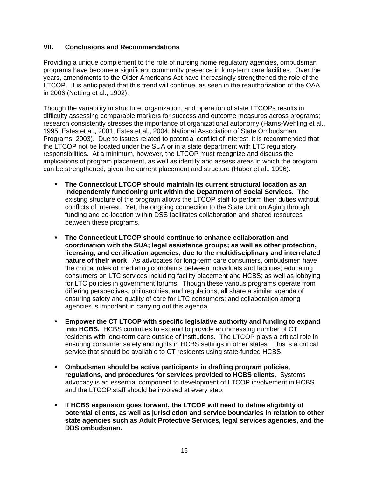#### **VII. Conclusions and Recommendations**

Providing a unique complement to the role of nursing home regulatory agencies, ombudsman programs have become a significant community presence in long-term care facilities. Over the years, amendments to the Older Americans Act have increasingly strengthened the role of the LTCOP. It is anticipated that this trend will continue, as seen in the reauthorization of the OAA in 2006 (Netting et al., 1992).

Though the variability in structure, organization, and operation of state LTCOPs results in difficulty assessing comparable markers for success and outcome measures across programs; research consistently stresses the importance of organizational autonomy (Harris-Wehling et al., 1995; Estes et al., 2001; Estes et al., 2004; National Association of State Ombudsman Programs, 2003). Due to issues related to potential conflict of interest, it is recommended that the LTCOP not be located under the SUA or in a state department with LTC regulatory responsibilities. At a minimum, however, the LTCOP must recognize and discuss the implications of program placement, as well as identify and assess areas in which the program can be strengthened, given the current placement and structure (Huber et al., 1996).

- **The Connecticut LTCOP should maintain its current structural location as an independently functioning unit within the Department of Social Services.** The existing structure of the program allows the LTCOP staff to perform their duties without conflicts of interest. Yet, the ongoing connection to the State Unit on Aging through funding and co-location within DSS facilitates collaboration and shared resources between these programs.
- **The Connecticut LTCOP should continue to enhance collaboration and coordination with the SUA; legal assistance groups; as well as other protection, licensing, and certification agencies, due to the multidisciplinary and interrelated nature of their work**. As advocates for long-term care consumers, ombudsmen have the critical roles of mediating complaints between individuals and facilities; educating consumers on LTC services including facility placement and HCBS; as well as lobbying for LTC policies in government forums. Though these various programs operate from differing perspectives, philosophies, and regulations, all share a similar agenda of ensuring safety and quality of care for LTC consumers; and collaboration among agencies is important in carrying out this agenda.
- **Empower the CT LTCOP with specific legislative authority and funding to expand into HCBS.** HCBS continues to expand to provide an increasing number of CT residents with long-term care outside of institutions. The LTCOP plays a critical role in ensuring consumer safety and rights in HCBS settings in other states. This is a critical service that should be available to CT residents using state-funded HCBS.
- **Ombudsmen should be active participants in drafting program policies, regulations, and procedures for services provided to HCBS clients**. Systems advocacy is an essential component to development of LTCOP involvement in HCBS and the LTCOP staff should be involved at every step.
- **If HCBS expansion goes forward, the LTCOP will need to define eligibility of potential clients, as well as jurisdiction and service boundaries in relation to other state agencies such as Adult Protective Services, legal services agencies, and the DDS ombudsman.**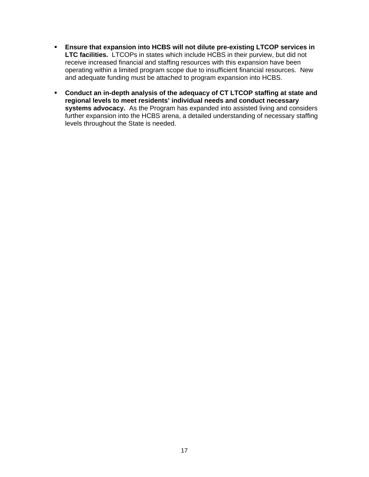- **Ensure that expansion into HCBS will not dilute pre-existing LTCOP services in LTC facilities.** LTCOPs in states which include HCBS in their purview, but did not receive increased financial and staffing resources with this expansion have been operating within a limited program scope due to insufficient financial resources. New and adequate funding must be attached to program expansion into HCBS.
- **Conduct an in-depth analysis of the adequacy of CT LTCOP staffing at state and regional levels to meet residents' individual needs and conduct necessary systems advocacy.** As the Program has expanded into assisted living and considers further expansion into the HCBS arena, a detailed understanding of necessary staffing levels throughout the State is needed.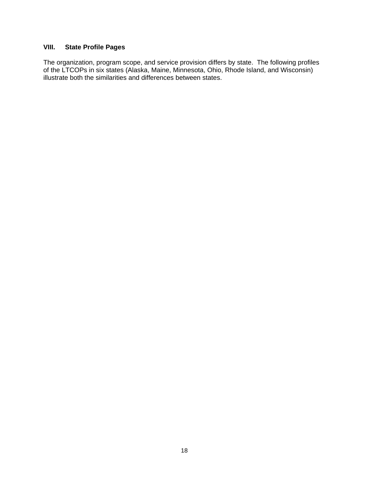#### **VIII. State Profile Pages**

The organization, program scope, and service provision differs by state. The following profiles of the LTCOPs in six states (Alaska, Maine, Minnesota, Ohio, Rhode Island, and Wisconsin) illustrate both the similarities and differences between states.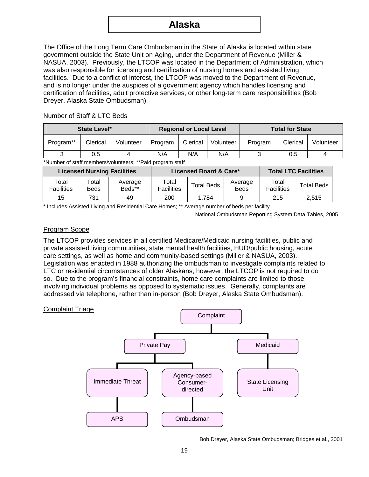## **Alaska**

The Office of the Long Term Care Ombudsman in the State of Alaska is located within state government outside the State Unit on Aging, under the Department of Revenue (Miller & NASUA, 2003). Previously, the LTCOP was located in the Department of Administration, which was also responsible for licensing and certification of nursing homes and assisted living facilities. Due to a conflict of interest, the LTCOP was moved to the Department of Revenue, and is no longer under the auspices of a government agency which handles licensing and certification of facilities, adult protective services, or other long-term care responsibilities (Bob Dreyer, Alaska State Ombudsman).

#### Number of Staff & LTC Beds

| State Level* |          |           | <b>Regional or Local Level</b> |          |           | <b>Total for State</b> |          |           |
|--------------|----------|-----------|--------------------------------|----------|-----------|------------------------|----------|-----------|
| Program**    | Clerical | Volunteer | Program                        | Clerical | Volunteer | Program                | Clerical | Volunteer |
| ◠            | 0.5      |           | N/A                            | N/A      | N/A       |                        | 0.5      |           |

\*Number of staff members/volunteers; \*\*Paid program staff

| <b>Licensed Nursing Facilities</b> |                      |                   |                            | Licensed Board & Care* | <b>Total LTC Facilities</b> |                            |                   |
|------------------------------------|----------------------|-------------------|----------------------------|------------------------|-----------------------------|----------------------------|-------------------|
| Total<br><b>Facilities</b>         | Total<br><b>Beds</b> | Average<br>Beds** | Total<br><b>Facilities</b> | <b>Total Beds</b>      | Average<br><b>Beds</b>      | Total<br><b>Facilities</b> | <b>Total Beds</b> |
| 15                                 | 731                  | 49                | 200                        | 1.784                  |                             | 215                        | 2.515             |

\* Includes Assisted Living and Residential Care Homes; \*\* Average number of beds per facility

National Ombudsman Reporting System Data Tables, 2005

#### Program Scope

The LTCOP provides services in all certified Medicare/Medicaid nursing facilities, public and private assisted living communities, state mental health facilities, HUD/public housing, acute care settings, as well as home and community-based settings (Miller & NASUA, 2003). Legislation was enacted in 1988 authorizing the ombudsman to investigate complaints related to LTC or residential circumstances of older Alaskans; however, the LTCOP is not required to do so. Due to the program's financial constraints, home care complaints are limited to those involving individual problems as opposed to systematic issues. Generally, complaints are addressed via telephone, rather than in-person (Bob Dreyer, Alaska State Ombudsman).

#### Complaint Triage



Bob Dreyer, Alaska State Ombudsman; Bridges et al., 2001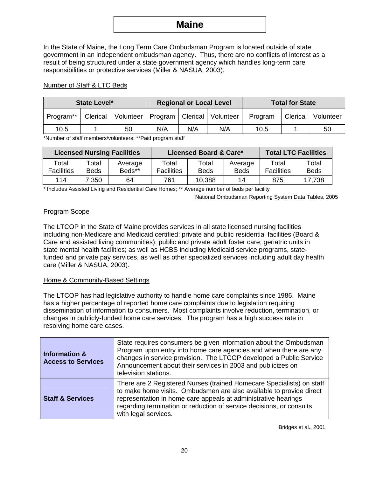## **Maine**

In the State of Maine, the Long Term Care Ombudsman Program is located outside of state government in an independent ombudsman agency. Thus, there are no conflicts of interest as a result of being structured under a state government agency which handles long-term care responsibilities or protective services (Miller & NASUA, 2003).

#### Number of Staff & LTC Beds

| State Level* |  |                                                       |     | <b>Regional or Local Level</b> |     | <b>Total for State</b> |  |                      |  |
|--------------|--|-------------------------------------------------------|-----|--------------------------------|-----|------------------------|--|----------------------|--|
| Program**    |  | Clerical   Volunteer   Program   Clerical   Volunteer |     |                                |     | Program                |  | Clerical   Volunteer |  |
| 10.5         |  | 50                                                    | N/A | N/A                            | N/A | 10.5                   |  | 50                   |  |

\*Number of staff members/volunteers; \*\*Paid program staff

| <b>Licensed Nursing Facilities</b> |                      |                   |                            | Licensed Board & Care* | <b>Total LTC Facilities</b> |                            |                      |
|------------------------------------|----------------------|-------------------|----------------------------|------------------------|-----------------------------|----------------------------|----------------------|
| Total<br><b>Facilities</b>         | Total<br><b>Beds</b> | Average<br>Beds** | Total<br><b>Facilities</b> | Total<br><b>Beds</b>   | Average<br><b>Beds</b>      | Total<br><b>Facilities</b> | Total<br><b>Beds</b> |
| 114                                | 7,350                | 64                | 761                        | 10,388                 | 14                          | 875                        | 17,738               |

\* Includes Assisted Living and Residential Care Homes; \*\* Average number of beds per facility

National Ombudsman Reporting System Data Tables, 2005

#### Program Scope

The LTCOP in the State of Maine provides services in all state licensed nursing facilities including non-Medicare and Medicaid certified; private and public residential facilities (Board & Care and assisted living communities); public and private adult foster care; geriatric units in state mental health facilities; as well as HCBS including Medicaid service programs, statefunded and private pay services, as well as other specialized services including adult day health care (Miller & NASUA, 2003).

#### Home & Community-Based Settings

The LTCOP has had legislative authority to handle home care complaints since 1986. Maine has a higher percentage of reported home care complaints due to legislation requiring dissemination of information to consumers. Most complaints involve reduction, termination, or changes in publicly-funded home care services. The program has a high success rate in resolving home care cases.

| <b>Information &amp;</b><br><b>Access to Services</b> | State requires consumers be given information about the Ombudsman<br>Program upon entry into home care agencies and when there are any<br>changes in service provision. The LTCOP developed a Public Service<br>Announcement about their services in 2003 and publicizes on<br>television stations.            |
|-------------------------------------------------------|----------------------------------------------------------------------------------------------------------------------------------------------------------------------------------------------------------------------------------------------------------------------------------------------------------------|
| <b>Staff &amp; Services</b>                           | There are 2 Registered Nurses (trained Homecare Specialists) on staff<br>to make home visits. Ombudsmen are also available to provide direct<br>representation in home care appeals at administrative hearings<br>regarding termination or reduction of service decisions, or consults<br>with legal services. |

Bridges et al., 2001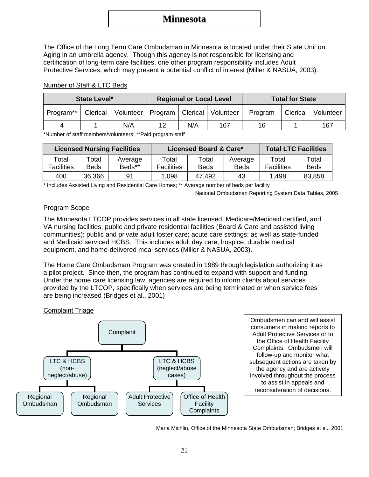## **Minnesota**

The Office of the Long Term Care Ombudsman in Minnesota is located under their State Unit on Aging in an umbrella agency. Though this agency is not responsible for licensing and certification of long-term care facilities, one other program responsibility includes Adult Protective Services, which may present a potential conflict of interest (Miller & NASUA, 2003).

#### Number of Staff & LTC Beds

| State Level* |  |                                                       | <b>Regional or Local Level</b> |     | <b>Total for State</b> |         |  |                      |
|--------------|--|-------------------------------------------------------|--------------------------------|-----|------------------------|---------|--|----------------------|
| Program**    |  | Clerical   Volunteer   Program   Clerical   Volunteer |                                |     |                        | Program |  | Clerical   Volunteer |
| 4            |  | N/A                                                   | 12                             | N/A | 167                    | 16      |  | 167                  |

\*Number of staff members/volunteers; \*\*Paid program staff

| <b>Licensed Nursing Facilities</b> |                      |                   |                            | Licensed Board & Care* | <b>Total LTC Facilities</b> |                            |                      |
|------------------------------------|----------------------|-------------------|----------------------------|------------------------|-----------------------------|----------------------------|----------------------|
| Total<br><b>Facilities</b>         | Total<br><b>Beds</b> | Average<br>Beds** | Total<br><b>Facilities</b> | Total<br>Beds          | Average<br><b>Beds</b>      | Total<br><b>Facilities</b> | Total<br><b>Beds</b> |
| 400                                | 36,366               | 91                | 1,098                      | 47,492                 | 43                          | 1,498                      | 83,858               |

\* Includes Assisted Living and Residential Care Homes; \*\* Average number of beds per facility

National Ombudsman Reporting System Data Tables, 2005

#### Program Scope

The Minnesota LTCOP provides services in all state licensed, Medicare/Medicaid certified, and VA nursing facilities; public and private residential facilities (Board & Care and assisted living communities); public and private adult foster care; acute care settings; as well as state-funded and Medicaid serviced HCBS. This includes adult day care, hospice, durable medical equipment, and home-delivered meal services (Miller & NASUA, 2003).

The Home Care Ombudsman Program was created in 1989 through legislation authorizing it as a pilot project. Since then, the program has continued to expand with support and funding. Under the home care licensing law, agencies are required to inform clients about services provided by the LTCOP, specifically when services are being terminated or when service fees are being increased (Bridges et al., 2001)

#### Complaint Triage



Ombudsmen can and will assist consumers in making reports to Adult Protective Services or to the Office of Health Facility Complaints. Ombudsmen will follow-up and monitor what subsequent actions are taken by the agency and are actively involved throughout the process to assist in appeals and reconsideration of decisions.

Maria Michlin, Office of the Minnesota State Ombudsman; Bridges et al., 2001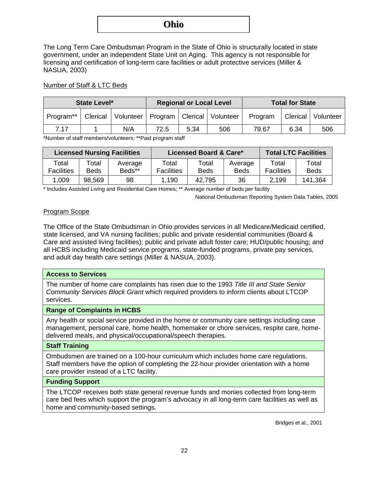## **Ohio**

The Long Term Care Ombudsman Program in the State of Ohio is structurally located in state government, under an independent State Unit on Aging. This agency is not responsible for licensing and certification of long-term care facilities or adult protective services (Miller & NASUA, 2003)

#### Number of Staff & LTC Beds

| State Level*          |  |                                                       |      | <b>Regional or Local Level</b> |     | <b>Total for State</b> |      |                      |
|-----------------------|--|-------------------------------------------------------|------|--------------------------------|-----|------------------------|------|----------------------|
| Program <sup>**</sup> |  | Clerical   Volunteer   Program   Clerical   Volunteer |      |                                |     | Program                |      | Clerical   Volunteer |
| 7 1 7                 |  | N/A                                                   | 72.5 | 5.34                           | 506 | 79.67                  | 6.34 | 506                  |

\*Number of staff members/volunteers; \*\*Paid program staff

| <b>Licensed Nursing Facilities</b> |                      |                   |                            | Licensed Board & Care* | <b>Total LTC Facilities</b> |                            |                      |
|------------------------------------|----------------------|-------------------|----------------------------|------------------------|-----------------------------|----------------------------|----------------------|
| Total<br><b>Facilities</b>         | Total<br><b>Beds</b> | Average<br>Beds** | Total<br><b>Facilities</b> | Total<br><b>Beds</b>   | Average<br><b>Beds</b>      | Total<br><b>Facilities</b> | Total<br><b>Beds</b> |
| 1,009                              | 98,569               | 98                | .190                       | 42,795                 | 36                          | 2,199                      | 141,364              |

\* Includes Assisted Living and Residential Care Homes; \*\* Average number of beds per facility

National Ombudsman Reporting System Data Tables, 2005

#### Program Scope

The Office of the State Ombudsman in Ohio provides services in all Medicare/Medicaid certified, state licensed, and VA nursing facilities; public and private residential communities (Board & Care and assisted living facilities); public and private adult foster care; HUD/public housing; and all HCBS including Medicaid service programs, state-funded programs, private pay services, and adult day health care settings (Miller & NASUA, 2003).

#### **Access to Services**

The number of home care complaints has risen due to the 1993 *Title III and State Senior Community Services Block Grant* which required providers to inform clients about LTCOP services.

#### **Range of Complaints in HCBS**

Any health or social service provided in the home or community care settings including case management, personal care, home health, homemaker or chore services, respite care, homedelivered meals, and physical/occupational/speech therapies.

#### **Staff Training**

Ombudsmen are trained on a 100-hour curriculum which includes home care regulations. Staff members have the option of completing the 22-hour provider orientation with a home care provider instead of a LTC facility.

#### **Funding Support**

The LTCOP receives both state general revenue funds and monies collected from long-term care bed fees which support the program's advocacy in all long-term care facilities as well as home and community-based settings.

Bridges et al., 2001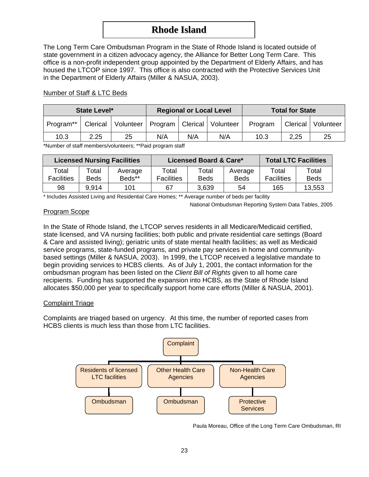## **Rhode Island**

The Long Term Care Ombudsman Program in the State of Rhode Island is located outside of state government in a citizen advocacy agency, the Alliance for Better Long Term Care. This office is a non-profit independent group appointed by the Department of Elderly Affairs, and has housed the LTCOP since 1997. This office is also contracted with the Protective Services Unit in the Department of Elderly Affairs (Miller & NASUA, 2003).

| State Level* |      |                                                       | <b>Regional or Local Level</b> |     | <b>Total for State</b> |         |          |           |
|--------------|------|-------------------------------------------------------|--------------------------------|-----|------------------------|---------|----------|-----------|
| Program**    |      | Clerical   Volunteer   Program   Clerical   Volunteer |                                |     |                        | Program | Clerical | Volunteer |
| 10.3         | 2.25 | 25                                                    | N/A                            | N/A | N/A                    | 10.3    | 2,25     | 25        |

#### Number of Staff & LTC Beds

\*Number of staff members/volunteers; \*\*Paid program staff

| <b>Licensed Nursing Facilities</b> |                      |                   |                            | Licensed Board & Care* | <b>Total LTC Facilities</b> |                            |                      |
|------------------------------------|----------------------|-------------------|----------------------------|------------------------|-----------------------------|----------------------------|----------------------|
| Total<br><b>Facilities</b>         | Total<br><b>Beds</b> | Average<br>Beds** | Total<br><b>Facilities</b> | Total<br><b>Beds</b>   | Average<br><b>Beds</b>      | Total<br><b>Facilities</b> | Total<br><b>Beds</b> |
| 98                                 | 9,914                | 101               | 67                         | 3,639                  | 54                          | 165                        | 13,553               |

\* Includes Assisted Living and Residential Care Homes; \*\* Average number of beds per facility

National Ombudsman Reporting System Data Tables, 2005

#### Program Scope

In the State of Rhode Island, the LTCOP serves residents in all Medicare/Medicaid certified, state licensed, and VA nursing facilities; both public and private residential care settings (Board & Care and assisted living); geriatric units of state mental health facilities; as well as Medicaid service programs, state-funded programs, and private pay services in home and communitybased settings (Miller & NASUA, 2003). In 1999, the LTCOP received a legislative mandate to begin providing services to HCBS clients. As of July 1, 2001, the contact information for the ombudsman program has been listed on the *Client Bill of Rights* given to all home care recipients. Funding has supported the expansion into HCBS, as the State of Rhode Island allocates \$50,000 per year to specifically support home care efforts (Miller & NASUA, 2001).

#### Complaint Triage

Complaints are triaged based on urgency. At this time, the number of reported cases from HCBS clients is much less than those from LTC facilities.



Paula Moreau, Office of the Long Term Care Ombudsman, RI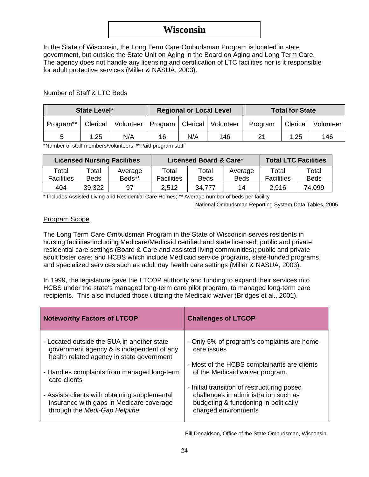## **Wisconsin**

In the State of Wisconsin, the Long Term Care Ombudsman Program is located in state government, but outside the State Unit on Aging in the Board on Aging and Long Term Care. The agency does not handle any licensing and certification of LTC facilities nor is it responsible for adult protective services (Miller & NASUA, 2003).

#### Number of Staff & LTC Beds

| State Level* |          |                                            |    | <b>Regional or Local Level</b> |     | <b>Total for State</b> |      |                      |
|--------------|----------|--------------------------------------------|----|--------------------------------|-----|------------------------|------|----------------------|
| Program**    | Clerical | Volunteer   Program   Clerical   Volunteer |    |                                |     | Program                |      | Clerical   Volunteer |
| b            | 1.25     | N/A                                        | 16 | N/A                            | 146 | 21                     | 1,25 | 146                  |

\*Number of staff members/volunteers; \*\*Paid program staff

| <b>Licensed Nursing Facilities</b> |                      |                   |                            | Licensed Board & Care* | <b>Total LTC Facilities</b> |                            |                      |
|------------------------------------|----------------------|-------------------|----------------------------|------------------------|-----------------------------|----------------------------|----------------------|
| Total<br><b>Facilities</b>         | Total<br><b>Beds</b> | Average<br>Beds** | Total<br><b>Facilities</b> | Total<br>Beds          | Average<br><b>Beds</b>      | Total<br><b>Facilities</b> | Total<br><b>Beds</b> |
| 404                                | 39,322               | 97                | 2.512                      | 34,777                 | 14                          | 2,916                      | 74,099               |

\* Includes Assisted Living and Residential Care Homes; \*\* Average number of beds per facility

National Ombudsman Reporting System Data Tables, 2005

#### Program Scope

The Long Term Care Ombudsman Program in the State of Wisconsin serves residents in nursing facilities including Medicare/Medicaid certified and state licensed; public and private residential care settings (Board & Care and assisted living communities); public and private adult foster care; and HCBS which include Medicaid service programs, state-funded programs, and specialized services such as adult day health care settings (Miller & NASUA, 2003).

In 1999, the legislature gave the LTCOP authority and funding to expand their services into HCBS under the state's managed long-term care pilot program, to managed long-term care recipients. This also included those utilizing the Medicaid waiver (Bridges et al., 2001).

| <b>Noteworthy Factors of LTCOP</b>                                                                                                   | <b>Challenges of LTCOP</b>                                                                                                                            |
|--------------------------------------------------------------------------------------------------------------------------------------|-------------------------------------------------------------------------------------------------------------------------------------------------------|
| - Located outside the SUA in another state<br>government agency & is independent of any<br>health related agency in state government | - Only 5% of program's complaints are home<br>care issues                                                                                             |
| - Handles complaints from managed long-term<br>care clients                                                                          | - Most of the HCBS complainants are clients<br>of the Medicaid waiver program.                                                                        |
| - Assists clients with obtaining supplemental<br>insurance with gaps in Medicare coverage<br>through the Medi-Gap Helpline           | - Initial transition of restructuring posed<br>challenges in administration such as<br>budgeting & functioning in politically<br>charged environments |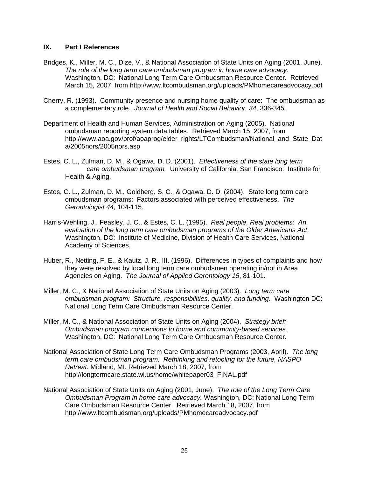#### **IX. Part I References**

- Bridges, K., Miller, M. C., Dize, V., & National Association of State Units on Aging (2001, June). *The role of the long term care ombudsman program in home care advocacy*. Washington, DC: National Long Term Care Ombudsman Resource Center. Retrieved March 15, 2007, from http://www.ltcombudsman.org/uploads/PMhomecareadvocacy.pdf
- Cherry, R. (1993). Community presence and nursing home quality of care: The ombudsman as a complementary role. *Journal of Health and Social Behavior, 34*, 336-345.
- Department of Health and Human Services, Administration on Aging (2005). National ombudsman reporting system data tables. Retrieved March 15, 2007, from [http://www.aoa.gov/prof/aoaprog/elder\\_rights/LTCombudsman/National\\_and\\_State\\_Dat](http://www.aoa.gov/prof/aoaprog/elder_rights/LTCombudsman/National_and_State_Data/2005nors/2005nors.asp) [a/2005nors/2005nors.asp](http://www.aoa.gov/prof/aoaprog/elder_rights/LTCombudsman/National_and_State_Data/2005nors/2005nors.asp)
- Estes, C. L., Zulman, D. M., & Ogawa, D. D. (2001). *Effectiveness of the state long term care ombudsman program.* University of California, San Francisco: Institute for Health & Aging.
- Estes, C. L., Zulman, D. M., Goldberg, S. C., & Ogawa, D. D. (2004). State long term care ombudsman programs: Factors associated with perceived effectiveness. *The Gerontologist 44,* 104-115.
- Harris-Wehling, J., Feasley, J. C., & Estes, C. L. (1995). *Real people, Real problems: An evaluation of the long term care ombudsman programs of the Older Americans Act*. Washington, DC: Institute of Medicine, Division of Health Care Services, National Academy of Sciences.
- Huber, R., Netting, F. E., & Kautz, J. R., III. (1996). Differences in types of complaints and how they were resolved by local long term care ombudsmen operating in/not in Area Agencies on Aging. *The Journal of Applied Gerontology 15*, 81-101.
- Miller, M. C., & National Association of State Units on Aging (2003). *Long term care ombudsman program: Structure, responsibilities, quality, and funding*. Washington DC: National Long Term Care Ombudsman Resource Center.
- Miller, M. C., & National Association of State Units on Aging (2004). *Strategy brief: Ombudsman program connections to home and community-based services*. Washington, DC: National Long Term Care Ombudsman Resource Center.
- National Association of State Long Term Care Ombudsman Programs (2003, April). *The long term care ombudsman program: Rethinking and retooling for the future, NASPO Retreat.* Midland, MI. Retrieved March 18, 2007, from http://longtermcare.state.wi.us/home/whitepaper03\_FINAL.pdf
- National Association of State Units on Aging (2001, June). *The role of the Long Term Care Ombudsman Program in home care advocacy.* Washington, DC: National Long Term Care Ombudsman Resource Center. Retrieved March 18, 2007, from http://www.ltcombudsman.org/uploads/PMhomecareadvocacy.pdf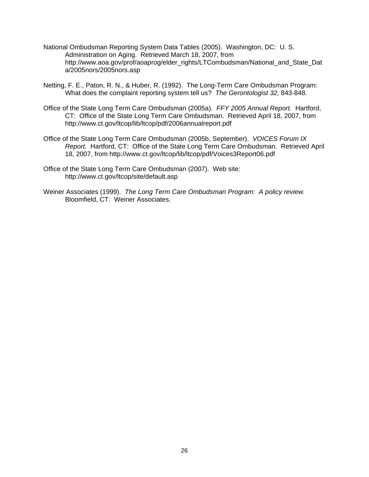- National Ombudsman Reporting System Data Tables (2005). Washington, DC: U. S. Administration on Aging. Retrieved March 18, 2007, from http://www.aoa.gov/prof/aoaprog/elder\_rights/LTCombudsman/National\_and\_State\_Dat a/2005nors/2005nors.asp
- Netting, F. E., Paton, R. N., & Huber, R. (1992). The Long-Term Care Ombudsman Program: What does the complaint reporting system tell us? *The Gerontologist 32,* 843-848.
- Office of the State Long Term Care Ombudsman (2005a). *FFY 2005 Annual Report.* Hartford, CT: Office of the State Long Term Care Ombudsman. Retrieved April 18, 2007, from <http://www.ct.gov/ltcop/lib/ltcop/pdf/2006annualreport.pdf>
- Office of the State Long Term Care Ombudsman (2005b, September). *VOICES Forum IX Report.* Hartford, CT: Office of the State Long Term Care Ombudsman. Retrieved April 18, 2007, from http://www.ct.gov/ltcop/lib/ltcop/pdf/Voices3Report06.pdf
- Office of the State Long Term Care Ombudsman (2007). Web site: <http://www.ct.gov/ltcop/site/default.asp>
- Weiner Associates (1999). *The Long Term Care Ombudsman Program: A policy review.* Bloomfield, CT: Weiner Associates.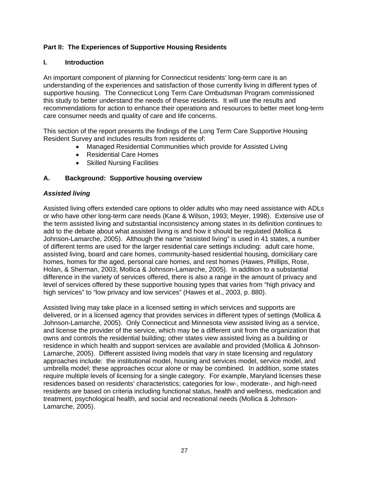#### **Part II: The Experiences of Supportive Housing Residents**

#### **I. Introduction**

An important component of planning for Connecticut residents' long-term care is an understanding of the experiences and satisfaction of those currently living in different types of supportive housing. The Connecticut Long Term Care Ombudsman Program commissioned this study to better understand the needs of these residents. It will use the results and recommendations for action to enhance their operations and resources to better meet long-term care consumer needs and quality of care and life concerns.

This section of the report presents the findings of the Long Term Care Supportive Housing Resident Survey and includes results from residents of:

- Managed Residential Communities which provide for Assisted Living
- Residential Care Homes
- Skilled Nursing Facilities

#### **A. Background: Supportive housing overview**

#### *Assisted living*

Assisted living offers extended care options to older adults who may need assistance with ADLs or who have other long-term care needs (Kane & Wilson, 1993; Meyer, 1998). Extensive use of the term assisted living and substantial inconsistency among states in its definition continues to add to the debate about what assisted living is and how it should be regulated (Mollica & Johnson-Lamarche, 2005). Although the name "assisted living" is used in 41 states, a number of different terms are used for the larger residential care settings including: adult care home, assisted living, board and care homes, community-based residential housing, domiciliary care homes, homes for the aged, personal care homes, and rest homes (Hawes, Phillips, Rose, Holan, & Sherman, 2003; Mollica & Johnson-Lamarche, 2005). In addition to a substantial difference in the variety of services offered, there is also a range in the amount of privacy and level of services offered by these supportive housing types that varies from "high privacy and high services" to "low privacy and low services" (Hawes et al., 2003, p. 880).

Assisted living may take place in a licensed setting in which services and supports are delivered, or in a licensed agency that provides services in different types of settings (Mollica & Johnson-Lamarche, 2005). Only Connecticut and Minnesota view assisted living as a service, and license the provider of the service, which may be a different unit from the organization that owns and controls the residential building; other states view assisted living as a building or residence in which health and support services are available and provided (Mollica & Johnson-Lamarche, 2005). Different assisted living models that vary in state licensing and regulatory approaches include: the institutional model, housing and services model, service model, and umbrella model; these approaches occur alone or may be combined. In addition, some states require multiple levels of licensing for a single category. For example, Maryland licenses these residences based on residents' characteristics; categories for low-, moderate-, and high-need residents are based on criteria including functional status, health and wellness, medication and treatment, psychological health, and social and recreational needs (Mollica & Johnson-Lamarche, 2005).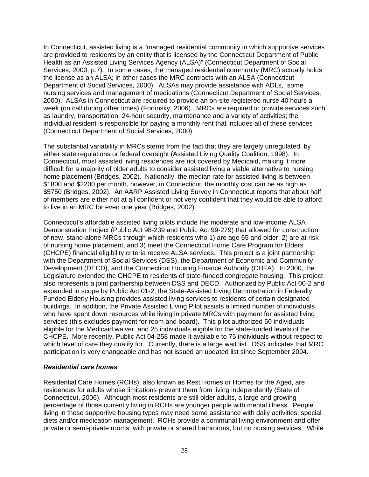In Connecticut, assisted living is a "managed residential community in which supportive services are provided to residents by an entity that is licensed by the Connecticut Department of Public Health as an Assisted Living Services Agency (ALSA)" (Connecticut Department of Social Services, 2000, p.7). In some cases, the managed residential community (MRC) actually holds the license as an ALSA; in other cases the MRC contracts with an ALSA (Connecticut Department of Social Services, 2000). ALSAs may provide assistance with ADLs, some nursing services and management of medications (Connecticut Department of Social Services, 2000). ALSAs in Connecticut are required to provide an on-site registered nurse 40 hours a week (on call during other times) (Fortinsky, 2006). MRCs are required to provide services such as laundry, transportation, 24-hour security, maintenance and a variety of activities; the individual resident is responsible for paying a monthly rent that includes all of these services (Connecticut Department of Social Services, 2000).

The substantial variability in MRCs stems from the fact that they are largely unregulated, by either state regulations or federal oversight (Assisted Living Quality Coalition, 1998). In Connecticut, most assisted living residences are not covered by Medicaid, making it more difficult for a majority of older adults to consider assisted living a viable alternative to nursing home placement (Bridges, 2002). Nationally, the median rate for assisted living is between \$1800 and \$2200 per month, however, in Connecticut, the monthly cost can be as high as \$5750 (Bridges, 2002). An AARP Assisted Living Survey in Connecticut reports that about half of members are either not at all confident or not very confident that they would be able to afford to live in an MRC for even one year (Bridges, 2002).

Connecticut's affordable assisted living pilots include the moderate and low-income ALSA Demonstration Project (Public Act 98-239 and Public Act 99-279) that allowed for construction of new, stand-alone MRCs through which residents who 1) are age 65 and older, 2) are at risk of nursing home placement, and 3) meet the Connecticut Home Care Program for Elders (CHCPE) financial eligibility criteria receive ALSA services. This project is a joint partnership with the Department of Social Services (DSS), the Department of Economic and Community Development (DECD), and the Connecticut Housing Finance Authority (CHFA). In 2000, the Legislature extended the CHCPE to residents of state-funded congregate housing. This project also represents a joint partnership between DSS and DECD. Authorized by Public Act 00-2 and expanded in scope by Public Act 01-2, the State-Assisted Living Demonstration in Federally Funded Elderly Housing provides assisted living services to residents of certain designated buildings. In addition, the Private Assisted Living Pilot assists a limited number of individuals who have spent down resources while living in private MRCs with payment for assisted living services (this excludes payment for room and board). This pilot authorized 50 individuals eligible for the Medicaid waiver, and 25 individuals eligible for the state-funded levels of the CHCPE. More recently, Public Act 04-258 made it available to 75 individuals without respect to which level of care they qualify for. Currently, there is a large wait list. DSS indicates that MRC participation is very changeable and has not issued an updated list since September 2004.

#### *Residential care homes*

Residential Care Homes (RCHs), also known as Rest Homes or Homes for the Aged, are residences for adults whose limitations prevent them from living independently (State of Connecticut, 2006). Although most residents are still older adults, a large and growing percentage of those currently living in RCHs are younger people with mental illness. People living in these supportive housing types may need some assistance with daily activities, special diets and/or medication management. RCHs provide a communal living environment and offer private or semi-private rooms, with private or shared bathrooms, but no nursing services. While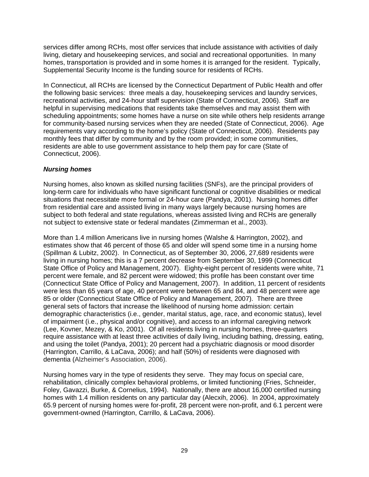services differ among RCHs, most offer services that include assistance with activities of daily living, dietary and housekeeping services, and social and recreational opportunities. In many homes, transportation is provided and in some homes it is arranged for the resident. Typically, Supplemental Security Income is the funding source for residents of RCHs.

In Connecticut, all RCHs are licensed by the Connecticut Department of Public Health and offer the following basic services: three meals a day, housekeeping services and laundry services, recreational activities, and 24-hour staff supervision (State of Connecticut, 2006). Staff are helpful in supervising medications that residents take themselves and may assist them with scheduling appointments; some homes have a nurse on site while others help residents arrange for community-based nursing services when they are needed (State of Connecticut, 2006). Age requirements vary according to the home's policy (State of Connecticut, 2006). Residents pay monthly fees that differ by community and by the room provided; in some communities, residents are able to use government assistance to help them pay for care (State of Connecticut, 2006).

#### *Nursing homes*

Nursing homes, also known as skilled nursing facilities (SNFs), are the principal providers of long-term care for individuals who have significant functional or cognitive disabilities or medical situations that necessitate more formal or 24-hour care (Pandya, 2001). Nursing homes differ from residential care and assisted living in many ways largely because nursing homes are subject to both federal and state regulations, whereas assisted living and RCHs are generally not subject to extensive state or federal mandates (Zimmerman et al., 2003).

More than 1.4 million Americans live in nursing homes (Walshe & Harrington, 2002), and estimates show that 46 percent of those 65 and older will spend some time in a nursing home (Spillman & Lubitz, 2002). In Connecticut, as of September 30, 2006, 27,689 residents were living in nursing homes; this is a 7 percent decrease from September 30, 1999 (Connecticut State Office of Policy and Management, 2007). Eighty-eight percent of residents were white, 71 percent were female, and 82 percent were widowed; this profile has been constant over time (Connecticut State Office of Policy and Management, 2007). In addition, 11 percent of residents were less than 65 years of age, 40 percent were between 65 and 84, and 48 percent were age 85 or older (Connecticut State Office of Policy and Management, 2007). There are three general sets of factors that increase the likelihood of nursing home admission: certain demographic characteristics (i.e., gender, marital status, age, race, and economic status), level of impairment (i.e., physical and/or cognitive), and access to an informal caregiving network (Lee, Kovner, Mezey, & Ko, 2001). Of all residents living in nursing homes, three-quarters require assistance with at least three activities of daily living, including bathing, dressing, eating, and using the toilet (Pandya, 2001); 20 percent had a psychiatric diagnosis or mood disorder (Harrington, Carrillo, & LaCava, 2006); and half (50%) of residents were diagnosed with dementia (Alzheimer's Association, 2006).

Nursing homes vary in the type of residents they serve. They may focus on special care, rehabilitation, clinically complex behavioral problems, or limited functioning (Fries, Schneider, Foley, Gavazzi, Burke, & Cornelius, 1994). Nationally, there are about 16,000 certified nursing homes with 1.4 million residents on any particular day (Alecxih, 2006). In 2004, approximately 65.9 percent of nursing homes were for-profit, 28 percent were non-profit, and 6.1 percent were government-owned (Harrington, Carrillo, & LaCava, 2006).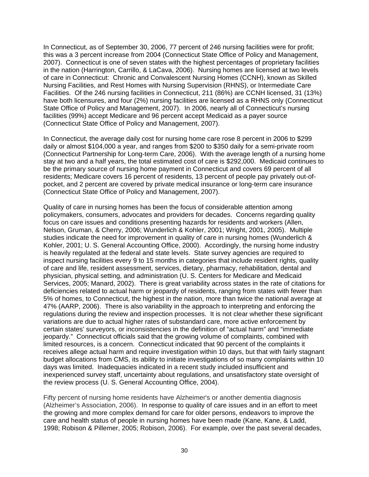In Connecticut, as of September 30, 2006, 77 percent of 246 nursing facilities were for profit; this was a 3 percent increase from 2004 (Connecticut State Office of Policy and Management, 2007). Connecticut is one of seven states with the highest percentages of proprietary facilities in the nation (Harrington, Carrillo, & LaCava, 2006). Nursing homes are licensed at two levels of care in Connecticut: Chronic and Convalescent Nursing Homes (CCNH), known as Skilled Nursing Facilities, and Rest Homes with Nursing Supervision (RHNS), or Intermediate Care Facilities. Of the 246 nursing facilities in Connecticut, 211 (86%) are CCNH licensed, 31 (13%) have both licensures, and four (2%) nursing facilities are licensed as a RHNS only (Connecticut State Office of Policy and Management, 2007). In 2006, nearly all of Connecticut's nursing facilities (99%) accept Medicare and 96 percent accept Medicaid as a payer source (Connecticut State Office of Policy and Management, 2007).

In Connecticut, the average daily cost for nursing home care rose 8 percent in 2006 to \$299 daily or almost \$104,000 a year, and ranges from \$200 to \$350 daily for a semi-private room (Connecticut Partnership for Long-term Care, 2006). With the average length of a nursing home stay at two and a half years, the total estimated cost of care is \$292,000. Medicaid continues to be the primary source of nursing home payment in Connecticut and covers 69 percent of all residents; Medicare covers 16 percent of residents, 13 percent of people pay privately out-ofpocket, and 2 percent are covered by private medical insurance or long-term care insurance (Connecticut State Office of Policy and Management, 2007).

Quality of care in nursing homes has been the focus of considerable attention among policymakers, consumers, advocates and providers for decades. Concerns regarding quality focus on care issues and conditions presenting hazards for residents and workers (Allen, Nelson, Gruman, & Cherry, 2006; Wunderlich & Kohler, 2001; Wright, 2001, 2005). Multiple studies indicate the need for improvement in quality of care in nursing homes (Wunderlich & Kohler, 2001; U. S. General Accounting Office, 2000). Accordingly, the nursing home industry is heavily regulated at the federal and state levels. State survey agencies are required to inspect nursing facilities every 9 to 15 months in categories that include resident rights, quality of care and life, resident assessment, services, dietary, pharmacy, rehabilitation, dental and physician, physical setting, and administration (U. S. Centers for Medicare and Medicaid Services, 2005; Manard, 2002). There is great variability across states in the rate of citations for deficiencies related to actual harm or jeopardy of residents, ranging from states with fewer than 5% of homes, to Connecticut, the highest in the nation, more than twice the national average at 47% (AARP, 2006). There is also variability in the approach to interpreting and enforcing the regulations during the review and inspection processes. It is not clear whether these significant variations are due to actual higher rates of substandard care, more active enforcement by certain states' surveyors, or inconsistencies in the definition of "actual harm" and "immediate jeopardy." Connecticut officials said that the growing volume of complaints, combined with limited resources, is a concern. Connecticut indicated that 90 percent of the complaints it receives allege actual harm and require investigation within 10 days, but that with fairly stagnant budget allocations from CMS, its ability to initiate investigations of so many complaints within 10 days was limited. Inadequacies indicated in a recent study included insufficient and inexperienced survey staff, uncertainty about regulations, and unsatisfactory state oversight of the review process (U. S. General Accounting Office, 2004).

Fifty percent of nursing home residents have Alzheimer's or another dementia diagnosis (Alzheimer's Association, 2006). In response to quality of care issues and in an effort to meet the growing and more complex demand for care for older persons, endeavors to improve the care and health status of people in nursing homes have been made (Kane, Kane, & Ladd, 1998; Robison & Pillemer, 2005; Robison, 2006). For example, over the past several decades,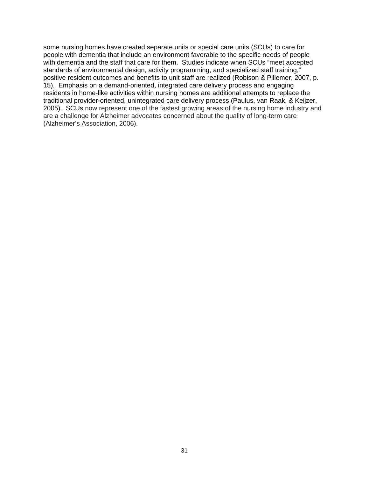some nursing homes have created separate units or special care units (SCUs) to care for people with dementia that include an environment favorable to the specific needs of people with dementia and the staff that care for them. Studies indicate when SCUs "meet accepted standards of environmental design, activity programming, and specialized staff training," positive resident outcomes and benefits to unit staff are realized (Robison & Pillemer, 2007, p. 15). Emphasis on a demand-oriented, integrated care delivery process and engaging residents in home-like activities within nursing homes are additional attempts to replace the traditional provider-oriented, unintegrated care delivery process (Paulus, van Raak, & Keijzer, 2005). SCUs now represent one of the fastest growing areas of the nursing home industry and are a challenge for Alzheimer advocates concerned about the quality of long-term care (Alzheimer's Association, 2006).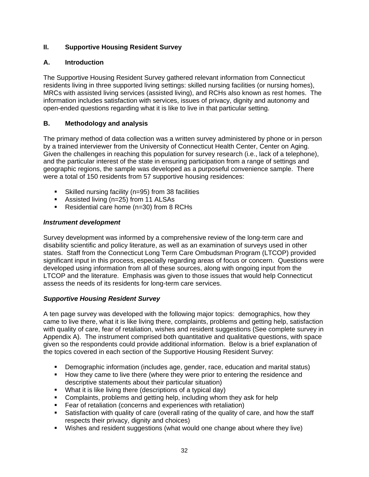#### **II. Supportive Housing Resident Survey**

#### **A. Introduction**

The Supportive Housing Resident Survey gathered relevant information from Connecticut residents living in three supported living settings: skilled nursing facilities (or nursing homes), MRCs with assisted living services (assisted living), and RCHs also known as rest homes. The information includes satisfaction with services, issues of privacy, dignity and autonomy and open-ended questions regarding what it is like to live in that particular setting.

#### **B. Methodology and analysis**

The primary method of data collection was a written survey administered by phone or in person by a trained interviewer from the University of Connecticut Health Center, Center on Aging. Given the challenges in reaching this population for survey research (i.e., lack of a telephone), and the particular interest of the state in ensuring participation from a range of settings and geographic regions, the sample was developed as a purposeful convenience sample. There were a total of 150 residents from 57 supportive housing residences:

- Skilled nursing facility (n=95) from 38 facilities
- Assisted living (n=25) from 11 ALSAs
- Residential care home (n=30) from 8 RCHs

#### *Instrument development*

Survey development was informed by a comprehensive review of the long-term care and disability scientific and policy literature, as well as an examination of surveys used in other states. Staff from the Connecticut Long Term Care Ombudsman Program (LTCOP) provided significant input in this process, especially regarding areas of focus or concern. Questions were developed using information from all of these sources, along with ongoing input from the LTCOP and the literature. Emphasis was given to those issues that would help Connecticut assess the needs of its residents for long-term care services.

#### *Supportive Housing Resident Survey*

A ten page survey was developed with the following major topics: demographics, how they came to live there, what it is like living there, complaints, problems and getting help, satisfaction with quality of care, fear of retaliation, wishes and resident suggestions (See complete survey in Appendix A). The instrument comprised both quantitative and qualitative questions, with space given so the respondents could provide additional information. Below is a brief explanation of the topics covered in each section of the Supportive Housing Resident Survey:

- Demographic information (includes age, gender, race, education and marital status)
- How they came to live there (where they were prior to entering the residence and descriptive statements about their particular situation)
- What it is like living there (descriptions of a typical day)
- Complaints, problems and getting help, including whom they ask for help
- **Fear of retaliation (concerns and experiences with retaliation)**
- Satisfaction with quality of care (overall rating of the quality of care, and how the staff respects their privacy, dignity and choices)
- Wishes and resident suggestions (what would one change about where they live)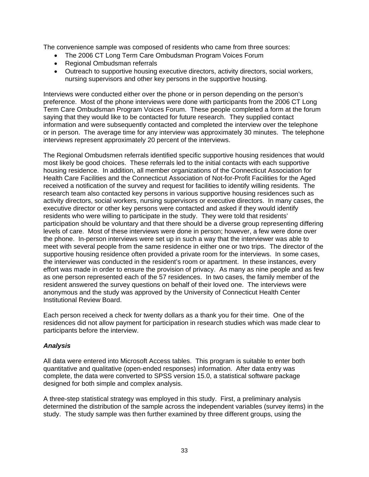The convenience sample was composed of residents who came from three sources:

- The 2006 CT Long Term Care Ombudsman Program Voices Forum
- Regional Ombudsman referrals
- Outreach to supportive housing executive directors, activity directors, social workers, nursing supervisors and other key persons in the supportive housing.

Interviews were conducted either over the phone or in person depending on the person's preference. Most of the phone interviews were done with participants from the 2006 CT Long Term Care Ombudsman Program Voices Forum. These people completed a form at the forum saying that they would like to be contacted for future research. They supplied contact information and were subsequently contacted and completed the interview over the telephone or in person. The average time for any interview was approximately 30 minutes. The telephone interviews represent approximately 20 percent of the interviews.

The Regional Ombudsmen referrals identified specific supportive housing residences that would most likely be good choices. These referrals led to the initial contacts with each supportive housing residence. In addition, all member organizations of the Connecticut Association for Health Care Facilities and the Connecticut Association of Not-for-Profit Facilities for the Aged received a notification of the survey and request for facilities to identify willing residents. The research team also contacted key persons in various supportive housing residences such as activity directors, social workers, nursing supervisors or executive directors. In many cases, the executive director or other key persons were contacted and asked if they would identify residents who were willing to participate in the study. They were told that residents' participation should be voluntary and that there should be a diverse group representing differing levels of care. Most of these interviews were done in person; however, a few were done over the phone. In-person interviews were set up in such a way that the interviewer was able to meet with several people from the same residence in either one or two trips. The director of the supportive housing residence often provided a private room for the interviews. In some cases, the interviewer was conducted in the resident's room or apartment. In these instances, every effort was made in order to ensure the provision of privacy. As many as nine people and as few as one person represented each of the 57 residences. In two cases, the family member of the resident answered the survey questions on behalf of their loved one. The interviews were anonymous and the study was approved by the University of Connecticut Health Center Institutional Review Board.

Each person received a check for twenty dollars as a thank you for their time. One of the residences did not allow payment for participation in research studies which was made clear to participants before the interview.

#### *Analysis*

All data were entered into Microsoft Access tables. This program is suitable to enter both quantitative and qualitative (open-ended responses) information. After data entry was complete, the data were converted to SPSS version 15.0, a statistical software package designed for both simple and complex analysis.

A three-step statistical strategy was employed in this study. First, a preliminary analysis determined the distribution of the sample across the independent variables (survey items) in the study. The study sample was then further examined by three different groups, using the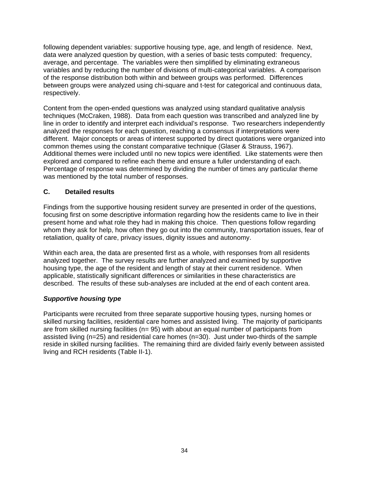following dependent variables: supportive housing type, age, and length of residence. Next, data were analyzed question by question, with a series of basic tests computed: frequency, average, and percentage. The variables were then simplified by eliminating extraneous variables and by reducing the number of divisions of multi-categorical variables. A comparison of the response distribution both within and between groups was performed. Differences between groups were analyzed using chi-square and t-test for categorical and continuous data, respectively.

Content from the open-ended questions was analyzed using standard qualitative analysis techniques (McCraken, 1988). Data from each question was transcribed and analyzed line by line in order to identify and interpret each individual's response. Two researchers independently analyzed the responses for each question, reaching a consensus if interpretations were different. Major concepts or areas of interest supported by direct quotations were organized into common themes using the constant comparative technique (Glaser & Strauss, 1967). Additional themes were included until no new topics were identified. Like statements were then explored and compared to refine each theme and ensure a fuller understanding of each. Percentage of response was determined by dividing the number of times any particular theme was mentioned by the total number of responses.

# **C. Detailed results**

Findings from the supportive housing resident survey are presented in order of the questions, focusing first on some descriptive information regarding how the residents came to live in their present home and what role they had in making this choice. Then questions follow regarding whom they ask for help, how often they go out into the community, transportation issues, fear of retaliation, quality of care, privacy issues, dignity issues and autonomy.

Within each area, the data are presented first as a whole, with responses from all residents analyzed together. The survey results are further analyzed and examined by supportive housing type, the age of the resident and length of stay at their current residence. When applicable, statistically significant differences or similarities in these characteristics are described. The results of these sub-analyses are included at the end of each content area.

# *Supportive housing type*

Participants were recruited from three separate supportive housing types, nursing homes or skilled nursing facilities, residential care homes and assisted living. The majority of participants are from skilled nursing facilities (n= 95) with about an equal number of participants from assisted living (n=25) and residential care homes (n=30). Just under two-thirds of the sample reside in skilled nursing facilities. The remaining third are divided fairly evenly between assisted living and RCH residents (Table II-1).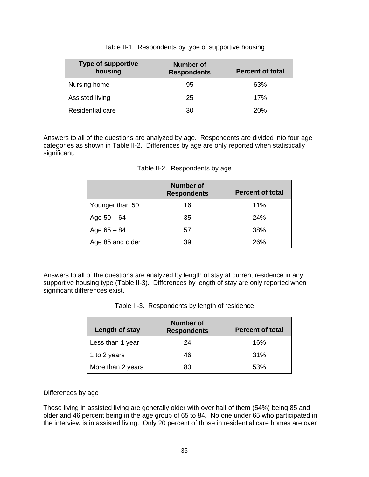| <b>Type of supportive</b><br>housing | <b>Number of</b><br><b>Respondents</b> | <b>Percent of total</b> |
|--------------------------------------|----------------------------------------|-------------------------|
| Nursing home                         | 95                                     | 63%                     |
| Assisted living                      | 25                                     | 17%                     |
| <b>Residential care</b>              | 30                                     | 20%                     |

Table II-1. Respondents by type of supportive housing

Answers to all of the questions are analyzed by age. Respondents are divided into four age categories as shown in Table II-2. Differences by age are only reported when statistically significant.

|                  | Number of<br><b>Respondents</b> | <b>Percent of total</b> |
|------------------|---------------------------------|-------------------------|
| Younger than 50  | 16                              | 11%                     |
| Age $50 - 64$    | 35                              | 24%                     |
| Age $65 - 84$    | 57                              | 38%                     |
| Age 85 and older | 39                              | 26%                     |

|  | Table II-2. Respondents by age |  |
|--|--------------------------------|--|
|--|--------------------------------|--|

Answers to all of the questions are analyzed by length of stay at current residence in any supportive housing type (Table II-3). Differences by length of stay are only reported when significant differences exist.

| Length of stay    | Number of<br><b>Respondents</b> | <b>Percent of total</b> |
|-------------------|---------------------------------|-------------------------|
| Less than 1 year  | 24                              | 16%                     |
| 1 to 2 years      | 46                              | 31%                     |
| More than 2 years | 80                              | 53%                     |

### Differences by age

Those living in assisted living are generally older with over half of them (54%) being 85 and older and 46 percent being in the age group of 65 to 84. No one under 65 who participated in the interview is in assisted living. Only 20 percent of those in residential care homes are over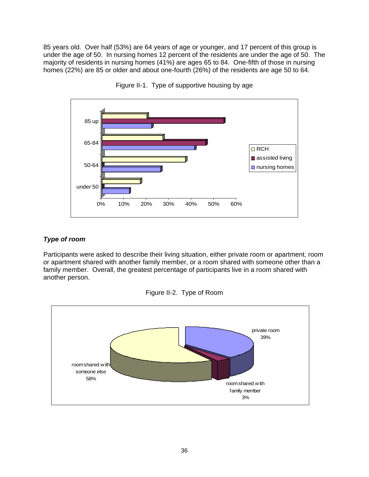85 years old. Over half (53%) are 64 years of age or younger, and 17 percent of this group is under the age of 50. In nursing homes 12 percent of the residents are under the age of 50. The majority of residents in nursing homes (41%) are ages 65 to 84. One-fifth of those in nursing homes (22%) are 85 or older and about one-fourth (26%) of the residents are age 50 to 64.





## *Type of room*

Participants were asked to describe their living situation, either private room or apartment, room or apartment shared with another family member, or a room shared with someone other than a family member. Overall, the greatest percentage of participants live in a room shared with another person.



Figure II-2. Type of Room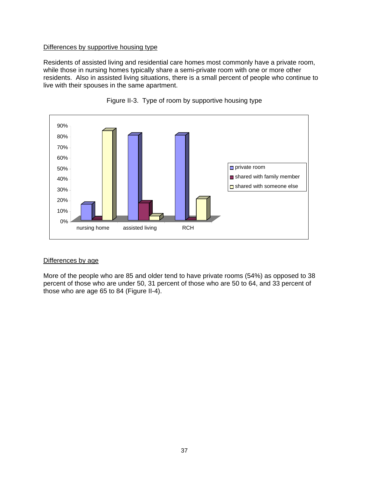Residents of assisted living and residential care homes most commonly have a private room, while those in nursing homes typically share a semi-private room with one or more other residents. Also in assisted living situations, there is a small percent of people who continue to live with their spouses in the same apartment.





#### Differences by age

More of the people who are 85 and older tend to have private rooms (54%) as opposed to 38 percent of those who are under 50, 31 percent of those who are 50 to 64, and 33 percent of those who are age 65 to 84 (Figure II-4).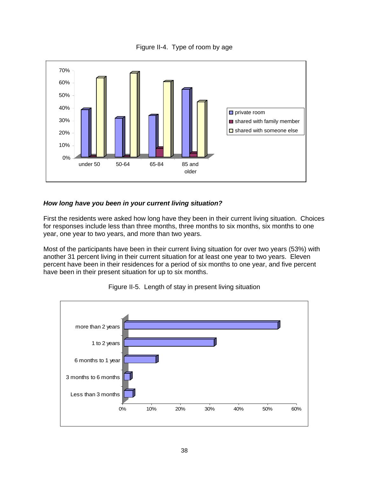Figure II-4. Type of room by age



## *How long have you been in your current living situation?*

First the residents were asked how long have they been in their current living situation. Choices for responses include less than three months, three months to six months, six months to one year, one year to two years, and more than two years.

Most of the participants have been in their current living situation for over two years (53%) with another 31 percent living in their current situation for at least one year to two years. Eleven percent have been in their residences for a period of six months to one year, and five percent have been in their present situation for up to six months.



Figure II-5. Length of stay in present living situation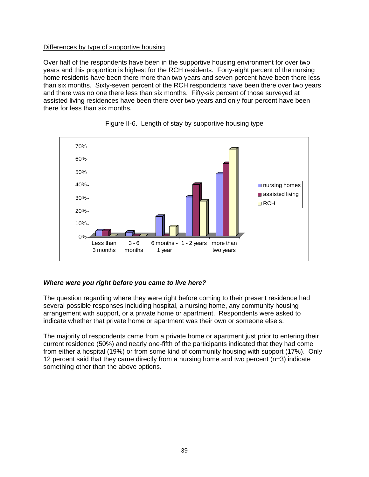### Differences by type of supportive housing

Over half of the respondents have been in the supportive housing environment for over two years and this proportion is highest for the RCH residents. Forty-eight percent of the nursing home residents have been there more than two years and seven percent have been there less than six months. Sixty-seven percent of the RCH respondents have been there over two years and there was no one there less than six months. Fifty-six percent of those surveyed at assisted living residences have been there over two years and only four percent have been there for less than six months.



## Figure II-6. Length of stay by supportive housing type

### *Where were you right before you came to live here?*

The question regarding where they were right before coming to their present residence had several possible responses including hospital, a nursing home, any community housing arrangement with support, or a private home or apartment. Respondents were asked to indicate whether that private home or apartment was their own or someone else's.

The majority of respondents came from a private home or apartment just prior to entering their current residence (50%) and nearly one-fifth of the participants indicated that they had come from either a hospital (19%) or from some kind of community housing with support (17%). Only 12 percent said that they came directly from a nursing home and two percent (n=3) indicate something other than the above options.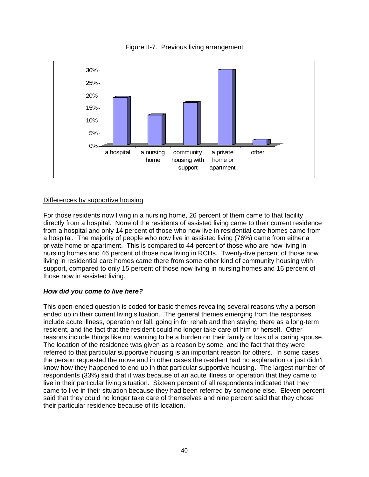

Figure II-7. Previous living arrangement

For those residents now living in a nursing home, 26 percent of them came to that facility directly from a hospital. None of the residents of assisted living came to their current residence from a hospital and only 14 percent of those who now live in residential care homes came from a hospital. The majority of people who now live in assisted living (76%) came from either a private home or apartment. This is compared to 44 percent of those who are now living in nursing homes and 46 percent of those now living in RCHs. Twenty-five percent of those now living in residential care homes came there from some other kind of community housing with support, compared to only 15 percent of those now living in nursing homes and 16 percent of those now in assisted living.

### *How did you come to live here?*

This open-ended question is coded for basic themes revealing several reasons why a person ended up in their current living situation. The general themes emerging from the responses include acute illness, operation or fall, going in for rehab and then staying there as a long-term resident, and the fact that the resident could no longer take care of him or herself. Other reasons include things like not wanting to be a burden on their family or loss of a caring spouse. The location of the residence was given as a reason by some, and the fact that they were referred to that particular supportive housing is an important reason for others. In some cases the person requested the move and in other cases the resident had no explanation or just didn't know how they happened to end up in that particular supportive housing. The largest number of respondents (33%) said that it was because of an acute illness or operation that they came to live in their particular living situation. Sixteen percent of all respondents indicated that they came to live in their situation because they had been referred by someone else. Eleven percent said that they could no longer take care of themselves and nine percent said that they chose their particular residence because of its location.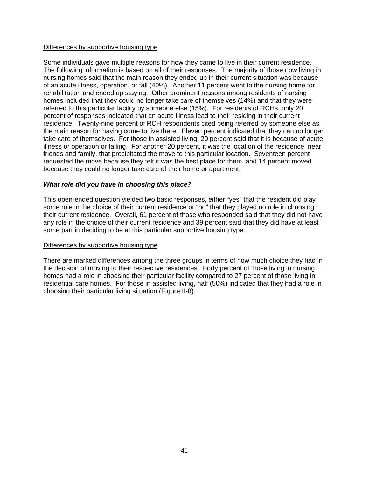Some individuals gave multiple reasons for how they came to live in their current residence. The following information is based on all of their responses. The majority of those now living in nursing homes said that the main reason they ended up in their current situation was because of an acute illness, operation, or fall (40%). Another 11 percent went to the nursing home for rehabilitation and ended up staying. Other prominent reasons among residents of nursing homes included that they could no longer take care of themselves (14%) and that they were referred to this particular facility by someone else (15%). For residents of RCHs, only 20 percent of responses indicated that an acute illness lead to their residing in their current residence. Twenty-nine percent of RCH respondents cited being referred by someone else as the main reason for having come to live there. Eleven percent indicated that they can no longer take care of themselves. For those in assisted living, 20 percent said that it is because of acute illness or operation or falling. For another 20 percent, it was the location of the residence, near friends and family, that precipitated the move to this particular location. Seventeen percent requested the move because they felt it was the best place for them, and 14 percent moved because they could no longer take care of their home or apartment.

#### *What role did you have in choosing this place?*

This open-ended question yielded two basic responses, either "yes" that the resident did play some role in the choice of their current residence or "no" that they played no role in choosing their current residence. Overall, 61 percent of those who responded said that they did not have any role in the choice of their current residence and 39 percent said that they did have at least some part in deciding to be at this particular supportive housing type.

#### Differences by supportive housing type

There are marked differences among the three groups in terms of how much choice they had in the decision of moving to their respective residences. Forty percent of those living in nursing homes had a role in choosing their particular facility compared to 27 percent of those living in residential care homes. For those in assisted living, half (50%) indicated that they had a role in choosing their particular living situation (Figure II-8).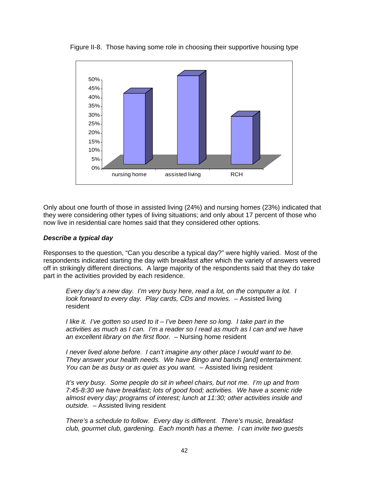

Figure II-8. Those having some role in choosing their supportive housing type

Only about one fourth of those in assisted living (24%) and nursing homes (23%) indicated that they were considering other types of living situations; and only about 17 percent of those who now live in residential care homes said that they considered other options.

#### *Describe a typical day*

Responses to the question, "Can you describe a typical day?" were highly varied. Most of the respondents indicated starting the day with breakfast after which the variety of answers veered off in strikingly different directions. A large majority of the respondents said that they do take part in the activities provided by each residence.

*Every day's a new day. I'm very busy here, read a lot, on the computer a lot. I look forward to every day. Play cards, CDs and movies. - Assisted living* resident

*I like it. I've gotten so used to it – I've been here so long. I take part in the activities as much as I can. I'm a reader so I read as much as I can and we have an excellent library on the first floor. –* Nursing home resident

*I* never lived alone before. I can't imagine any other place I would want to be. *They answer your health needs. We have Bingo and bands [and] entertainment. You can be as busy or as quiet as you want. –* Assisted living resident

*It's very busy. Some people do sit in wheel chairs, but not me. I'm up and from 7:45-8:30 we have breakfast; lots of good food; activities. We have a scenic ride almost every day; programs of interest; lunch at 11:30; other activities inside and outside. –* Assisted living resident

*There's a schedule to follow. Every day is different. There's music, breakfast club, gourmet club, gardening. Each month has a theme. I can invite two guests*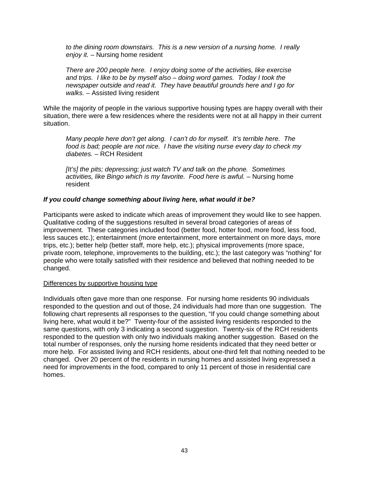*to the dining room downstairs. This is a new version of a nursing home. I really enjoy it. –* Nursing home resident

*There are 200 people here. I enjoy doing some of the activities, like exercise and trips. I like to be by myself also – doing word games. Today I took the newspaper outside and read it. They have beautiful grounds here and I go for walks. –* Assisted living resident

While the majority of people in the various supportive housing types are happy overall with their situation, there were a few residences where the residents were not at all happy in their current situation.

*Many people here don't get along. I can't do for myself. It's terrible here. The food is bad; people are not nice. I have the visiting nurse every day to check my diabetes. –* RCH Resident

*[It's] the pits; depressing; just watch TV and talk on the phone. Sometimes*  activities, like Bingo which is my favorite. Food here is awful. – Nursing home resident

#### *If you could change something about living here, what would it be?*

Participants were asked to indicate which areas of improvement they would like to see happen. Qualitative coding of the suggestions resulted in several broad categories of areas of improvement. These categories included food (better food, hotter food, more food, less food, less sauces etc.); entertainment (more entertainment, more entertainment on more days, more trips, etc.); better help (better staff, more help, etc.); physical improvements (more space, private room, telephone, improvements to the building, etc.); the last category was "nothing" for people who were totally satisfied with their residence and believed that nothing needed to be changed.

#### Differences by supportive housing type

Individuals often gave more than one response. For nursing home residents 90 individuals responded to the question and out of those, 24 individuals had more than one suggestion. The following chart represents all responses to the question, "If you could change something about living here, what would it be?" Twenty-four of the assisted living residents responded to the same questions, with only 3 indicating a second suggestion. Twenty-six of the RCH residents responded to the question with only two individuals making another suggestion. Based on the total number of responses, only the nursing home residents indicated that they need better or more help. For assisted living and RCH residents, about one-third felt that nothing needed to be changed. Over 20 percent of the residents in nursing homes and assisted living expressed a need for improvements in the food, compared to only 11 percent of those in residential care homes.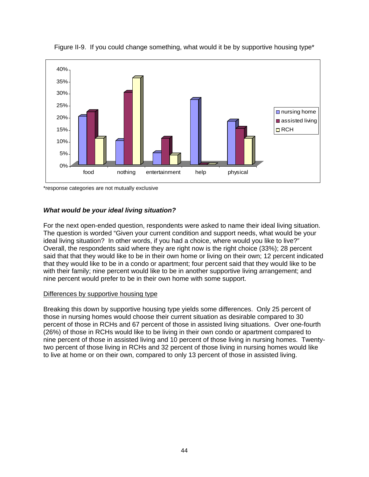

Figure II-9. If you could change something, what would it be by supportive housing type\*

\*response categories are not mutually exclusive

## *What would be your ideal living situation?*

For the next open-ended question, respondents were asked to name their ideal living situation. The question is worded "Given your current condition and support needs, what would be your ideal living situation? In other words, if you had a choice, where would you like to live?" Overall, the respondents said where they are right now is the right choice (33%); 28 percent said that that they would like to be in their own home or living on their own; 12 percent indicated that they would like to be in a condo or apartment; four percent said that they would like to be with their family; nine percent would like to be in another supportive living arrangement; and nine percent would prefer to be in their own home with some support.

### Differences by supportive housing type

Breaking this down by supportive housing type yields some differences. Only 25 percent of those in nursing homes would choose their current situation as desirable compared to 30 percent of those in RCHs and 67 percent of those in assisted living situations. Over one-fourth (26%) of those in RCHs would like to be living in their own condo or apartment compared to nine percent of those in assisted living and 10 percent of those living in nursing homes. Twentytwo percent of those living in RCHs and 32 percent of those living in nursing homes would like to live at home or on their own, compared to only 13 percent of those in assisted living.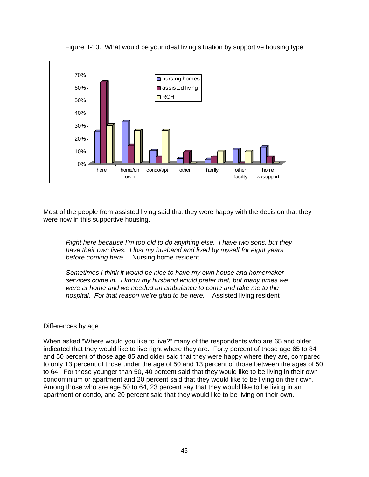

Figure II-10. What would be your ideal living situation by supportive housing type

Most of the people from assisted living said that they were happy with the decision that they were now in this supportive housing.

*Right here because I'm too old to do anything else. I have two sons, but they have their own lives. I lost my husband and lived by myself for eight years before coming here. –* Nursing home resident

*Sometimes I think it would be nice to have my own house and homemaker services come in. I know my husband would prefer that, but many times we were at home and we needed an ambulance to come and take me to the hospital. For that reason we're glad to be here. –* Assisted living resident

#### Differences by age

When asked "Where would you like to live?" many of the respondents who are 65 and older indicated that they would like to live right where they are. Forty percent of those age 65 to 84 and 50 percent of those age 85 and older said that they were happy where they are, compared to only 13 percent of those under the age of 50 and 13 percent of those between the ages of 50 to 64. For those younger than 50, 40 percent said that they would like to be living in their own condominium or apartment and 20 percent said that they would like to be living on their own. Among those who are age 50 to 64, 23 percent say that they would like to be living in an apartment or condo, and 20 percent said that they would like to be living on their own.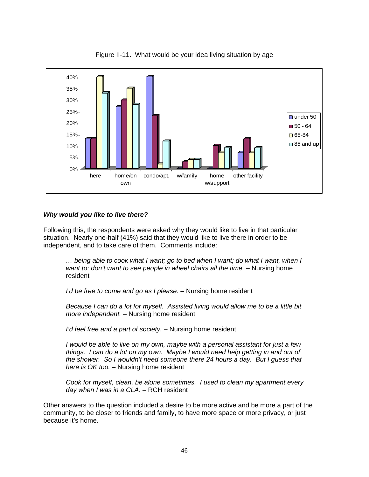

Figure II-11. What would be your idea living situation by age

### *Why would you like to live there?*

Following this, the respondents were asked why they would like to live in that particular situation. Nearly one-half (41%) said that they would like to live there in order to be independent, and to take care of them. Comments include:

*… being able to cook what I want; go to bed when I want; do what I want, when I*  want to; don't want to see people in wheel chairs all the time. - Nursing home resident

*I'd be free to come and go as I please. –* Nursing home resident

*Because I can do a lot for myself. Assisted living would allow me to be a little bit more independent. –* Nursing home resident

*I'd feel free and a part of society. –* Nursing home resident

*I would be able to live on my own, maybe with a personal assistant for just a few things. I can do a lot on my own. Maybe I would need help getting in and out of the shower. So I wouldn't need someone there 24 hours a day. But I guess that here is OK too. –* Nursing home resident

*Cook for myself, clean, be alone sometimes. I used to clean my apartment every day when I was in a CLA. –* RCH resident

Other answers to the question included a desire to be more active and be more a part of the community, to be closer to friends and family, to have more space or more privacy, or just because it's home.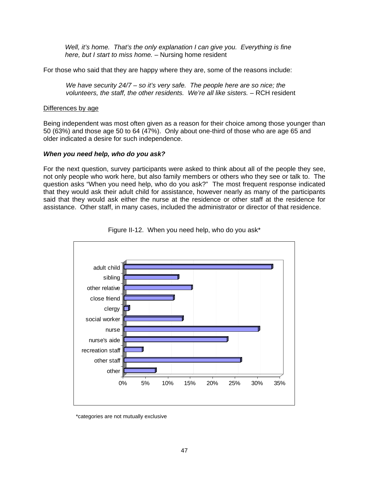*Well, it's home. That's the only explanation I can give you. Everything is fine here, but I start to miss home. –* Nursing home resident

For those who said that they are happy where they are, some of the reasons include:

*We have security 24/7 – so it's very safe. The people here are so nice; the volunteers, the staff, the other residents. We're all like sisters.* - RCH resident

#### Differences by age

Being independent was most often given as a reason for their choice among those younger than 50 (63%) and those age 50 to 64 (47%). Only about one-third of those who are age 65 and older indicated a desire for such independence.

#### *When you need help, who do you ask?*

For the next question, survey participants were asked to think about all of the people they see, not only people who work here, but also family members or others who they see or talk to. The question asks "When you need help, who do you ask?" The most frequent response indicated that they would ask their adult child for assistance, however nearly as many of the participants said that they would ask either the nurse at the residence or other staff at the residence for assistance. Other staff, in many cases, included the administrator or director of that residence.



Figure II-12. When you need help, who do you ask\*

<sup>\*</sup>categories are not mutually exclusive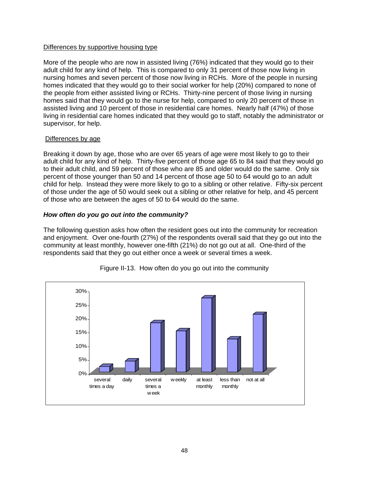More of the people who are now in assisted living (76%) indicated that they would go to their adult child for any kind of help. This is compared to only 31 percent of those now living in nursing homes and seven percent of those now living in RCHs. More of the people in nursing homes indicated that they would go to their social worker for help (20%) compared to none of the people from either assisted living or RCHs. Thirty-nine percent of those living in nursing homes said that they would go to the nurse for help, compared to only 20 percent of those in assisted living and 10 percent of those in residential care homes. Nearly half (47%) of those living in residential care homes indicated that they would go to staff, notably the administrator or supervisor, for help.

### Differences by age

Breaking it down by age, those who are over 65 years of age were most likely to go to their adult child for any kind of help. Thirty-five percent of those age 65 to 84 said that they would go to their adult child, and 59 percent of those who are 85 and older would do the same. Only six percent of those younger than 50 and 14 percent of those age 50 to 64 would go to an adult child for help. Instead they were more likely to go to a sibling or other relative. Fifty-six percent of those under the age of 50 would seek out a sibling or other relative for help, and 45 percent of those who are between the ages of 50 to 64 would do the same.

### *How often do you go out into the community?*

The following question asks how often the resident goes out into the community for recreation and enjoyment. Over one-fourth (27%) of the respondents overall said that they go out into the community at least monthly, however one-fifth (21%) do not go out at all. One-third of the respondents said that they go out either once a week or several times a week.



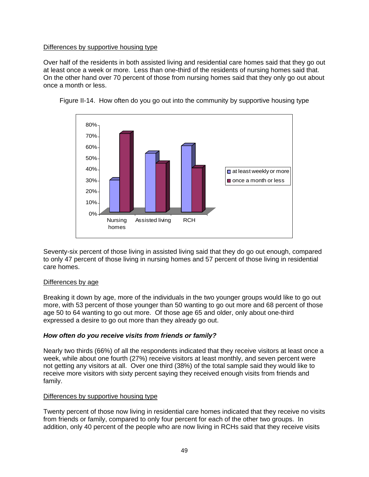Over half of the residents in both assisted living and residential care homes said that they go out at least once a week or more. Less than one-third of the residents of nursing homes said that. On the other hand over 70 percent of those from nursing homes said that they only go out about once a month or less.



Figure II-14. How often do you go out into the community by supportive housing type

Seventy-six percent of those living in assisted living said that they do go out enough, compared to only 47 percent of those living in nursing homes and 57 percent of those living in residential care homes.

### Differences by age

Breaking it down by age, more of the individuals in the two younger groups would like to go out more, with 53 percent of those younger than 50 wanting to go out more and 68 percent of those age 50 to 64 wanting to go out more. Of those age 65 and older, only about one-third expressed a desire to go out more than they already go out.

### *How often do you receive visits from friends or family?*

Nearly two thirds (66%) of all the respondents indicated that they receive visitors at least once a week, while about one fourth (27%) receive visitors at least monthly, and seven percent were not getting any visitors at all. Over one third (38%) of the total sample said they would like to receive more visitors with sixty percent saying they received enough visits from friends and family.

#### Differences by supportive housing type

Twenty percent of those now living in residential care homes indicated that they receive no visits from friends or family, compared to only four percent for each of the other two groups. In addition, only 40 percent of the people who are now living in RCHs said that they receive visits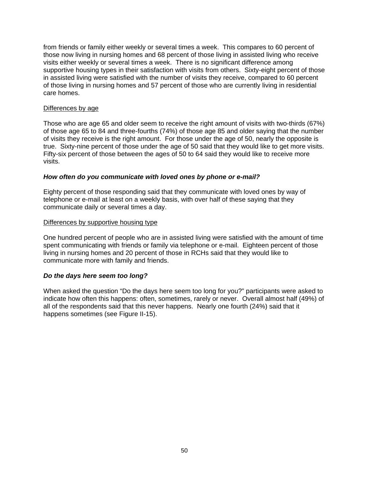from friends or family either weekly or several times a week. This compares to 60 percent of those now living in nursing homes and 68 percent of those living in assisted living who receive visits either weekly or several times a week. There is no significant difference among supportive housing types in their satisfaction with visits from others. Sixty-eight percent of those in assisted living were satisfied with the number of visits they receive, compared to 60 percent of those living in nursing homes and 57 percent of those who are currently living in residential care homes.

#### Differences by age

Those who are age 65 and older seem to receive the right amount of visits with two-thirds (67%) of those age 65 to 84 and three-fourths (74%) of those age 85 and older saying that the number of visits they receive is the right amount. For those under the age of 50, nearly the opposite is true. Sixty-nine percent of those under the age of 50 said that they would like to get more visits. Fifty-six percent of those between the ages of 50 to 64 said they would like to receive more visits.

### *How often do you communicate with loved ones by phone or e-mail?*

Eighty percent of those responding said that they communicate with loved ones by way of telephone or e-mail at least on a weekly basis, with over half of these saying that they communicate daily or several times a day.

#### Differences by supportive housing type

One hundred percent of people who are in assisted living were satisfied with the amount of time spent communicating with friends or family via telephone or e-mail. Eighteen percent of those living in nursing homes and 20 percent of those in RCHs said that they would like to communicate more with family and friends.

### *Do the days here seem too long?*

When asked the question "Do the days here seem too long for you?" participants were asked to indicate how often this happens: often, sometimes, rarely or never. Overall almost half (49%) of all of the respondents said that this never happens. Nearly one fourth (24%) said that it happens sometimes (see Figure II-15).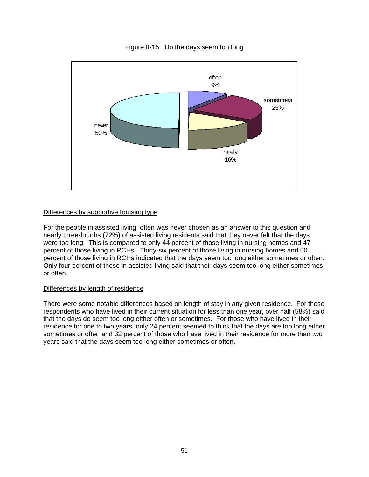

Figure II-15. Do the days seem too long

For the people in assisted living, often was never chosen as an answer to this question and nearly three-fourths (72%) of assisted living residents said that they never felt that the days were too long. This is compared to only 44 percent of those living in nursing homes and 47 percent of those living in RCHs. Thirty-six percent of those living in nursing homes and 50 percent of those living in RCHs indicated that the days seem too long either sometimes or often. Only four percent of those in assisted living said that their days seem too long either sometimes or often.

#### Differences by length of residence

There were some notable differences based on length of stay in any given residence. For those respondents who have lived in their current situation for less than one year, over half (58%) said that the days do seem too long either often or sometimes. For those who have lived in their residence for one to two years, only 24 percent seemed to think that the days are too long either sometimes or often and 32 percent of those who have lived in their residence for more than two years said that the days seem too long either sometimes or often.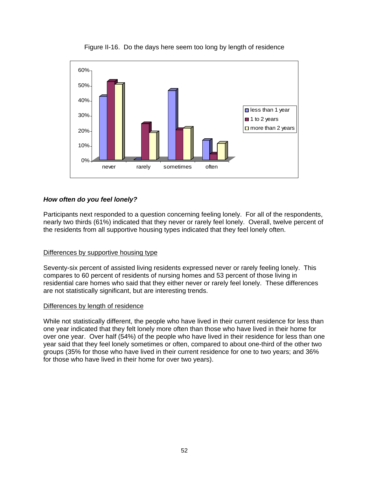

Figure II-16. Do the days here seem too long by length of residence

# *How often do you feel lonely?*

Participants next responded to a question concerning feeling lonely. For all of the respondents, nearly two thirds (61%) indicated that they never or rarely feel lonely. Overall, twelve percent of the residents from all supportive housing types indicated that they feel lonely often.

### Differences by supportive housing type

Seventy-six percent of assisted living residents expressed never or rarely feeling lonely. This compares to 60 percent of residents of nursing homes and 53 percent of those living in residential care homes who said that they either never or rarely feel lonely. These differences are not statistically significant, but are interesting trends.

### Differences by length of residence

While not statistically different, the people who have lived in their current residence for less than one year indicated that they felt lonely more often than those who have lived in their home for over one year. Over half (54%) of the people who have lived in their residence for less than one year said that they feel lonely sometimes or often, compared to about one-third of the other two groups (35% for those who have lived in their current residence for one to two years; and 36% for those who have lived in their home for over two years).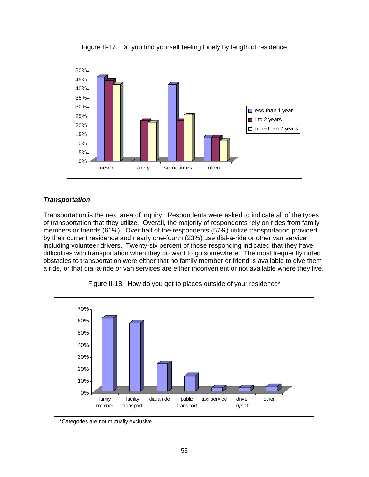

Figure II-17. Do you find yourself feeling lonely by length of residence

# *Transportation*

Transportation is the next area of inquiry. Respondents were asked to indicate all of the types of transportation that they utilize. Overall, the majority of respondents rely on rides from family members or friends (61%). Over half of the respondents (57%) utilize transportation provided by their current residence and nearly one-fourth (23%) use dial-a-ride or other van service including volunteer drivers. Twenty-six percent of those responding indicated that they have difficulties with transportation when they do want to go somewhere. The most frequently noted obstacles to transportation were either that no family member or friend is available to give them a ride, or that dial-a-ride or van services are either inconvenient or not available where they live.



Figure II-18. How do you get to places outside of your residence\*

<sup>\*</sup>Categories are not mutually exclusive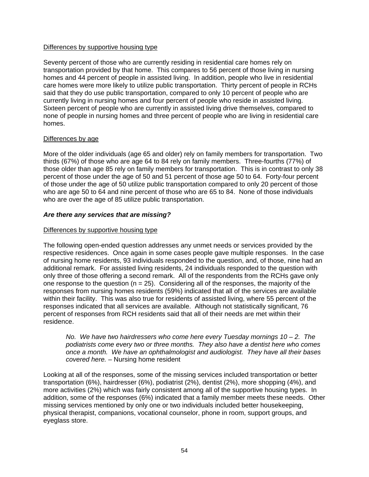Seventy percent of those who are currently residing in residential care homes rely on transportation provided by that home. This compares to 56 percent of those living in nursing homes and 44 percent of people in assisted living. In addition, people who live in residential care homes were more likely to utilize public transportation. Thirty percent of people in RCHs said that they do use public transportation, compared to only 10 percent of people who are currently living in nursing homes and four percent of people who reside in assisted living. Sixteen percent of people who are currently in assisted living drive themselves, compared to none of people in nursing homes and three percent of people who are living in residential care homes.

#### Differences by age

More of the older individuals (age 65 and older) rely on family members for transportation. Two thirds (67%) of those who are age 64 to 84 rely on family members. Three-fourths (77%) of those older than age 85 rely on family members for transportation. This is in contrast to only 38 percent of those under the age of 50 and 51 percent of those age 50 to 64. Forty-four percent of those under the age of 50 utilize public transportation compared to only 20 percent of those who are age 50 to 64 and nine percent of those who are 65 to 84. None of those individuals who are over the age of 85 utilize public transportation.

### *Are there any services that are missing?*

#### Differences by supportive housing type

The following open-ended question addresses any unmet needs or services provided by the respective residences. Once again in some cases people gave multiple responses. In the case of nursing home residents, 93 individuals responded to the question, and, of those, nine had an additional remark. For assisted living residents, 24 individuals responded to the question with only three of those offering a second remark. All of the respondents from the RCHs gave only one response to the question ( $n = 25$ ). Considering all of the responses, the majority of the responses from nursing homes residents (59%) indicated that all of the services are available within their facility. This was also true for residents of assisted living, where 55 percent of the responses indicated that all services are available. Although not statistically significant, 76 percent of responses from RCH residents said that all of their needs are met within their residence.

*No. We have two hairdressers who come here every Tuesday mornings 10 – 2. The podiatrists come every two or three months. They also have a dentist here who comes once a month. We have an ophthalmologist and audiologist. They have all their bases covered here. –* Nursing home resident

Looking at all of the responses, some of the missing services included transportation or better transportation (6%), hairdresser (6%), podiatrist (2%), dentist (2%), more shopping (4%), and more activities (2%) which was fairly consistent among all of the supportive housing types. In addition, some of the responses (6%) indicated that a family member meets these needs. Other missing services mentioned by only one or two individuals included better housekeeping, physical therapist, companions, vocational counselor, phone in room, support groups, and eyeglass store.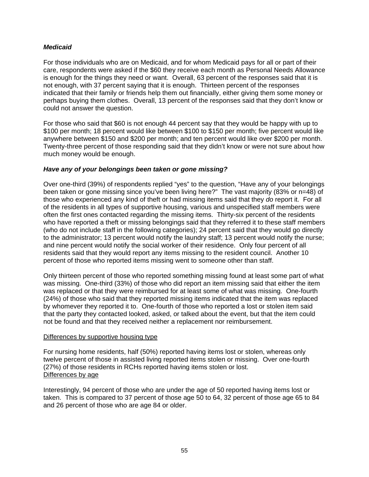### *Medicaid*

For those individuals who are on Medicaid, and for whom Medicaid pays for all or part of their care, respondents were asked if the \$60 they receive each month as Personal Needs Allowance is enough for the things they need or want. Overall, 63 percent of the responses said that it is not enough, with 37 percent saying that it is enough. Thirteen percent of the responses indicated that their family or friends help them out financially, either giving them some money or perhaps buying them clothes. Overall, 13 percent of the responses said that they don't know or could not answer the question.

For those who said that \$60 is not enough 44 percent say that they would be happy with up to \$100 per month; 18 percent would like between \$100 to \$150 per month; five percent would like anywhere between \$150 and \$200 per month; and ten percent would like over \$200 per month. Twenty-three percent of those responding said that they didn't know or were not sure about how much money would be enough.

### *Have any of your belongings been taken or gone missing?*

Over one-third (39%) of respondents replied "yes" to the question, "Have any of your belongings been taken or gone missing since you've been living here?" The vast majority (83% or n=48) of those who experienced any kind of theft or had missing items said that they *do* report it. For all of the residents in all types of supportive housing, various and unspecified staff members were often the first ones contacted regarding the missing items. Thirty-six percent of the residents who have reported a theft or missing belongings said that they referred it to these staff members (who do not include staff in the following categories); 24 percent said that they would go directly to the administrator; 13 percent would notify the laundry staff; 13 percent would notify the nurse; and nine percent would notify the social worker of their residence. Only four percent of all residents said that they would report any items missing to the resident council. Another 10 percent of those who reported items missing went to someone other than staff.

Only thirteen percent of those who reported something missing found at least some part of what was missing. One-third (33%) of those who did report an item missing said that either the item was replaced or that they were reimbursed for at least some of what was missing. One-fourth (24%) of those who said that they reported missing items indicated that the item was replaced by whomever they reported it to. One-fourth of those who reported a lost or stolen item said that the party they contacted looked, asked, or talked about the event, but that the item could not be found and that they received neither a replacement nor reimbursement.

### Differences by supportive housing type

For nursing home residents, half (50%) reported having items lost or stolen, whereas only twelve percent of those in assisted living reported items stolen or missing. Over one-fourth (27%) of those residents in RCHs reported having items stolen or lost. Differences by age

Interestingly, 94 percent of those who are under the age of 50 reported having items lost or taken. This is compared to 37 percent of those age 50 to 64, 32 percent of those age 65 to 84 and 26 percent of those who are age 84 or older.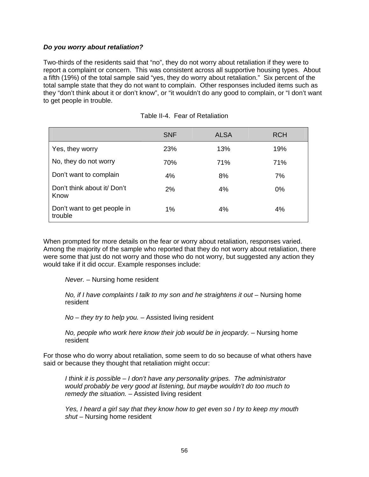#### *Do you worry about retaliation?*

Two-thirds of the residents said that "no", they do not worry about retaliation if they were to report a complaint or concern. This was consistent across all supportive housing types. About a fifth (19%) of the total sample said "yes, they do worry about retaliation." Six percent of the total sample state that they do not want to complain. Other responses included items such as they "don't think about it or don't know", or "it wouldn't do any good to complain, or "I don't want to get people in trouble.

|                                        | <b>SNF</b> | <b>ALSA</b> | <b>RCH</b> |
|----------------------------------------|------------|-------------|------------|
| Yes, they worry                        | 23%        | 13%         | 19%        |
| No, they do not worry                  | 70%        | 71%         | 71%        |
| Don't want to complain                 | 4%         | 8%          | 7%         |
| Don't think about it Don't<br>Know     | 2%         | 4%          | $0\%$      |
| Don't want to get people in<br>trouble | 1%         | 4%          | 4%         |

|  | Table II-4. Fear of Retaliation |
|--|---------------------------------|
|--|---------------------------------|

When prompted for more details on the fear or worry about retaliation, responses varied. Among the majority of the sample who reported that they do not worry about retaliation, there were some that just do not worry and those who do not worry, but suggested any action they would take if it did occur. Example responses include:

*Never. –* Nursing home resident

*No, if I have complaints I talk to my son and he straightens it out – Nursing home* resident

*No – they try to help you. –* Assisted living resident

*No, people who work here know their job would be in jeopardy. –* Nursing home resident

For those who do worry about retaliation, some seem to do so because of what others have said or because they thought that retaliation might occur:

*I think it is possible – I don't have any personality gripes. The administrator would probably be very good at listening, but maybe wouldn't do too much to remedy the situation.* – Assisted living resident

*Yes, I heard a girl say that they know how to get even so I try to keep my mouth shut –* Nursing home resident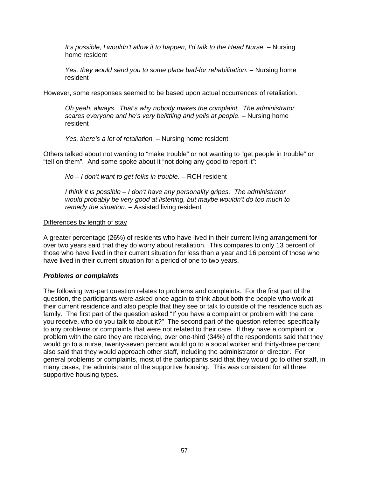*It's possible, I wouldn't allow it to happen, I'd talk to the Head Nurse. – Nursing* home resident

*Yes, they would send you to some place bad-for rehabilitation.* – Nursing home resident

However, some responses seemed to be based upon actual occurrences of retaliation.

*Oh yeah, always. That's why nobody makes the complaint. The administrator scares everyone and he's very belittling and yells at people. –* Nursing home resident

*Yes, there's a lot of retaliation. –* Nursing home resident

Others talked about not wanting to "make trouble" or not wanting to "get people in trouble" or "tell on them". And some spoke about it "not doing any good to report it":

*No – I don't want to get folks in trouble. –* RCH resident

*I think it is possible – I don't have any personality gripes. The administrator would probably be very good at listening, but maybe wouldn't do too much to remedy the situation. –* Assisted living resident

#### Differences by length of stay

A greater percentage (26%) of residents who have lived in their current living arrangement for over two years said that they do worry about retaliation. This compares to only 13 percent of those who have lived in their current situation for less than a year and 16 percent of those who have lived in their current situation for a period of one to two years.

### *Problems or complaints*

The following two-part question relates to problems and complaints. For the first part of the question, the participants were asked once again to think about both the people who work at their current residence and also people that they see or talk to outside of the residence such as family. The first part of the question asked "If you have a complaint or problem with the care you receive, who do you talk to about it?" The second part of the question referred specifically to any problems or complaints that were not related to their care. If they have a complaint or problem with the care they are receiving, over one-third (34%) of the respondents said that they would go to a nurse, twenty-seven percent would go to a social worker and thirty-three percent also said that they would approach other staff, including the administrator or director. For general problems or complaints, most of the participants said that they would go to other staff, in many cases, the administrator of the supportive housing. This was consistent for all three supportive housing types.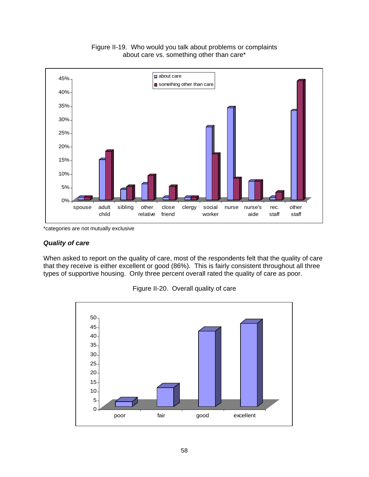

Figure II-19. Who would you talk about problems or complaints about care vs. something other than care\*

\*categories are not mutually exclusive

#### *Quality of care*

When asked to report on the quality of care, most of the respondents felt that the quality of care that they receive is either excellent or good (86%). This is fairly consistent throughout all three types of supportive housing. Only three percent overall rated the quality of care as poor.



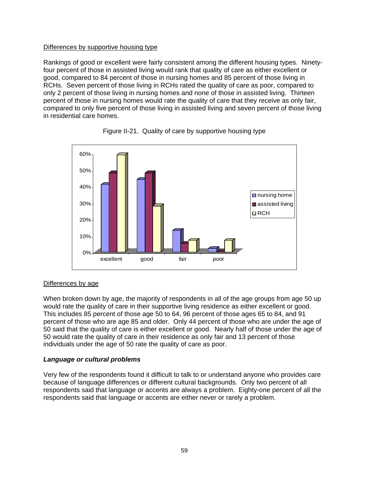Rankings of good or excellent were fairly consistent among the different housing types. Ninetyfour percent of those in assisted living would rank that quality of care as either excellent or good, compared to 84 percent of those in nursing homes and 85 percent of those living in RCHs. Seven percent of those living in RCHs rated the quality of care as poor, compared to only 2 percent of those living in nursing homes and none of those in assisted living. Thirteen percent of those in nursing homes would rate the quality of care that they receive as only fair, compared to only five percent of those living in assisted living and seven percent of those living in residential care homes.





# Differences by age

When broken down by age, the majority of respondents in all of the age groups from age 50 up would rate the quality of care in their supportive living residence as either excellent or good. This includes 85 percent of those age 50 to 64, 96 percent of those ages 65 to 84, and 91 percent of those who are age 85 and older. Only 44 percent of those who are under the age of 50 said that the quality of care is either excellent or good. Nearly half of those under the age of 50 would rate the quality of care in their residence as only fair and 13 percent of those individuals under the age of 50 rate the quality of care as poor.

### *Language or cultural problems*

Very few of the respondents found it difficult to talk to or understand anyone who provides care because of language differences or different cultural backgrounds. Only two percent of all respondents said that language or accents are always a problem. Eighty-one percent of all the respondents said that language or accents are either never or rarely a problem.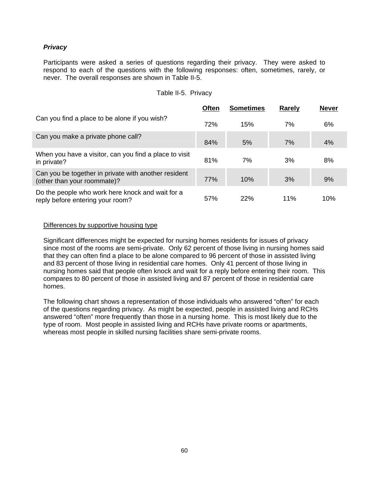## *Privacy*

Participants were asked a series of questions regarding their privacy. They were asked to respond to each of the questions with the following responses: often, sometimes, rarely, or never. The overall responses are shown in Table II-5.

### Table II-5. Privacy

|                                                                                      | <b>Often</b> | <b>Sometimes</b> | <b>Rarely</b> | <b>Never</b> |
|--------------------------------------------------------------------------------------|--------------|------------------|---------------|--------------|
| Can you find a place to be alone if you wish?                                        | 72%          | 15%              | 7%            | 6%           |
| Can you make a private phone call?                                                   | 84%          | 5%               | 7%            | 4%           |
| When you have a visitor, can you find a place to visit<br>in private?                | 81%          | 7%               | 3%            | 8%           |
| Can you be together in private with another resident<br>(other than your roommate)?  | 77%          | 10%              | 3%            | 9%           |
| Do the people who work here knock and wait for a<br>reply before entering your room? | 57%          | 22%              | 11%           | 10%          |

#### Differences by supportive housing type

Significant differences might be expected for nursing homes residents for issues of privacy since most of the rooms are semi-private. Only 62 percent of those living in nursing homes said that they can often find a place to be alone compared to 96 percent of those in assisted living and 83 percent of those living in residential care homes. Only 41 percent of those living in nursing homes said that people often knock and wait for a reply before entering their room. This compares to 80 percent of those in assisted living and 87 percent of those in residential care homes.

The following chart shows a representation of those individuals who answered "often" for each of the questions regarding privacy. As might be expected, people in assisted living and RCHs answered "often" more frequently than those in a nursing home. This is most likely due to the type of room. Most people in assisted living and RCHs have private rooms or apartments, whereas most people in skilled nursing facilities share semi-private rooms.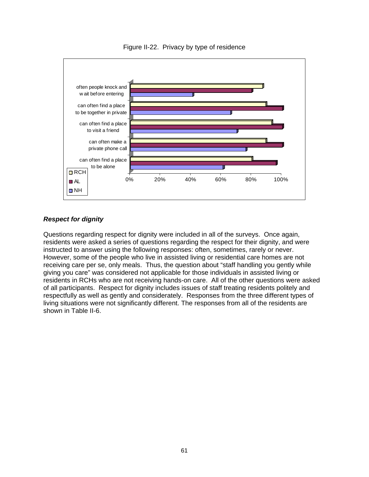

Figure II-22. Privacy by type of residence

# *Respect for dignity*

Questions regarding respect for dignity were included in all of the surveys. Once again, residents were asked a series of questions regarding the respect for their dignity, and were instructed to answer using the following responses: often, sometimes, rarely or never. However, some of the people who live in assisted living or residential care homes are not receiving care per se, only meals. Thus, the question about "staff handling you gently while giving you care" was considered not applicable for those individuals in assisted living or residents in RCHs who are not receiving hands-on care. All of the other questions were asked of all participants. Respect for dignity includes issues of staff treating residents politely and respectfully as well as gently and considerately. Responses from the three different types of living situations were not significantly different. The responses from all of the residents are shown in Table II-6.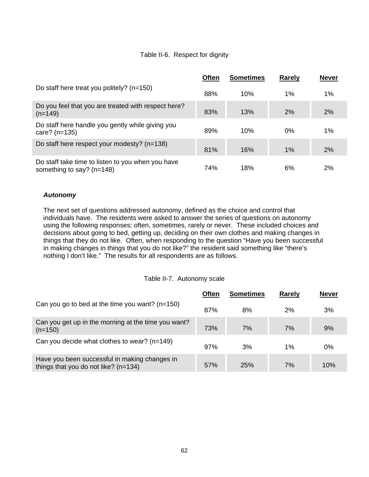# Table II-6. Respect for dignity

|                                                                                  | <b>Often</b> | <b>Sometimes</b> | Rarely | <b>Never</b> |
|----------------------------------------------------------------------------------|--------------|------------------|--------|--------------|
| Do staff here treat you politely? (n=150)                                        | 88%          | 10%              | 1%     | $1\%$        |
| Do you feel that you are treated with respect here?<br>$(n=149)$                 | 83%          | 13%              | 2%     | 2%           |
| Do staff here handle you gently while giving you<br>care? $(n=135)$              | 89%          | 10%              | $0\%$  | $1\%$        |
| Do staff here respect your modesty? (n=138)                                      | 81%          | 16%              | 1%     | 2%           |
| Do staff take time to listen to you when you have<br>something to say? $(n=148)$ | 74%          | 18%              | 6%     | 2%           |

## *Autonomy*

The next set of questions addressed autonomy, defined as the choice and control that individuals have. The residents were asked to answer the series of questions on autonomy using the following responses: often, sometimes, rarely or never. These included choices and decisions about going to bed, getting up, deciding on their own clothes and making changes in things that they do not like. Often, when responding to the question "Have you been successful in making changes in things that you do not like?" the resident said something like "there's nothing I don't like." The results for all respondents are as follows.

### Table II-7. Autonomy scale

|                                                                                       | <b>Often</b> | <b>Sometimes</b> | <b>Rarely</b> | <b>Never</b> |
|---------------------------------------------------------------------------------------|--------------|------------------|---------------|--------------|
| Can you go to bed at the time you want? $(n=150)$                                     | 87%          | 8%               | 2%            | 3%           |
| Can you get up in the morning at the time you want?<br>$(n=150)$                      | 73%          | 7%               | 7%            | 9%           |
| Can you decide what clothes to wear? $(n=149)$                                        | 97%          | 3%               | 1%            | 0%           |
| Have you been successful in making changes in<br>things that you do not like? (n=134) | 57%          | 25%              | 7%            | 10%          |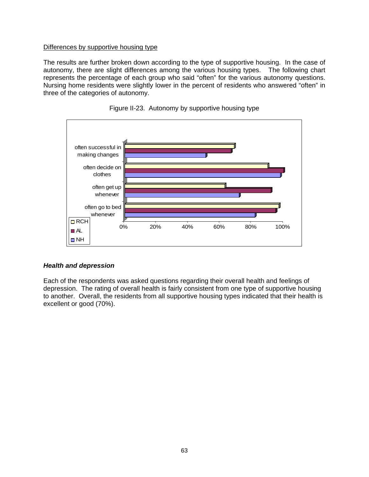The results are further broken down according to the type of supportive housing. In the case of autonomy, there are slight differences among the various housing types. The following chart represents the percentage of each group who said "often" for the various autonomy questions. Nursing home residents were slightly lower in the percent of residents who answered "often" in three of the categories of autonomy.





### *Health and depression*

Each of the respondents was asked questions regarding their overall health and feelings of depression. The rating of overall health is fairly consistent from one type of supportive housing to another. Overall, the residents from all supportive housing types indicated that their health is excellent or good (70%).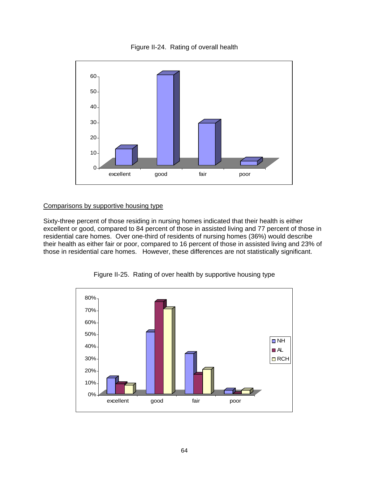



## Comparisons by supportive housing type

Sixty-three percent of those residing in nursing homes indicated that their health is either excellent or good, compared to 84 percent of those in assisted living and 77 percent of those in residential care homes. Over one-third of residents of nursing homes (36%) would describe their health as either fair or poor, compared to 16 percent of those in assisted living and 23% of those in residential care homes. However, these differences are not statistically significant.



Figure II-25. Rating of over health by supportive housing type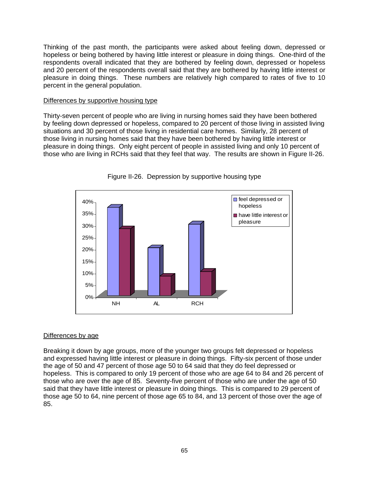Thinking of the past month, the participants were asked about feeling down, depressed or hopeless or being bothered by having little interest or pleasure in doing things. One-third of the respondents overall indicated that they are bothered by feeling down, depressed or hopeless and 20 percent of the respondents overall said that they are bothered by having little interest or pleasure in doing things. These numbers are relatively high compared to rates of five to 10 percent in the general population.

#### Differences by supportive housing type

Thirty-seven percent of people who are living in nursing homes said they have been bothered by feeling down depressed or hopeless, compared to 20 percent of those living in assisted living situations and 30 percent of those living in residential care homes. Similarly, 28 percent of those living in nursing homes said that they have been bothered by having little interest or pleasure in doing things. Only eight percent of people in assisted living and only 10 percent of those who are living in RCHs said that they feel that way. The results are shown in Figure II-26.



Figure II-26. Depression by supportive housing type

### Differences by age

Breaking it down by age groups, more of the younger two groups felt depressed or hopeless and expressed having little interest or pleasure in doing things. Fifty-six percent of those under the age of 50 and 47 percent of those age 50 to 64 said that they do feel depressed or hopeless. This is compared to only 19 percent of those who are age 64 to 84 and 26 percent of those who are over the age of 85. Seventy-five percent of those who are under the age of 50 said that they have little interest or pleasure in doing things. This is compared to 29 percent of those age 50 to 64, nine percent of those age 65 to 84, and 13 percent of those over the age of 85.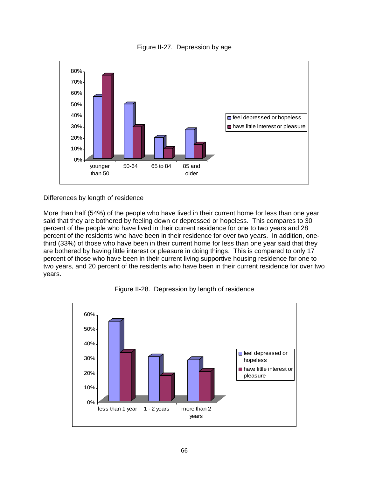



### Differences by length of residence

More than half (54%) of the people who have lived in their current home for less than one year said that they are bothered by feeling down or depressed or hopeless. This compares to 30 percent of the people who have lived in their current residence for one to two years and 28 percent of the residents who have been in their residence for over two years. In addition, onethird (33%) of those who have been in their current home for less than one year said that they are bothered by having little interest or pleasure in doing things. This is compared to only 17 percent of those who have been in their current living supportive housing residence for one to two years, and 20 percent of the residents who have been in their current residence for over two years.



Figure II-28. Depression by length of residence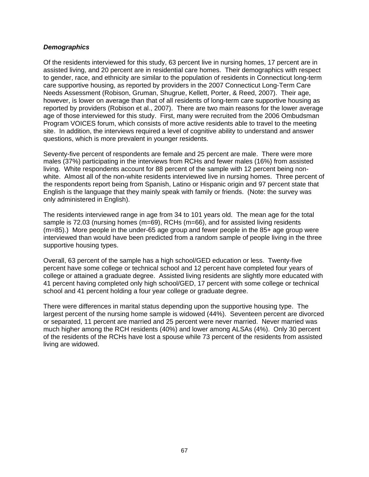#### *Demographics*

Of the residents interviewed for this study, 63 percent live in nursing homes, 17 percent are in assisted living, and 20 percent are in residential care homes. Their demographics with respect to gender, race, and ethnicity are similar to the population of residents in Connecticut long-term care supportive housing, as reported by providers in the 2007 Connecticut Long-Term Care Needs Assessment (Robison, Gruman, Shugrue, Kellett, Porter, & Reed, 2007). Their age, however, is lower on average than that of all residents of long-term care supportive housing as reported by providers (Robison et al., 2007). There are two main reasons for the lower average age of those interviewed for this study. First, many were recruited from the 2006 Ombudsman Program VOICES forum, which consists of more active residents able to travel to the meeting site. In addition, the interviews required a level of cognitive ability to understand and answer questions, which is more prevalent in younger residents.

Seventy-five percent of respondents are female and 25 percent are male. There were more males (37%) participating in the interviews from RCHs and fewer males (16%) from assisted living. White respondents account for 88 percent of the sample with 12 percent being nonwhite. Almost all of the non-white residents interviewed live in nursing homes. Three percent of the respondents report being from Spanish, Latino or Hispanic origin and 97 percent state that English is the language that they mainly speak with family or friends. (Note: the survey was only administered in English).

The residents interviewed range in age from 34 to 101 years old. The mean age for the total sample is 72.03 (nursing homes (m=69), RCHs (m=66), and for assisted living residents (m=85).) More people in the under-65 age group and fewer people in the 85+ age group were interviewed than would have been predicted from a random sample of people living in the three supportive housing types.

Overall, 63 percent of the sample has a high school/GED education or less. Twenty-five percent have some college or technical school and 12 percent have completed four years of college or attained a graduate degree. Assisted living residents are slightly more educated with 41 percent having completed only high school/GED, 17 percent with some college or technical school and 41 percent holding a four year college or graduate degree.

There were differences in marital status depending upon the supportive housing type. The largest percent of the nursing home sample is widowed (44%). Seventeen percent are divorced or separated, 11 percent are married and 25 percent were never married. Never married was much higher among the RCH residents (40%) and lower among ALSAs (4%). Only 30 percent of the residents of the RCHs have lost a spouse while 73 percent of the residents from assisted living are widowed.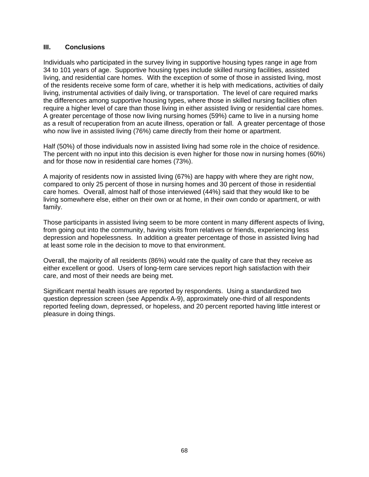#### **III. Conclusions**

Individuals who participated in the survey living in supportive housing types range in age from 34 to 101 years of age. Supportive housing types include skilled nursing facilities, assisted living, and residential care homes. With the exception of some of those in assisted living, most of the residents receive some form of care, whether it is help with medications, activities of daily living, instrumental activities of daily living, or transportation. The level of care required marks the differences among supportive housing types, where those in skilled nursing facilities often require a higher level of care than those living in either assisted living or residential care homes. A greater percentage of those now living nursing homes (59%) came to live in a nursing home as a result of recuperation from an acute illness, operation or fall. A greater percentage of those who now live in assisted living (76%) came directly from their home or apartment.

Half (50%) of those individuals now in assisted living had some role in the choice of residence. The percent with no input into this decision is even higher for those now in nursing homes (60%) and for those now in residential care homes (73%).

A majority of residents now in assisted living (67%) are happy with where they are right now, compared to only 25 percent of those in nursing homes and 30 percent of those in residential care homes. Overall, almost half of those interviewed (44%) said that they would like to be living somewhere else, either on their own or at home, in their own condo or apartment, or with family.

Those participants in assisted living seem to be more content in many different aspects of living, from going out into the community, having visits from relatives or friends, experiencing less depression and hopelessness. In addition a greater percentage of those in assisted living had at least some role in the decision to move to that environment.

Overall, the majority of all residents (86%) would rate the quality of care that they receive as either excellent or good. Users of long-term care services report high satisfaction with their care, and most of their needs are being met.

Significant mental health issues are reported by respondents. Using a standardized two question depression screen (see Appendix A-9), approximately one-third of all respondents reported feeling down, depressed, or hopeless, and 20 percent reported having little interest or pleasure in doing things.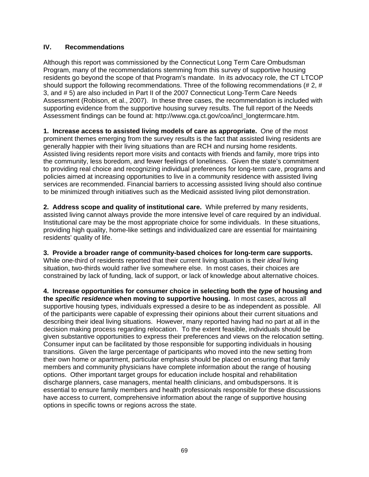## **IV. Recommendations**

Although this report was commissioned by the Connecticut Long Term Care Ombudsman Program, many of the recommendations stemming from this survey of supportive housing residents go beyond the scope of that Program's mandate. In its advocacy role, the CT LTCOP should support the following recommendations. Three of the following recommendations (# 2, # 3, and # 5) are also included in Part II of the 2007 Connecticut Long-Term Care Needs Assessment (Robison, et al., 2007). In these three cases, the recommendation is included with supporting evidence from the supportive housing survey results. The full report of the Needs Assessment findings can be found at: http://www.cga.ct.gov/coa/incl\_longtermcare.htm.

**1. Increase access to assisted living models of care as appropriate.** One of the most prominent themes emerging from the survey results is the fact that assisted living residents are generally happier with their living situations than are RCH and nursing home residents. Assisted living residents report more visits and contacts with friends and family, more trips into the community, less boredom, and fewer feelings of loneliness. Given the state's commitment to providing real choice and recognizing individual preferences for long-term care, programs and policies aimed at increasing opportunities to live in a community residence with assisted living services are recommended. Financial barriers to accessing assisted living should also continue to be minimized through initiatives such as the Medicaid assisted living pilot demonstration.

**2. Address scope and quality of institutional care.** While preferred by many residents, assisted living cannot always provide the more intensive level of care required by an individual. Institutional care may be the most appropriate choice for some individuals. In these situations, providing high quality, home-like settings and individualized care are essential for maintaining residents' quality of life.

### **3. Provide a broader range of community-based choices for long-term care supports.**

While one-third of residents reported that their current living situation is their *ideal* living situation, two-thirds would rather live somewhere else. In most cases, their choices are constrained by lack of funding, lack of support, or lack of knowledge about alternative choices.

**4. Increase opportunities for consumer choice in selecting both the** *type* **of housing and the** *specific residence* **when moving to supportive housing.** In most cases, across all supportive housing types, individuals expressed a desire to be as independent as possible. All of the participants were capable of expressing their opinions about their current situations and describing their ideal living situations. However, many reported having had no part at all in the decision making process regarding relocation. To the extent feasible, individuals should be given substantive opportunities to express their preferences and views on the relocation setting. Consumer input can be facilitated by those responsible for supporting individuals in housing transitions. Given the large percentage of participants who moved into the new setting from their own home or apartment, particular emphasis should be placed on ensuring that family members and community physicians have complete information about the range of housing options. Other important target groups for education include hospital and rehabilitation discharge planners, case managers, mental health clinicians, and ombudspersons. It is essential to ensure family members and health professionals responsible for these discussions have access to current, comprehensive information about the range of supportive housing options in specific towns or regions across the state.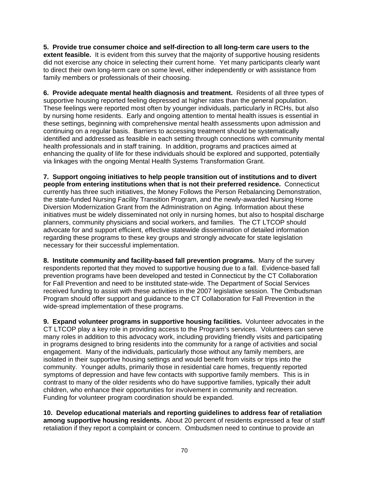**5. Provide true consumer choice and self-direction to all long-term care users to the extent feasible.** It is evident from this survey that the majority of supportive housing residents did not exercise any choice in selecting their current home. Yet many participants clearly want to direct their own long-term care on some level, either independently or with assistance from family members or professionals of their choosing.

**6. Provide adequate mental health diagnosis and treatment.** Residents of all three types of supportive housing reported feeling depressed at higher rates than the general population. These feelings were reported most often by younger individuals, particularly in RCHs, but also by nursing home residents. Early and ongoing attention to mental health issues is essential in these settings, beginning with comprehensive mental health assessments upon admission and continuing on a regular basis. Barriers to accessing treatment should be systematically identified and addressed as feasible in each setting through connections with community mental health professionals and in staff training. In addition, programs and practices aimed at enhancing the quality of life for these individuals should be explored and supported, potentially via linkages with the ongoing Mental Health Systems Transformation Grant.

**7. Support ongoing initiatives to help people transition out of institutions and to divert people from entering institutions when that is not their preferred residence.** Connecticut currently has three such initiatives, the Money Follows the Person Rebalancing Demonstration, the state-funded Nursing Facility Transition Program, and the newly-awarded Nursing Home Diversion Modernization Grant from the Administration on Aging. Information about these initiatives must be widely disseminated not only in nursing homes, but also to hospital discharge planners, community physicians and social workers, and families. The CT LTCOP should advocate for and support efficient, effective statewide dissemination of detailed information regarding these programs to these key groups and strongly advocate for state legislation necessary for their successful implementation.

**8. Institute community and facility-based fall prevention programs.** Many of the survey respondents reported that they moved to supportive housing due to a fall. Evidence-based fall prevention programs have been developed and tested in Connecticut by the CT Collaboration for Fall Prevention and need to be instituted state-wide. The Department of Social Services received funding to assist with these activities in the 2007 legislative session. The Ombudsman Program should offer support and guidance to the CT Collaboration for Fall Prevention in the wide-spread implementation of these programs.

**9. Expand volunteer programs in supportive housing facilities.** Volunteer advocates in the CT LTCOP play a key role in providing access to the Program's services. Volunteers can serve many roles in addition to this advocacy work, including providing friendly visits and participating in programs designed to bring residents into the community for a range of activities and social engagement. Many of the individuals, particularly those without any family members, are isolated in their supportive housing settings and would benefit from visits or trips into the community.Younger adults, primarily those in residential care homes, frequently reported symptoms of depression and have few contacts with supportive family members. This is in contrast to many of the older residents who do have supportive families, typically their adult children, who enhance their opportunities for involvement in community and recreation. Funding for volunteer program coordination should be expanded.

**10. Develop educational materials and reporting guidelines to address fear of retaliation among supportive housing residents.** About 20 percent of residents expressed a fear of staff retaliation if they report a complaint or concern. Ombudsmen need to continue to provide an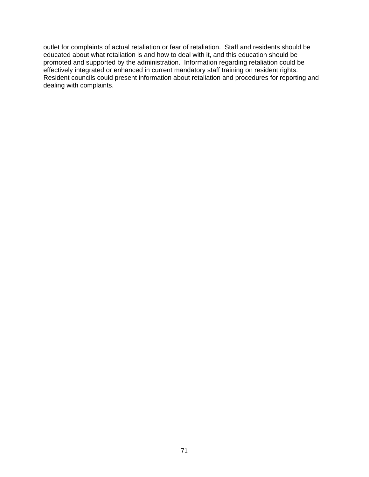outlet for complaints of actual retaliation or fear of retaliation. Staff and residents should be educated about what retaliation is and how to deal with it, and this education should be promoted and supported by the administration. Information regarding retaliation could be effectively integrated or enhanced in current mandatory staff training on resident rights. Resident councils could present information about retaliation and procedures for reporting and dealing with complaints.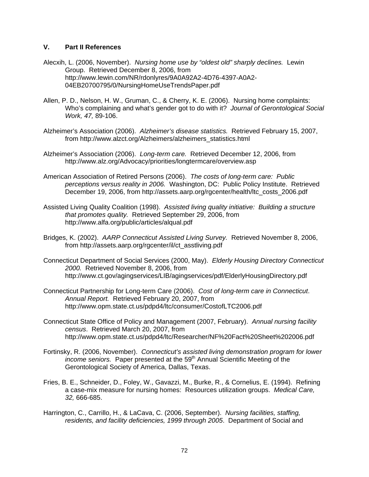#### **V. Part II References**

Alecxih, L. (2006, November). *Nursing home use by "oldest old" sharply declines.* Lewin Group. Retrieved December 8, 2006, from http://www.lewin.com/NR/rdonlyres/9A0A92A2-4D76-4397-A0A2- 04EB20700795/0/NursingHomeUseTrendsPaper.pdf

- Allen, P. D., Nelson, H. W., Gruman, C., & Cherry, K. E. (2006). Nursing home complaints: Who's complaining and what's gender got to do with it? *Journal of Gerontological Social Work, 47,* 89-106.
- Alzheimer's Association (2006). *Alzheimer's disease statistics.* Retrieved February 15, 2007, from [http://www.alzct.org/Alzheimers/alzheimers\\_statistics.html](http://www.alzct.org/Alzheimers/alzheimers_statistics.html)
- Alzheimer's Association (2006). *Long-term care.* Retrieved December 12, 2006, from http://www.alz.org/Advocacy/priorities/longtermcare/overview.asp
- American Association of Retired Persons (2006). *The costs of long-term care: Public perceptions versus reality in 2006.* Washington, DC:Public Policy Institute. Retrieved December 19, 2006, from http://assets.aarp.org/rgcenter/health/ltc\_costs\_2006.pdf
- Assisted Living Quality Coalition (1998). *Assisted living quality initiative: Building a structure that promotes quality.* Retrieved September 29, 2006, from http://www.alfa.org/public/articles/alqual.pdf
- Bridges, K. (2002). *AARP Connecticut Assisted Living Survey.* Retrieved November 8, 2006, from http://assets.aarp.org/rgcenter/il/ct\_asstliving.pdf
- Connecticut Department of Social Services (2000, May). *Elderly Housing Directory Connecticut 2000.* Retrieved November 8, 2006, from http://www.ct.gov/agingservices/LIB/agingservices/pdf/ElderlyHousingDirectory.pdf
- Connecticut Partnership for Long-term Care (2006). *Cost of long-term care in Connecticut*. *Annual Report.* Retrieved February 20, 2007, from http://www.opm.state.ct.us/pdpd4/ltc/consumer/CostofLTC2006.pdf
- Connecticut State Office of Policy and Management (2007, February). *Annual nursing facility census*. Retrieved March 20, 2007, from http://www.opm.state.ct.us/pdpd4/ltc/Researcher/NF%20Fact%20Sheet%202006.pdf
- Fortinsky, R. (2006, November). *Connecticut's assisted living demonstration program for lower income seniors.* Paper presented at the 59<sup>th</sup> Annual Scientific Meeting of the Gerontological Society of America, Dallas, Texas.
- Fries, B. E., Schneider, D., Foley, W., Gavazzi, M., Burke, R., & Cornelius, E. (1994). Refining a case-mix measure for nursing homes: Resources utilization groups. *Medical Care, 32,* 666-685.
- Harrington, C., Carrillo, H., & LaCava, C. (2006, September). *Nursing facilities, staffing, residents, and facility deficiencies, 1999 through 2005*. Department of Social and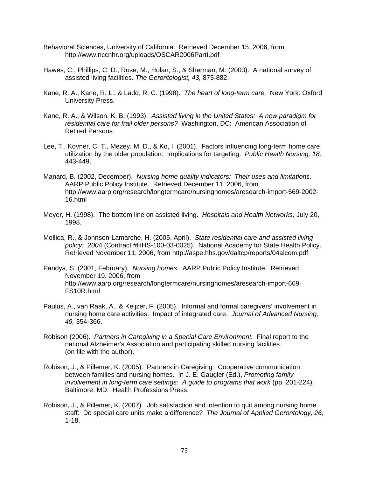- Behavioral Sciences, University of California. Retrieved December 15, 2006, from http://www.nccnhr.org/uploads/OSCAR2006PartI.pdf
- Hawes, C., Phillips, C. D., Rose, M., Holan, S., & Sherman, M. (2003). A national survey of assisted living facilities. *The Gerontologist, 43,* 875-882.
- Kane, R. A., Kane, R. L., & Ladd, R. C. (1998). *The heart of long-term care.* New York: Oxford University Press.
- Kane, R. A., & Wilson, K. B. (1993). *Assisted living in the United States: A new paradigm for residential care for frail older persons?* Washington, DC: American Association of Retired Persons.
- Lee, T., Kovner, C. T., Mezey, M. D., & Ko, I. (2001). Factors influencing long-term home care utilization by the older population: Implications for targeting. *Public Health Nursing, 18,*  443-449.
- Manard, B. (2002, December). *Nursing home quality indicators: Their uses and limitations.* AARP Public Policy Institute. Retrieved December 11, 2006, from http://www.aarp.org/research/longtermcare/nursinghomes/aresearch-import-569-2002- 16.html
- Meyer, H. (1998). The bottom line on assisted living. *Hospitals and Health Networks,* July 20, 1998.
- Mollica, R., & Johnson-Lamarche, H. (2005, April). *State residential care and assisted living policy: 200*4 (Contract #HHS-100-03-0025). National Academy for State Health Policy. Retrieved November 11, 2006, from http://aspe.hhs.gov/daltcp/reports/04alcom.pdf
- Pandya, S. (2001, February). *Nursing homes.* AARP Public Policy Institute. Retrieved November 19, 2006, from http://www.aarp.org/research/longtermcare/nursinghomes/aresearch-import-669- FS10R.html
- Paulus, A., van Raak, A., & Keijzer, F. (2005). Informal and formal caregivers' involvement in nursing home care activities: Impact of integrated care. *Journal of Advanced Nursing, 49,* 354-366.
- Robison (2006). *Partners in Caregiving in a Special Care Environment.* Final report to the national Alzheimer's Association and participating skilled nursing facilities. (on file with the author).
- Robison, J., & Pillemer, K. (2005). Partners in Caregiving: Cooperative communication between families and nursing homes. In J. E. Gaugler (Ed.), *Promoting family involvement in long-term care settings: A guide to programs that work (pp. 201-224).* Baltimore, MD: Health Professions Press.
- Robison, J., & Pillemer, K. (2007). Job satisfaction and intention to quit among nursing home staff: Do special care units make a difference? *The Journal of Applied Gerontology, 26,*  1-18.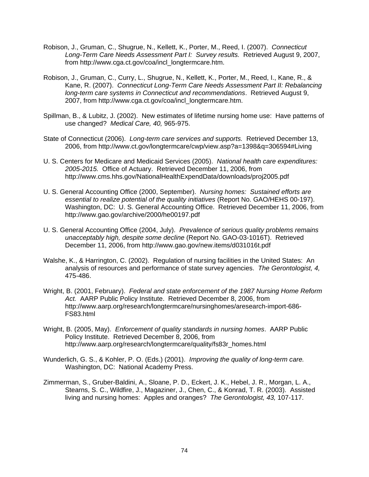- Robison, J., Gruman, C., Shugrue, N., Kellett, K., Porter, M., Reed, I. (2007). *Connecticut Long-Term Care Needs Assessment Part I: Survey results.* Retrieved August 9, 2007, from [http://www.cga.ct.gov/coa/incl\\_longtermcare.htm.](http://www.cga.ct.gov/coa/incl_longtermcare.htm)
- Robison, J., Gruman, C., Curry, L., Shugrue, N., Kellett, K., Porter, M., Reed, I., Kane, R., & Kane, R. (2007). *Connecticut Long-Term Care Needs Assessment Part II: Rebalancing long-term care systems in Connecticut and recommendations*. Retrieved August 9, 2007, from [http://www.cga.ct.gov/coa/incl\\_longtermcare.htm](http://www.cga.ct.gov/coa/incl_longtermcare.htm).
- Spillman, B., & Lubitz, J. (2002). New estimates of lifetime nursing home use: Have patterns of use changed? *Medical Care, 40,* 965-975.
- State of Connecticut (2006). *Long-term care services and supports.* Retrieved December 13, 2006, from http://www.ct.gov/longtermcare/cwp/view.asp?a=1398&q=306594#Living
- U. S. Centers for Medicare and Medicaid Services (2005). *National health care expenditures: 2005-2015.* Office of Actuary. Retrieved December 11, 2006, from <http://www.cms.hhs.gov/NationalHealthExpendData/downloads/proj2005.pdf>
- U. S. General Accounting Office (2000, September). *Nursing homes: Sustained efforts are essential to realize potential of the quality initiatives* (Report No. GAO/HEHS 00-197). Washington, DC: U. S. General Accounting Office. Retrieved December 11, 2006, from http://www.gao.gov/archive/2000/he00197.pdf
- U. S. General Accounting Office (2004, July). *Prevalence of serious quality problems remains unacceptably high, despite some decline* (Report No. GAO-03-1016T). Retrieved December 11, 2006, from http://www.gao.gov/new.items/d031016t.pdf
- Walshe, K., & Harrington, C. (2002). Regulation of nursing facilities in the United States: An analysis of resources and performance of state survey agencies. *The Gerontologist, 4,*  475-486.
- Wright, B. (2001, February). *Federal and state enforcement of the 1987 Nursing Home Reform Act.* AARP Public Policy Institute. Retrieved December 8, 2006, from http://www.aarp.org/research/longtermcare/nursinghomes/aresearch-import-686- FS83.html
- Wright, B. (2005, May). *Enforcement of quality standards in nursing homes*. AARP Public Policy Institute. Retrieved December 8, 2006, from http://www.aarp.org/research/longtermcare/quality/fs83r\_homes.html
- Wunderlich, G. S., & Kohler, P. O. (Eds.) (2001). *Improving the quality of long-term care.*  Washington, DC: National Academy Press.
- Zimmerman, S., Gruber-Baldini, A., Sloane, P. D., Eckert, J. K., Hebel, J. R., Morgan, L. A., Stearns, S. C., Wildfire, J., Magaziner, J., Chen, C., & Konrad, T. R. (2003). Assisted living and nursing homes: Apples and oranges? *The Gerontologist, 43,* 107-117.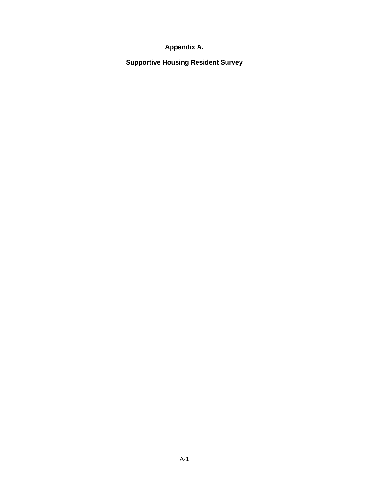# **Appendix A.**

**Supportive Housing Resident Survey**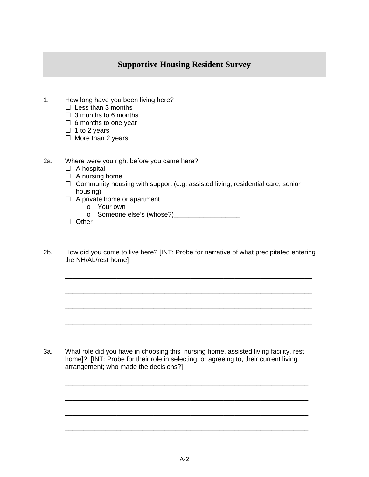## **Supportive Housing Resident Survey**

- 1. How long have you been living here?
	- $\Box$  Less than 3 months
	- $\Box$  3 months to 6 months
	- $\Box$  6 months to one year
	- $\Box$  1 to 2 years
	- $\Box$  More than 2 years
- 2a. Where were you right before you came here?
	- $\Box$  A hospital
	- $\Box$  A nursing home
	- $\Box$  Community housing with support (e.g. assisted living, residential care, senior housing)
	- $\Box$  A private home or apartment
		- o Your own
		- o Someone else's (whose?)\_\_\_\_\_\_\_\_\_\_\_\_\_\_\_\_\_\_
	- Other \_\_\_\_\_\_\_\_\_\_\_\_\_\_\_\_\_\_\_\_\_\_\_\_\_\_\_\_\_\_\_\_\_\_\_\_\_\_\_\_\_\_\_
- 2b. How did you come to live here? [INT: Probe for narrative of what precipitated entering the NH/AL/rest home]

\_\_\_\_\_\_\_\_\_\_\_\_\_\_\_\_\_\_\_\_\_\_\_\_\_\_\_\_\_\_\_\_\_\_\_\_\_\_\_\_\_\_\_\_\_\_\_\_\_\_\_\_\_\_\_\_\_\_\_\_\_\_\_\_\_\_\_

\_\_\_\_\_\_\_\_\_\_\_\_\_\_\_\_\_\_\_\_\_\_\_\_\_\_\_\_\_\_\_\_\_\_\_\_\_\_\_\_\_\_\_\_\_\_\_\_\_\_\_\_\_\_\_\_\_\_\_\_\_\_\_\_\_\_\_

\_\_\_\_\_\_\_\_\_\_\_\_\_\_\_\_\_\_\_\_\_\_\_\_\_\_\_\_\_\_\_\_\_\_\_\_\_\_\_\_\_\_\_\_\_\_\_\_\_\_\_\_\_\_\_\_\_\_\_\_\_\_\_\_\_\_\_

\_\_\_\_\_\_\_\_\_\_\_\_\_\_\_\_\_\_\_\_\_\_\_\_\_\_\_\_\_\_\_\_\_\_\_\_\_\_\_\_\_\_\_\_\_\_\_\_\_\_\_\_\_\_\_\_\_\_\_\_\_\_\_\_\_\_\_

\_\_\_\_\_\_\_\_\_\_\_\_\_\_\_\_\_\_\_\_\_\_\_\_\_\_\_\_\_\_\_\_\_\_\_\_\_\_\_\_\_\_\_\_\_\_\_\_\_\_\_\_\_\_\_\_\_\_\_\_\_\_\_\_\_\_

\_\_\_\_\_\_\_\_\_\_\_\_\_\_\_\_\_\_\_\_\_\_\_\_\_\_\_\_\_\_\_\_\_\_\_\_\_\_\_\_\_\_\_\_\_\_\_\_\_\_\_\_\_\_\_\_\_\_\_\_\_\_\_\_\_\_

\_\_\_\_\_\_\_\_\_\_\_\_\_\_\_\_\_\_\_\_\_\_\_\_\_\_\_\_\_\_\_\_\_\_\_\_\_\_\_\_\_\_\_\_\_\_\_\_\_\_\_\_\_\_\_\_\_\_\_\_\_\_\_\_\_\_

\_\_\_\_\_\_\_\_\_\_\_\_\_\_\_\_\_\_\_\_\_\_\_\_\_\_\_\_\_\_\_\_\_\_\_\_\_\_\_\_\_\_\_\_\_\_\_\_\_\_\_\_\_\_\_\_\_\_\_\_\_\_\_\_\_\_

3a. What role did you have in choosing this [nursing home, assisted living facility, rest home]? [INT: Probe for their role in selecting, or agreeing to, their current living arrangement; who made the decisions?]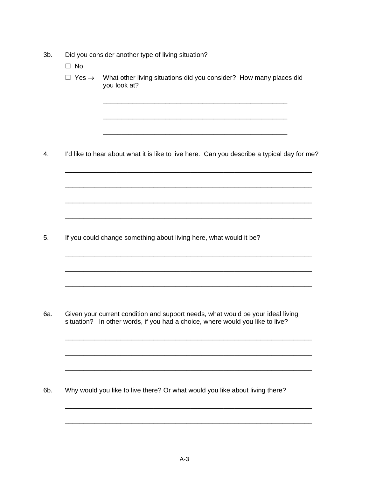- 3b. Did you consider another type of living situation?
	- $\Box$  No
	- $\Box$  Yes  $\rightarrow$  What other living situations did you consider? How many places did you look at?

\_\_\_\_\_\_\_\_\_\_\_\_\_\_\_\_\_\_\_\_\_\_\_\_\_\_\_\_\_\_\_\_\_\_\_\_\_\_\_\_\_\_\_\_\_\_\_\_\_\_

\_\_\_\_\_\_\_\_\_\_\_\_\_\_\_\_\_\_\_\_\_\_\_\_\_\_\_\_\_\_\_\_\_\_\_\_\_\_\_\_\_\_\_\_\_\_\_\_\_\_

\_\_\_\_\_\_\_\_\_\_\_\_\_\_\_\_\_\_\_\_\_\_\_\_\_\_\_\_\_\_\_\_\_\_\_\_\_\_\_\_\_\_\_\_\_\_\_\_\_\_

4. I'd like to hear about what it is like to live here. Can you describe a typical day for me?

\_\_\_\_\_\_\_\_\_\_\_\_\_\_\_\_\_\_\_\_\_\_\_\_\_\_\_\_\_\_\_\_\_\_\_\_\_\_\_\_\_\_\_\_\_\_\_\_\_\_\_\_\_\_\_\_\_\_\_\_\_\_\_\_\_\_\_

\_\_\_\_\_\_\_\_\_\_\_\_\_\_\_\_\_\_\_\_\_\_\_\_\_\_\_\_\_\_\_\_\_\_\_\_\_\_\_\_\_\_\_\_\_\_\_\_\_\_\_\_\_\_\_\_\_\_\_\_\_\_\_\_\_\_\_

\_\_\_\_\_\_\_\_\_\_\_\_\_\_\_\_\_\_\_\_\_\_\_\_\_\_\_\_\_\_\_\_\_\_\_\_\_\_\_\_\_\_\_\_\_\_\_\_\_\_\_\_\_\_\_\_\_\_\_\_\_\_\_\_\_\_\_

\_\_\_\_\_\_\_\_\_\_\_\_\_\_\_\_\_\_\_\_\_\_\_\_\_\_\_\_\_\_\_\_\_\_\_\_\_\_\_\_\_\_\_\_\_\_\_\_\_\_\_\_\_\_\_\_\_\_\_\_\_\_\_\_\_\_\_

\_\_\_\_\_\_\_\_\_\_\_\_\_\_\_\_\_\_\_\_\_\_\_\_\_\_\_\_\_\_\_\_\_\_\_\_\_\_\_\_\_\_\_\_\_\_\_\_\_\_\_\_\_\_\_\_\_\_\_\_\_\_\_\_\_\_\_

\_\_\_\_\_\_\_\_\_\_\_\_\_\_\_\_\_\_\_\_\_\_\_\_\_\_\_\_\_\_\_\_\_\_\_\_\_\_\_\_\_\_\_\_\_\_\_\_\_\_\_\_\_\_\_\_\_\_\_\_\_\_\_\_\_\_\_

\_\_\_\_\_\_\_\_\_\_\_\_\_\_\_\_\_\_\_\_\_\_\_\_\_\_\_\_\_\_\_\_\_\_\_\_\_\_\_\_\_\_\_\_\_\_\_\_\_\_\_\_\_\_\_\_\_\_\_\_\_\_\_\_\_\_\_

\_\_\_\_\_\_\_\_\_\_\_\_\_\_\_\_\_\_\_\_\_\_\_\_\_\_\_\_\_\_\_\_\_\_\_\_\_\_\_\_\_\_\_\_\_\_\_\_\_\_\_\_\_\_\_\_\_\_\_\_\_\_\_\_\_\_\_

\_\_\_\_\_\_\_\_\_\_\_\_\_\_\_\_\_\_\_\_\_\_\_\_\_\_\_\_\_\_\_\_\_\_\_\_\_\_\_\_\_\_\_\_\_\_\_\_\_\_\_\_\_\_\_\_\_\_\_\_\_\_\_\_\_\_\_

\_\_\_\_\_\_\_\_\_\_\_\_\_\_\_\_\_\_\_\_\_\_\_\_\_\_\_\_\_\_\_\_\_\_\_\_\_\_\_\_\_\_\_\_\_\_\_\_\_\_\_\_\_\_\_\_\_\_\_\_\_\_\_\_\_\_\_

\_\_\_\_\_\_\_\_\_\_\_\_\_\_\_\_\_\_\_\_\_\_\_\_\_\_\_\_\_\_\_\_\_\_\_\_\_\_\_\_\_\_\_\_\_\_\_\_\_\_\_\_\_\_\_\_\_\_\_\_\_\_\_\_\_\_\_

5. If you could change something about living here, what would it be?

6a. Given your current condition and support needs, what would be your ideal living situation? In other words, if you had a choice, where would you like to live?

6b. Why would you like to live there? Or what would you like about living there?

\_\_\_\_\_\_\_\_\_\_\_\_\_\_\_\_\_\_\_\_\_\_\_\_\_\_\_\_\_\_\_\_\_\_\_\_\_\_\_\_\_\_\_\_\_\_\_\_\_\_\_\_\_\_\_\_\_\_\_\_\_\_\_\_\_\_\_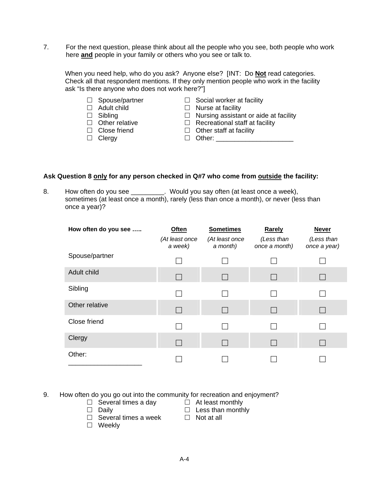7. For the next question, please think about all the people who you see, both people who work here **and** people in your family or others who you see or talk to.

When you need help, who do you ask? Anyone else? [INT: Do **Not** read categories. Check all that respondent mentions. If they only mention people who work in the facility ask "Is there anyone who does not work here?"]

| $\Box$ Spouse/partner<br>$\Box$ Adult child<br>$\Box$ Sibling<br>$\Box$ Other relative<br>$\Box$ Close friend | $\Box$ Social worker at facility<br>$\Box$ Nurse at facility<br>$\Box$ Nursing assistant or aide at facility<br>$\Box$ Recreational staff at facility<br>$\Box$ Other staff at facility |
|---------------------------------------------------------------------------------------------------------------|-----------------------------------------------------------------------------------------------------------------------------------------------------------------------------------------|
| $\Box$ Clergy                                                                                                 | $\Box$ Other:                                                                                                                                                                           |

#### Ask Question 8 only for any person checked in Q#7 who come from outside the facility:

8. How often do you see \_\_\_\_\_\_\_\_\_. Would you say often (at least once a week), sometimes (at least once a month), rarely (less than once a month), or never (less than once a year)?

| How often do you see | <b>Often</b><br>(At least once<br>a week) | <b>Sometimes</b><br>(At least once<br>a month) | Rarely<br>(Less than<br>once a month) | <b>Never</b><br>(Less than<br>once a year) |
|----------------------|-------------------------------------------|------------------------------------------------|---------------------------------------|--------------------------------------------|
| Spouse/partner       |                                           |                                                |                                       |                                            |
| Adult child          |                                           |                                                |                                       |                                            |
| Sibling              |                                           |                                                |                                       |                                            |
| Other relative       |                                           |                                                |                                       |                                            |
| Close friend         |                                           |                                                |                                       |                                            |
| Clergy               |                                           |                                                |                                       |                                            |
| Other:               |                                           |                                                |                                       |                                            |

9. How often do you go out into the community for recreation and enjoyment?

- $\Box$  Several times a day  $\Box$  At least monthly  $\Box$  Daily
- 
- $\Box$  Several times a week
- □ Weekly
- 
- $\Box$  Less than monthly<br> $\Box$  Not at all
	-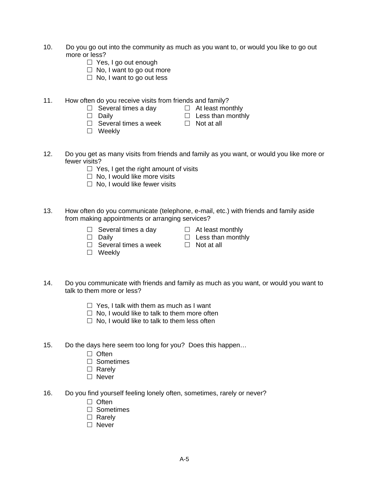- 10. Do you go out into the community as much as you want to, or would you like to go out more or less?
	- □ Yes, I go out enough
	- $\Box$  No, I want to go out more
	- $\Box$  No, I want to go out less
- 11. How often do you receive visits from friends and family?
	- $\Box$  Several times a day  $\Box$  At least monthly
	-
- 
- $\Box$  Daily  $\Box$  Less than monthly  $\Box$  Several times a week  $\Box$  Not at all  $\Box$  Several times a week □ Weeklv
	-
- 12. Do you get as many visits from friends and family as you want, or would you like more or fewer visits?
	- $\Box$  Yes, I get the right amount of visits
	- $\Box$  No. I would like more visits
	- $\Box$  No, I would like fewer visits
- 13. How often do you communicate (telephone, e-mail, etc.) with friends and family aside from making appointments or arranging services?
	- $\Box$  Several times a day  $\Box$  At least monthly
		-
	- $\Box$  Daily  $\Box$  Less than monthly
	- $\Box$  Several times a week  $\Box$  Not at all
	- □ Weeklv
- 14. Do you communicate with friends and family as much as you want, or would you want to talk to them more or less?
	- $\Box$  Yes, I talk with them as much as I want
	- $\Box$  No, I would like to talk to them more often
	- $\Box$  No, I would like to talk to them less often
- 15. Do the days here seem too long for you? Does this happen…
	- $\Box$  Often
	- □ Sometimes
	- $\Box$  Rarely
	- □ Never
- 16. Do you find yourself feeling lonely often, sometimes, rarely or never?
	- $\Box$  Often
	- □ Sometimes
	- $\Box$  Rarely
	- $\Box$  Never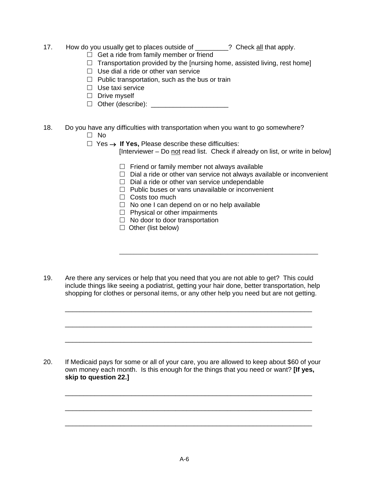- 17. How do you usually get to places outside of \_\_\_\_\_\_\_? Check all that apply.
	- $\Box$  Get a ride from family member or friend
	- $\Box$  Transportation provided by the [nursing home, assisted living, rest home]
	- $\Box$  Use dial a ride or other van service
	- $\Box$  Public transportation, such as the bus or train
	- $\Box$  Use taxi service
	- $\Box$  Drive myself
	- Other (describe): \_\_\_\_\_\_\_\_\_\_\_\_\_\_\_\_\_\_\_\_\_
- 18. Do you have any difficulties with transportation when you want to go somewhere?  $\Box$  No
	-
	- Yes → **If Yes,** Please describe these difficulties:

[Interviewer – Do not read list. Check if already on list, or write in below]

- $\Box$  Friend or family member not always available
- $\Box$  Dial a ride or other van service not always available or inconvenient
- $\Box$  Dial a ride or other van service undependable
- $\Box$  Public buses or vans unavailable or inconvenient
- $\Box$  Costs too much
- $\Box$  No one I can depend on or no help available
- $\Box$  Physical or other impairments
- $\Box$  No door to door transportation
- $\Box$  Other (list below)
- 19. Are there any services or help that you need that you are not able to get? This could include things like seeing a podiatrist, getting your hair done, better transportation, help shopping for clothes or personal items, or any other help you need but are not getting.

\_\_\_\_\_\_\_\_\_\_\_\_\_\_\_\_\_\_\_\_\_\_\_\_\_\_\_\_\_\_\_\_\_\_\_\_\_\_\_\_\_\_\_\_\_\_\_\_\_\_\_\_\_\_\_\_\_\_\_\_\_\_\_\_\_\_\_

\_\_\_\_\_\_\_\_\_\_\_\_\_\_\_\_\_\_\_\_\_\_\_\_\_\_\_\_\_\_\_\_\_\_\_\_\_\_\_\_\_\_\_\_\_\_\_\_\_\_\_\_\_\_\_\_\_\_\_\_\_\_\_\_\_\_\_

\_\_\_\_\_\_\_\_\_\_\_\_\_\_\_\_\_\_\_\_\_\_\_\_\_\_\_\_\_\_\_\_\_\_\_\_\_\_\_\_\_\_\_\_\_\_\_\_\_\_\_\_\_\_\_\_\_\_\_\_\_\_\_\_\_\_\_

 $\overline{\phantom{a}}$  ,  $\overline{\phantom{a}}$  ,  $\overline{\phantom{a}}$  ,  $\overline{\phantom{a}}$  ,  $\overline{\phantom{a}}$  ,  $\overline{\phantom{a}}$  ,  $\overline{\phantom{a}}$  ,  $\overline{\phantom{a}}$  ,  $\overline{\phantom{a}}$  ,  $\overline{\phantom{a}}$  ,  $\overline{\phantom{a}}$  ,  $\overline{\phantom{a}}$  ,  $\overline{\phantom{a}}$  ,  $\overline{\phantom{a}}$  ,  $\overline{\phantom{a}}$  ,  $\overline{\phantom{a}}$ 

20. If Medicaid pays for some or all of your care, you are allowed to keep about \$60 of your own money each month. Is this enough for the things that you need or want? **[If yes, skip to question 22.]** 

\_\_\_\_\_\_\_\_\_\_\_\_\_\_\_\_\_\_\_\_\_\_\_\_\_\_\_\_\_\_\_\_\_\_\_\_\_\_\_\_\_\_\_\_\_\_\_\_\_\_\_\_\_\_\_\_\_\_\_\_\_\_\_\_\_\_\_

\_\_\_\_\_\_\_\_\_\_\_\_\_\_\_\_\_\_\_\_\_\_\_\_\_\_\_\_\_\_\_\_\_\_\_\_\_\_\_\_\_\_\_\_\_\_\_\_\_\_\_\_\_\_\_\_\_\_\_\_\_\_\_\_\_\_\_

\_\_\_\_\_\_\_\_\_\_\_\_\_\_\_\_\_\_\_\_\_\_\_\_\_\_\_\_\_\_\_\_\_\_\_\_\_\_\_\_\_\_\_\_\_\_\_\_\_\_\_\_\_\_\_\_\_\_\_\_\_\_\_\_\_\_\_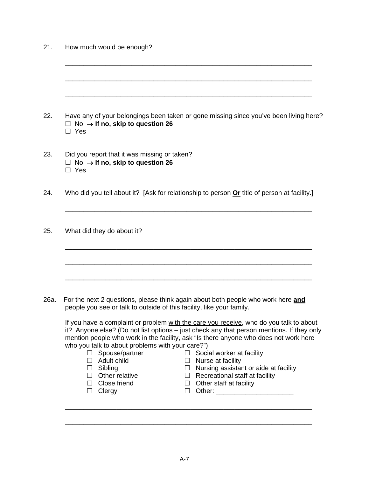| Have any of your belongings been taken or gone missing since you've been living here?<br>$\Box$ No $\rightarrow$ If no, skip to question 26<br>$\Box$ Yes                                                                                                                                                                                                                                                                                                                                                                                                                                                                                                                                                                                                                                                                       |
|---------------------------------------------------------------------------------------------------------------------------------------------------------------------------------------------------------------------------------------------------------------------------------------------------------------------------------------------------------------------------------------------------------------------------------------------------------------------------------------------------------------------------------------------------------------------------------------------------------------------------------------------------------------------------------------------------------------------------------------------------------------------------------------------------------------------------------|
| Did you report that it was missing or taken?<br>$\Box$ No $\rightarrow$ If no, skip to question 26<br>$\Box$ Yes                                                                                                                                                                                                                                                                                                                                                                                                                                                                                                                                                                                                                                                                                                                |
| Who did you tell about it? [Ask for relationship to person Or title of person at facility.]                                                                                                                                                                                                                                                                                                                                                                                                                                                                                                                                                                                                                                                                                                                                     |
| What did they do about it?                                                                                                                                                                                                                                                                                                                                                                                                                                                                                                                                                                                                                                                                                                                                                                                                      |
| For the next 2 questions, please think again about both people who work here and<br>people you see or talk to outside of this facility, like your family.<br>If you have a complaint or problem with the care you receive, who do you talk to about<br>it? Anyone else? (Do not list options - just check any that person mentions. If they only<br>mention people who work in the facility, ask "Is there anyone who does not work here<br>who you talk to about problems with your care?")<br>Spouse/partner<br>Social worker at facility<br>$\Box$<br>$\Box$<br>$\Box$ Adult child<br>$\Box$ Nurse at facility<br>$\Box$ Nursing assistant or aide at facility<br>$\Box$ Sibling<br>$\Box$ Other relative<br>$\Box$ Recreational staff at facility<br>$\Box$ Close friend<br>$\Box$ Other staff at facility<br>$\Box$ Clergy |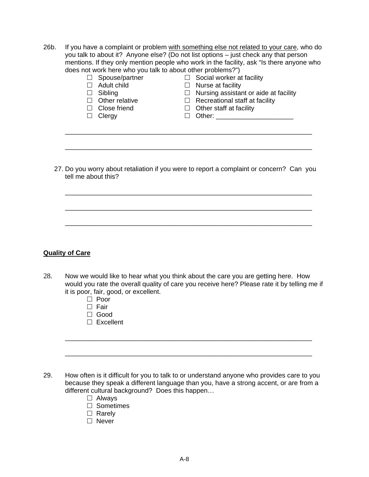26b. If you have a complaint or problem with something else not related to your care, who do you talk to about it? Anyone else? (Do not list options – just check any that person mentions. If they only mention people who work in the facility, ask "Is there anyone who does not work here who you talk to about other problems?")

|         | Spouse/partner        | $\Box$ Social worker at facility                                                                                                                                                                                               |
|---------|-----------------------|--------------------------------------------------------------------------------------------------------------------------------------------------------------------------------------------------------------------------------|
| $\perp$ | Adult child           | $\Box$ Nurse at facility                                                                                                                                                                                                       |
| ப       | Sibling               | $\Box$ Nursing assistant or aide at facility                                                                                                                                                                                   |
|         | $\Box$ Other relative | $\Box$ Recreational staff at facility                                                                                                                                                                                          |
| $\Box$  | Close friend          | $\Box$ Other staff at facility                                                                                                                                                                                                 |
|         | $\Box$ Clergy         | Other: The Contract of the Contract of the Contract of the Contract of the Contract of the Contract of the Contract of the Contract of the Contract of the Contract of the Contract of the Contract of the Contract of the Con |

27. Do you worry about retaliation if you were to report a complaint or concern? Can you tell me about this?

\_\_\_\_\_\_\_\_\_\_\_\_\_\_\_\_\_\_\_\_\_\_\_\_\_\_\_\_\_\_\_\_\_\_\_\_\_\_\_\_\_\_\_\_\_\_\_\_\_\_\_\_\_\_\_\_\_\_\_\_\_\_\_\_\_\_\_

\_\_\_\_\_\_\_\_\_\_\_\_\_\_\_\_\_\_\_\_\_\_\_\_\_\_\_\_\_\_\_\_\_\_\_\_\_\_\_\_\_\_\_\_\_\_\_\_\_\_\_\_\_\_\_\_\_\_\_\_\_\_\_\_\_\_\_

\_\_\_\_\_\_\_\_\_\_\_\_\_\_\_\_\_\_\_\_\_\_\_\_\_\_\_\_\_\_\_\_\_\_\_\_\_\_\_\_\_\_\_\_\_\_\_\_\_\_\_\_\_\_\_\_\_\_\_\_\_\_\_\_\_\_\_

\_\_\_\_\_\_\_\_\_\_\_\_\_\_\_\_\_\_\_\_\_\_\_\_\_\_\_\_\_\_\_\_\_\_\_\_\_\_\_\_\_\_\_\_\_\_\_\_\_\_\_\_\_\_\_\_\_\_\_\_\_\_\_\_\_\_\_

### **Quality of Care**

28. Now we would like to hear what you think about the care you are getting here. How would you rate the overall quality of care you receive here? Please rate it by telling me if it is poor, fair, good, or excellent.

\_\_\_\_\_\_\_\_\_\_\_\_\_\_\_\_\_\_\_\_\_\_\_\_\_\_\_\_\_\_\_\_\_\_\_\_\_\_\_\_\_\_\_\_\_\_\_\_\_\_\_\_\_\_\_\_\_\_\_\_\_\_\_\_\_\_\_

- □ Poor
- $\Box$  Fair
- □ Good
- $\Box$  Excellent
- 29. How often is it difficult for you to talk to or understand anyone who provides care to you because they speak a different language than you, have a strong accent, or are from a different cultural background? Does this happen…

\_\_\_\_\_\_\_\_\_\_\_\_\_\_\_\_\_\_\_\_\_\_\_\_\_\_\_\_\_\_\_\_\_\_\_\_\_\_\_\_\_\_\_\_\_\_\_\_\_\_\_\_\_\_\_\_\_\_\_\_\_\_\_\_\_\_\_

- □ Alwavs
- □ Sometimes
- $\Box$  Rarely
- □ Never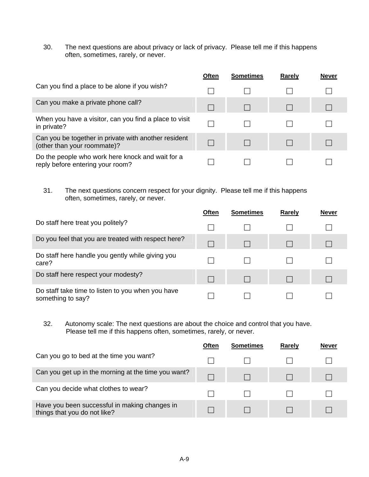30. The next questions are about privacy or lack of privacy. Please tell me if this happens often, sometimes, rarely, or never.

|                                                                                      | <b>Often</b> | <b>Sometimes</b> | <b>Rarely</b> | <b>Never</b> |
|--------------------------------------------------------------------------------------|--------------|------------------|---------------|--------------|
| Can you find a place to be alone if you wish?                                        |              |                  |               |              |
| Can you make a private phone call?                                                   |              |                  |               |              |
| When you have a visitor, can you find a place to visit<br>in private?                |              |                  |               |              |
| Can you be together in private with another resident<br>(other than your roommate)?  |              |                  |               |              |
| Do the people who work here knock and wait for a<br>reply before entering your room? |              |                  |               |              |

31. The next questions concern respect for your dignity. Please tell me if this happens often, sometimes, rarely, or never.

|                                                                        | Often | <b>Sometimes</b> | Rarely | <b>Never</b> |
|------------------------------------------------------------------------|-------|------------------|--------|--------------|
| Do staff here treat you politely?                                      |       |                  |        |              |
| Do you feel that you are treated with respect here?                    |       |                  |        |              |
| Do staff here handle you gently while giving you<br>care?              |       |                  |        |              |
| Do staff here respect your modesty?                                    |       |                  |        |              |
| Do staff take time to listen to you when you have<br>something to say? |       |                  |        |              |

32. Autonomy scale: The next questions are about the choice and control that you have. Please tell me if this happens often, sometimes, rarely, or never.

|                                                                               | Often | <b>Sometimes</b> | Rarely | <b>Never</b> |
|-------------------------------------------------------------------------------|-------|------------------|--------|--------------|
| Can you go to bed at the time you want?                                       |       |                  |        |              |
| Can you get up in the morning at the time you want?                           |       |                  |        |              |
| Can you decide what clothes to wear?                                          |       |                  |        |              |
| Have you been successful in making changes in<br>things that you do not like? |       |                  |        |              |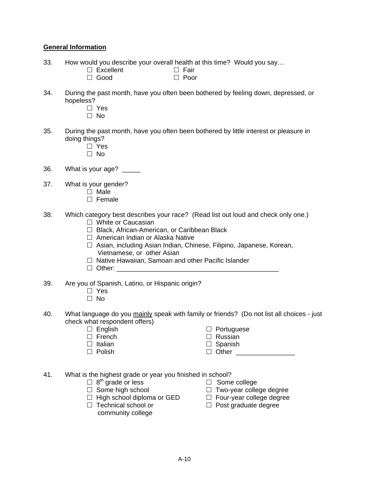#### **General Information**

- 33. How would you describe your overall health at this time? Would you say...<br>  $\Box$  Excellent  $\Box$  Fair
	- $\Box$  Excellent  $\Box$  Fair  $\Box$  Fair  $\Box$  Foor
	- $\Box$  Good
- 34. During the past month, have you often been bothered by feeling down, depressed, or hopeless?
	- □ Yes
	- $\square$  No
- 35. During the past month, have you often been bothered by little interest or pleasure in doing things?
	- □ Yes
	- $\square$  No
- 36. What is your age? \_\_\_\_\_
- 37. What is your gender?
	- $\Box$  Male
	- $\Box$  Female
- 38. Which category best describes your race? (Read list out loud and check only one.)
	- □ White or Caucasian
	- □ Black, African-American, or Caribbean Black
	- □ American Indian or Alaska Native
	- □ Asian, including Asian Indian, Chinese, Filipino, Japanese, Korean, Vietnamese, or other Asian
	- $\Box$  Native Hawaiian, Samoan and other Pacific Islander
	- $\Box$  Other:
- 39. Are you of Spanish, Latino, or Hispanic origin?
	- □ Yes
	- □ No
- 40. What language do you mainly speak with family or friends? (Do not list all choices just check what respondent offers)
	-
	-
	-
	-
	- $\Box$  English  $\Box$  Portuguese
	- $\Box$  French  $\Box$  Russian
	- $\Box$  Italian  $\Box$  Spanish
	- $\Box$  Polish  $\Box$  Other
- 41. What is the highest grade or year you finished in school?
	- $\Box$  8<sup>th</sup> grade or less  $\Box$  Some college
	-
	- $\Box$  High school diploma or GED  $\Box$  Four-year college degree
	- - community college
- 
- $\Box$  Some high school  $\Box$  Two-year college degree
	-
- $\Box$  Technical school or  $\Box$  Post graduate degree